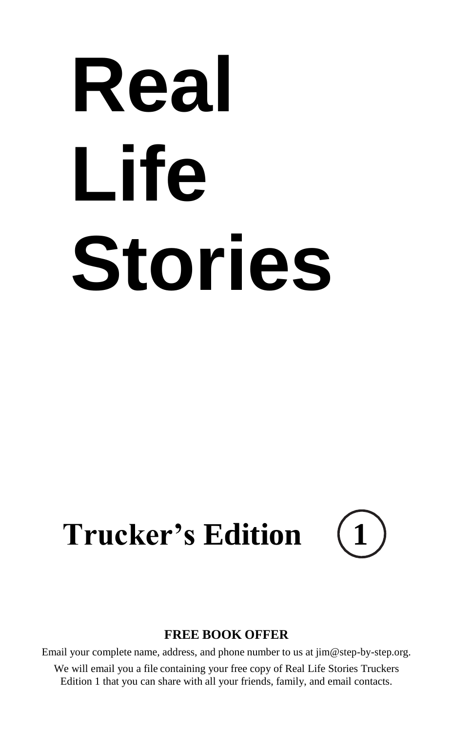# **Real Life Stories**

#### **Trucker's Edition 1**



#### **FREE BOOK OFFER**

Email your complete name, address, and phone number to us at [jim@step-by-step.org.](mailto:jim@step-by-step.org)

We will email you a file containing your free copy of Real Life Stories Truckers Edition 1 that you can share with all your friends, family, and email contacts.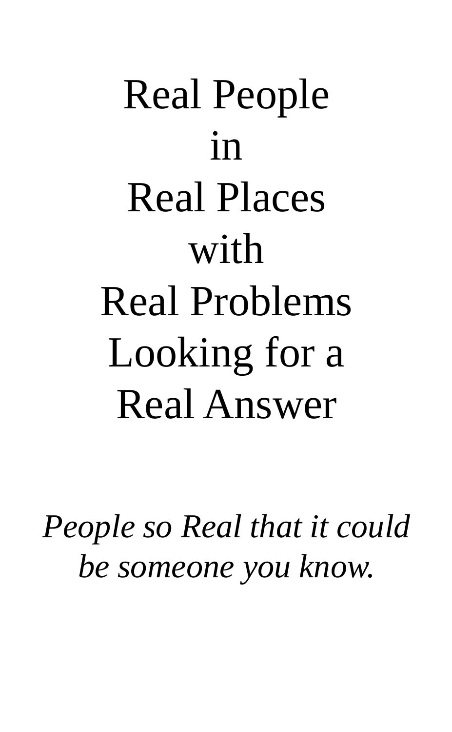# Real People in Real Places with Real Problems Looking for a Real Answer

*People so Real that it could be someone you know.*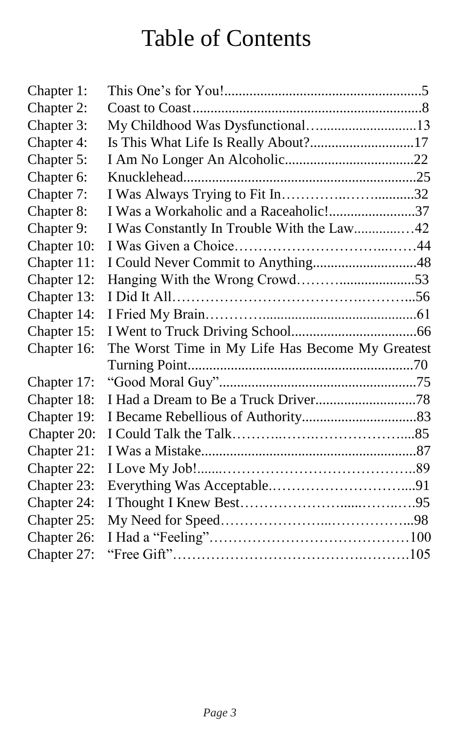#### Table of Contents

| Chapter 1:  |                                                  |  |
|-------------|--------------------------------------------------|--|
| Chapter 2:  |                                                  |  |
| Chapter 3:  | My Childhood Was Dysfunctional13                 |  |
| Chapter 4:  |                                                  |  |
| Chapter 5:  |                                                  |  |
| Chapter 6:  |                                                  |  |
| Chapter 7:  |                                                  |  |
| Chapter 8:  | I Was a Workaholic and a Raceaholic!37           |  |
| Chapter 9:  |                                                  |  |
| Chapter 10: |                                                  |  |
| Chapter 11: |                                                  |  |
| Chapter 12: |                                                  |  |
| Chapter 13: |                                                  |  |
| Chapter 14: |                                                  |  |
| Chapter 15: |                                                  |  |
| Chapter 16: | The Worst Time in My Life Has Become My Greatest |  |
|             |                                                  |  |
| Chapter 17: |                                                  |  |
| Chapter 18: |                                                  |  |
| Chapter 19: |                                                  |  |
| Chapter 20: |                                                  |  |
| Chapter 21: |                                                  |  |
| Chapter 22: |                                                  |  |
| Chapter 23: |                                                  |  |
| Chapter 24: |                                                  |  |
| Chapter 25: |                                                  |  |
| Chapter 26: |                                                  |  |
| Chapter 27: |                                                  |  |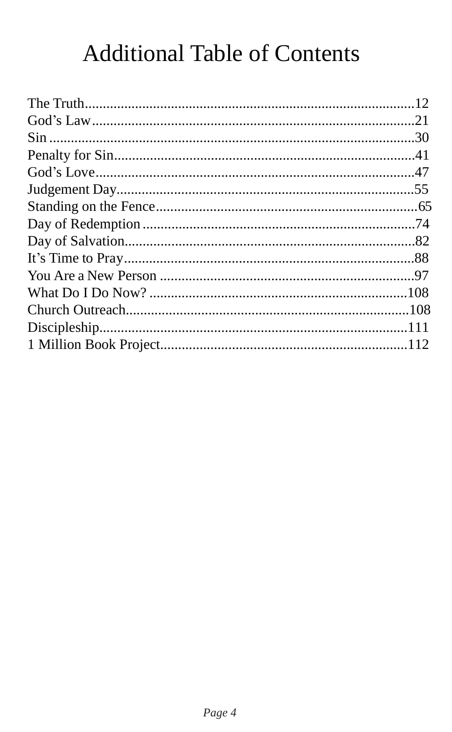#### **Additional Table of Contents**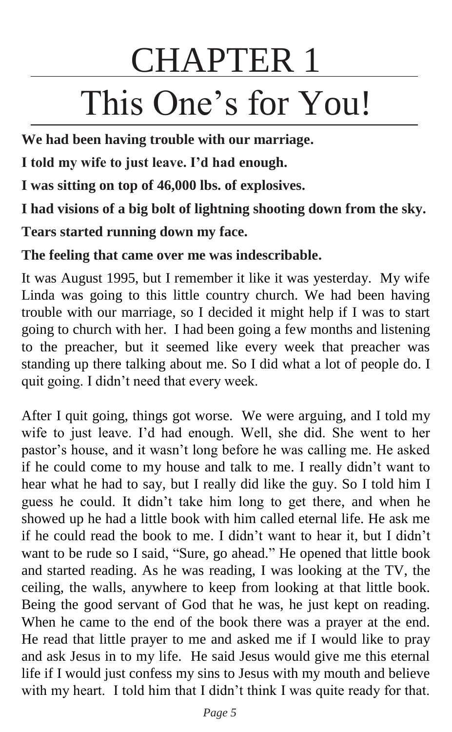### CHAPTER 1 This One's for You!

**We had been having trouble with our marriage.**

**I told my wife to just leave. I'd had enough.**

**I was sitting on top of 46,000 lbs. of explosives.**

**I had visions of a big bolt of lightning shooting down from the sky.**

**Tears started running down my face.**

#### **The feeling that came over me was indescribable.**

It was August 1995, but I remember it like it was yesterday. My wife Linda was going to this little country church. We had been having trouble with our marriage, so I decided it might help if I was to start going to church with her. I had been going a few months and listening to the preacher, but it seemed like every week that preacher was standing up there talking about me. So I did what a lot of people do. I quit going. I didn't need that every week.

After I quit going, things got worse. We were arguing, and I told my wife to just leave. I'd had enough. Well, she did. She went to her pastor's house, and it wasn't long before he was calling me. He asked if he could come to my house and talk to me. I really didn't want to hear what he had to say, but I really did like the guy. So I told him I guess he could. It didn't take him long to get there, and when he showed up he had a little book with him called eternal life. He ask me if he could read the book to me. I didn't want to hear it, but I didn't want to be rude so I said, "Sure, go ahead." He opened that little book and started reading. As he was reading, I was looking at the TV, the ceiling, the walls, anywhere to keep from looking at that little book. Being the good servant of God that he was, he just kept on reading. When he came to the end of the book there was a prayer at the end. He read that little prayer to me and asked me if I would like to pray and ask Jesus in to my life. He said Jesus would give me this eternal life if I would just confess my sins to Jesus with my mouth and believe with my heart. I told him that I didn't think I was quite ready for that.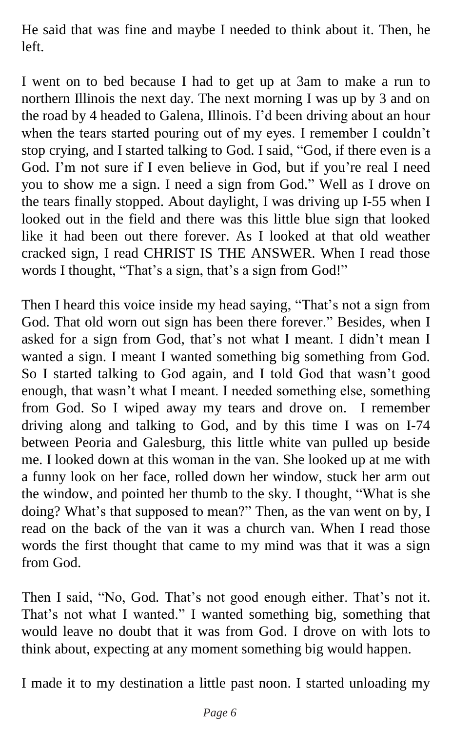He said that was fine and maybe I needed to think about it. Then, he left.

I went on to bed because I had to get up at 3am to make a run to northern Illinois the next day. The next morning I was up by 3 and on the road by 4 headed to Galena, Illinois. I'd been driving about an hour when the tears started pouring out of my eyes. I remember I couldn't stop crying, and I started talking to God. I said, "God, if there even is a God. I'm not sure if I even believe in God, but if you're real I need you to show me a sign. I need a sign from God." Well as I drove on the tears finally stopped. About daylight, I was driving up I-55 when I looked out in the field and there was this little blue sign that looked like it had been out there forever. As I looked at that old weather cracked sign, I read CHRIST IS THE ANSWER. When I read those words I thought, "That's a sign, that's a sign from God!"

Then I heard this voice inside my head saying, "That's not a sign from God. That old worn out sign has been there forever." Besides, when I asked for a sign from God, that's not what I meant. I didn't mean I wanted a sign. I meant I wanted something big something from God. So I started talking to God again, and I told God that wasn't good enough, that wasn't what I meant. I needed something else, something from God. So I wiped away my tears and drove on. I remember driving along and talking to God, and by this time I was on I-74 between Peoria and Galesburg, this little white van pulled up beside me. I looked down at this woman in the van. She looked up at me with a funny look on her face, rolled down her window, stuck her arm out the window, and pointed her thumb to the sky. I thought, "What is she doing? What's that supposed to mean?" Then, as the van went on by, I read on the back of the van it was a church van. When I read those words the first thought that came to my mind was that it was a sign from God.

Then I said, "No, God. That's not good enough either. That's not it. That's not what I wanted." I wanted something big, something that would leave no doubt that it was from God. I drove on with lots to think about, expecting at any moment something big would happen.

I made it to my destination a little past noon. I started unloading my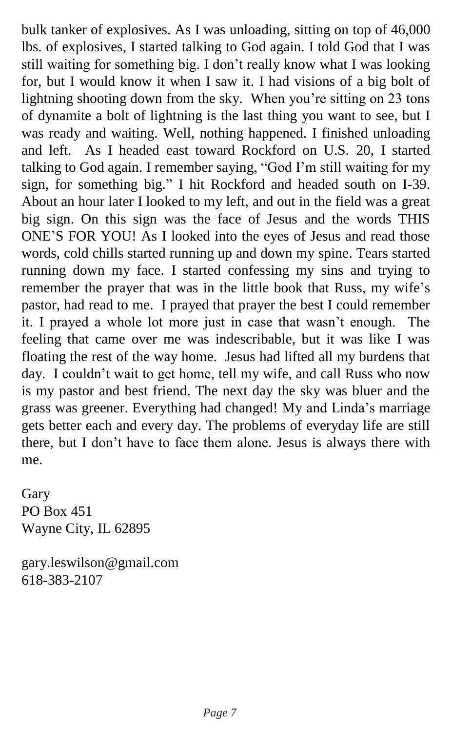bulk tanker of explosives. As I was unloading, sitting on top of 46,000 lbs. of explosives, I started talking to God again. I told God that I was still waiting for something big. I don't really know what I was looking for, but I would know it when I saw it. I had visions of a big bolt of lightning shooting down from the sky. When you're sitting on 23 tons of dynamite a bolt of lightning is the last thing you want to see, but I was ready and waiting. Well, nothing happened. I finished unloading and left. As I headed east toward Rockford on U.S. 20, I started talking to God again. I remember saying, "God I'm still waiting for my sign, for something big." I hit Rockford and headed south on I-39. About an hour later I looked to my left, and out in the field was a great big sign. On this sign was the face of Jesus and the words THIS ONE'S FOR YOU! As I looked into the eyes of Jesus and read those words, cold chills started running up and down my spine. Tears started running down my face. I started confessing my sins and trying to remember the prayer that was in the little book that Russ, my wife's pastor, had read to me. I prayed that prayer the best I could remember it. I prayed a whole lot more just in case that wasn't enough. The feeling that came over me was indescribable, but it was like I was floating the rest of the way home. Jesus had lifted all my burdens that day. I couldn't wait to get home, tell my wife, and call Russ who now is my pastor and best friend. The next day the sky was bluer and the grass was greener. Everything had changed! My and Linda's marriage gets better each and every day. The problems of everyday life are still there, but I don't have to face them alone. Jesus is always there with me.

Gary PO Box 451 Wayne City, IL 62895

gary.leswilson@gmail.com 618-383-2107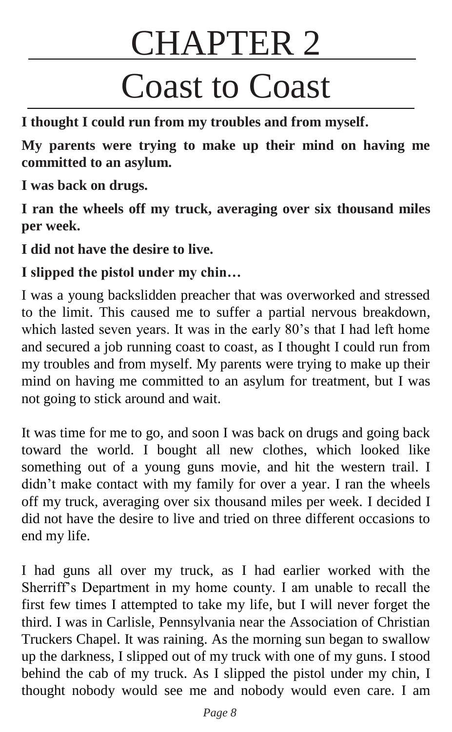#### CHAPTER 2 Coast to Coast

**I thought I could run from my troubles and from myself.**

**My parents were trying to make up their mind on having me committed to an asylum.**

**I was back on drugs.**

**I ran the wheels off my truck, averaging over six thousand miles per week.**

**I did not have the desire to live.**

**I slipped the pistol under my chin…**

I was a young backslidden preacher that was overworked and stressed to the limit. This caused me to suffer a partial nervous breakdown, which lasted seven years. It was in the early 80's that I had left home and secured a job running coast to coast, as I thought I could run from my troubles and from myself. My parents were trying to make up their mind on having me committed to an asylum for treatment, but I was not going to stick around and wait.

It was time for me to go, and soon I was back on drugs and going back toward the world. I bought all new clothes, which looked like something out of a young guns movie, and hit the western trail. I didn't make contact with my family for over a year. I ran the wheels off my truck, averaging over six thousand miles per week. I decided I did not have the desire to live and tried on three different occasions to end my life.

I had guns all over my truck, as I had earlier worked with the Sherriff's Department in my home county. I am unable to recall the first few times I attempted to take my life, but I will never forget the third. I was in Carlisle, Pennsylvania near the Association of Christian Truckers Chapel. It was raining. As the morning sun began to swallow up the darkness, I slipped out of my truck with one of my guns. I stood behind the cab of my truck. As I slipped the pistol under my chin, I thought nobody would see me and nobody would even care. I am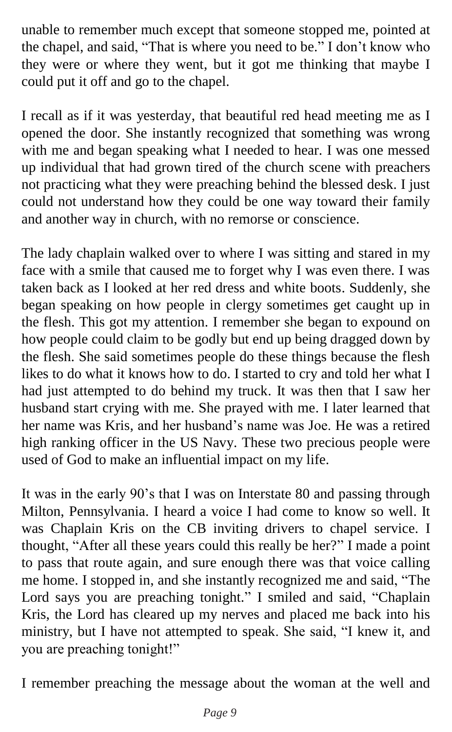unable to remember much except that someone stopped me, pointed at the chapel, and said, "That is where you need to be." I don't know who they were or where they went, but it got me thinking that maybe I could put it off and go to the chapel.

I recall as if it was yesterday, that beautiful red head meeting me as I opened the door. She instantly recognized that something was wrong with me and began speaking what I needed to hear. I was one messed up individual that had grown tired of the church scene with preachers not practicing what they were preaching behind the blessed desk. I just could not understand how they could be one way toward their family and another way in church, with no remorse or conscience.

The lady chaplain walked over to where I was sitting and stared in my face with a smile that caused me to forget why I was even there. I was taken back as I looked at her red dress and white boots. Suddenly, she began speaking on how people in clergy sometimes get caught up in the flesh. This got my attention. I remember she began to expound on how people could claim to be godly but end up being dragged down by the flesh. She said sometimes people do these things because the flesh likes to do what it knows how to do. I started to cry and told her what I had just attempted to do behind my truck. It was then that I saw her husband start crying with me. She prayed with me. I later learned that her name was Kris, and her husband's name was Joe. He was a retired high ranking officer in the US Navy. These two precious people were used of God to make an influential impact on my life.

It was in the early 90's that I was on Interstate 80 and passing through Milton, Pennsylvania. I heard a voice I had come to know so well. It was Chaplain Kris on the CB inviting drivers to chapel service. I thought, "After all these years could this really be her?" I made a point to pass that route again, and sure enough there was that voice calling me home. I stopped in, and she instantly recognized me and said, "The Lord says you are preaching tonight." I smiled and said, "Chaplain Kris, the Lord has cleared up my nerves and placed me back into his ministry, but I have not attempted to speak. She said, "I knew it, and you are preaching tonight!"

I remember preaching the message about the woman at the well and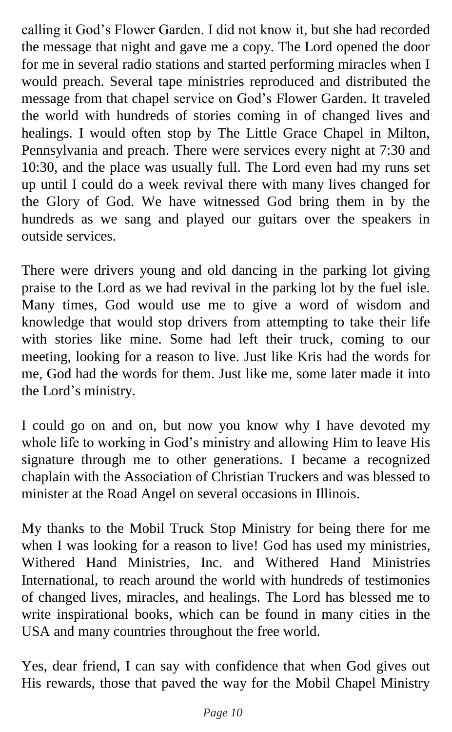calling it God's Flower Garden. I did not know it, but she had recorded the message that night and gave me a copy. The Lord opened the door for me in several radio stations and started performing miracles when I would preach. Several tape ministries reproduced and distributed the message from that chapel service on God's Flower Garden. It traveled the world with hundreds of stories coming in of changed lives and healings. I would often stop by The Little Grace Chapel in Milton, Pennsylvania and preach. There were services every night at 7:30 and 10:30, and the place was usually full. The Lord even had my runs set up until I could do a week revival there with many lives changed for the Glory of God. We have witnessed God bring them in by the hundreds as we sang and played our guitars over the speakers in outside services.

There were drivers young and old dancing in the parking lot giving praise to the Lord as we had revival in the parking lot by the fuel isle. Many times, God would use me to give a word of wisdom and knowledge that would stop drivers from attempting to take their life with stories like mine. Some had left their truck, coming to our meeting, looking for a reason to live. Just like Kris had the words for me, God had the words for them. Just like me, some later made it into the Lord's ministry.

I could go on and on, but now you know why I have devoted my whole life to working in God's ministry and allowing Him to leave His signature through me to other generations. I became a recognized chaplain with the Association of Christian Truckers and was blessed to minister at the Road Angel on several occasions in Illinois.

My thanks to the Mobil Truck Stop Ministry for being there for me when I was looking for a reason to live! God has used my ministries, Withered Hand Ministries, Inc. and Withered Hand Ministries International, to reach around the world with hundreds of testimonies of changed lives, miracles, and healings. The Lord has blessed me to write inspirational books, which can be found in many cities in the USA and many countries throughout the free world.

Yes, dear friend, I can say with confidence that when God gives out His rewards, those that paved the way for the Mobil Chapel Ministry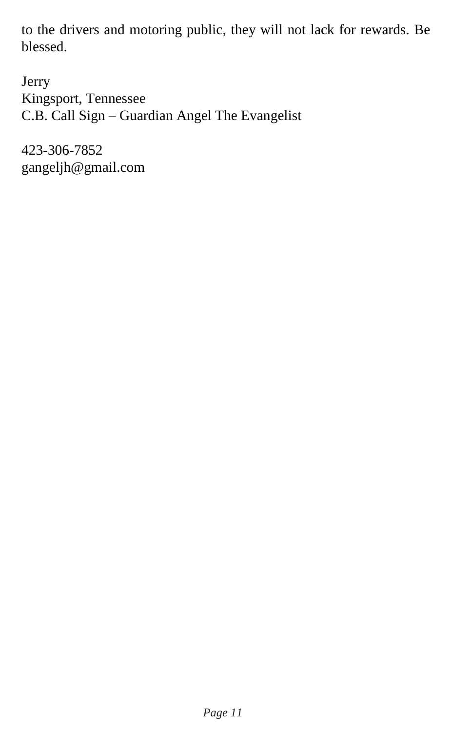to the drivers and motoring public, they will not lack for rewards. Be blessed.

Jerry Kingsport, Tennessee C.B. Call Sign – Guardian Angel The Evangelist

423-306-7852 gangeljh@gmail.com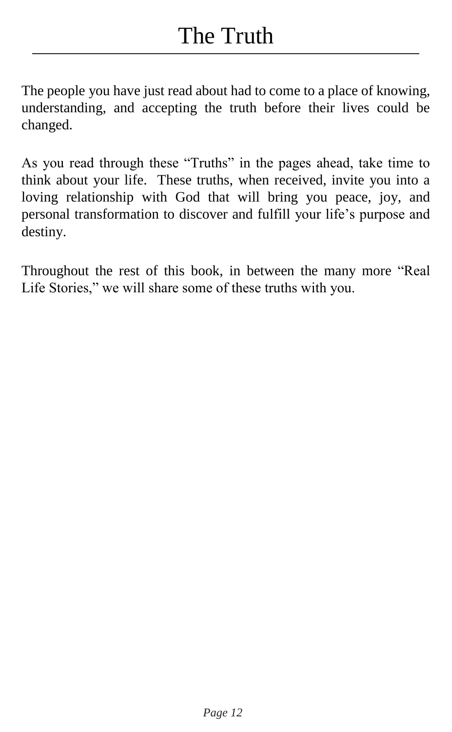The people you have just read about had to come to a place of knowing, understanding, and accepting the truth before their lives could be changed.

As you read through these "Truths" in the pages ahead, take time to think about your life. These truths, when received, invite you into a loving relationship with God that will bring you peace, joy, and personal transformation to discover and fulfill your life's purpose and destiny.

Throughout the rest of this book, in between the many more "Real Life Stories," we will share some of these truths with you.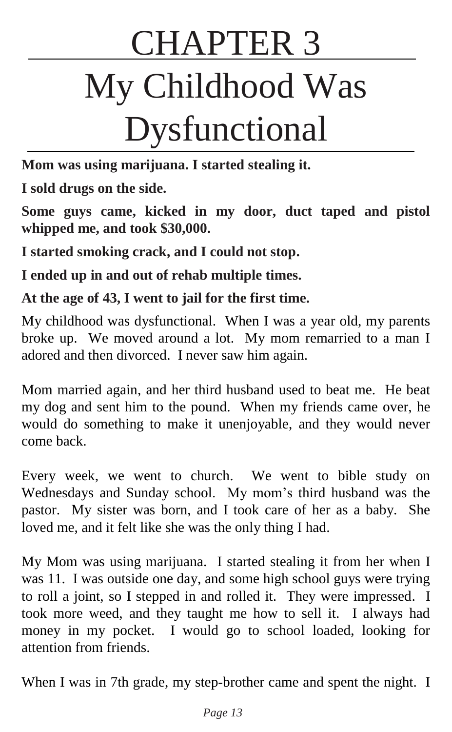### CHAPTER 3 My Childhood Was Dysfunctional

**Mom was using marijuana. I started stealing it.**

**I sold drugs on the side.**

**Some guys came, kicked in my door, duct taped and pistol whipped me, and took \$30,000.**

**I started smoking crack, and I could not stop.**

**I ended up in and out of rehab multiple times.**

**At the age of 43, I went to jail for the first time.**

My childhood was dysfunctional. When I was a year old, my parents broke up. We moved around a lot. My mom remarried to a man I adored and then divorced. I never saw him again.

Mom married again, and her third husband used to beat me. He beat my dog and sent him to the pound. When my friends came over, he would do something to make it unenjoyable, and they would never come back.

Every week, we went to church. We went to bible study on Wednesdays and Sunday school. My mom's third husband was the pastor. My sister was born, and I took care of her as a baby. She loved me, and it felt like she was the only thing I had.

My Mom was using marijuana. I started stealing it from her when I was 11. I was outside one day, and some high school guys were trying to roll a joint, so I stepped in and rolled it. They were impressed. I took more weed, and they taught me how to sell it. I always had money in my pocket. I would go to school loaded, looking for attention from friends.

When I was in 7th grade, my step-brother came and spent the night. I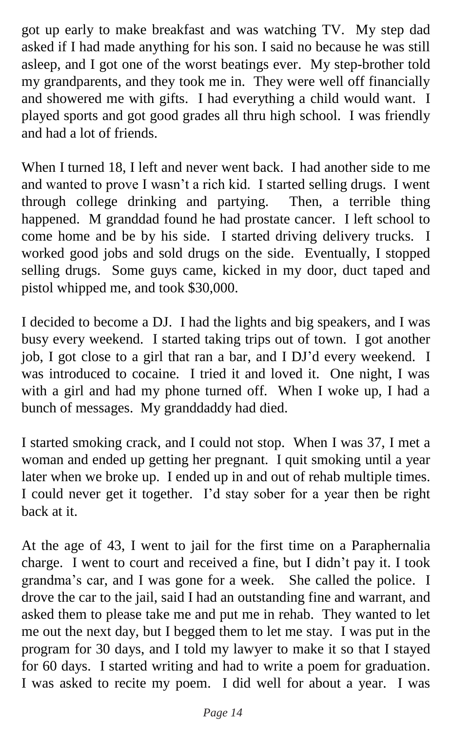got up early to make breakfast and was watching TV. My step dad asked if I had made anything for his son. I said no because he was still asleep, and I got one of the worst beatings ever. My step-brother told my grandparents, and they took me in. They were well off financially and showered me with gifts. I had everything a child would want. I played sports and got good grades all thru high school. I was friendly and had a lot of friends.

When I turned 18, I left and never went back. I had another side to me and wanted to prove I wasn't a rich kid. I started selling drugs. I went through college drinking and partying. Then, a terrible thing happened. M granddad found he had prostate cancer. I left school to come home and be by his side. I started driving delivery trucks. I worked good jobs and sold drugs on the side. Eventually, I stopped selling drugs. Some guys came, kicked in my door, duct taped and pistol whipped me, and took \$30,000.

I decided to become a DJ. I had the lights and big speakers, and I was busy every weekend. I started taking trips out of town. I got another job, I got close to a girl that ran a bar, and I DJ'd every weekend. I was introduced to cocaine. I tried it and loved it. One night, I was with a girl and had my phone turned off. When I woke up, I had a bunch of messages. My granddaddy had died.

I started smoking crack, and I could not stop. When I was 37, I met a woman and ended up getting her pregnant. I quit smoking until a year later when we broke up. I ended up in and out of rehab multiple times. I could never get it together. I'd stay sober for a year then be right back at it.

At the age of 43, I went to jail for the first time on a Paraphernalia charge. I went to court and received a fine, but I didn't pay it. I took grandma's car, and I was gone for a week. She called the police. I drove the car to the jail, said I had an outstanding fine and warrant, and asked them to please take me and put me in rehab. They wanted to let me out the next day, but I begged them to let me stay. I was put in the program for 30 days, and I told my lawyer to make it so that I stayed for 60 days. I started writing and had to write a poem for graduation. I was asked to recite my poem. I did well for about a year. I was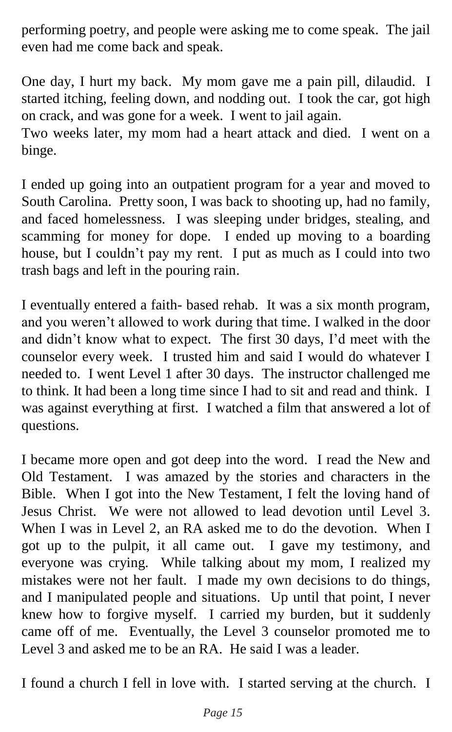performing poetry, and people were asking me to come speak. The jail even had me come back and speak.

One day, I hurt my back. My mom gave me a pain pill, dilaudid. I started itching, feeling down, and nodding out. I took the car, got high on crack, and was gone for a week. I went to jail again.

Two weeks later, my mom had a heart attack and died. I went on a binge.

I ended up going into an outpatient program for a year and moved to South Carolina. Pretty soon, I was back to shooting up, had no family, and faced homelessness. I was sleeping under bridges, stealing, and scamming for money for dope. I ended up moving to a boarding house, but I couldn't pay my rent. I put as much as I could into two trash bags and left in the pouring rain.

I eventually entered a faith- based rehab. It was a six month program, and you weren't allowed to work during that time. I walked in the door and didn't know what to expect. The first 30 days, I'd meet with the counselor every week. I trusted him and said I would do whatever I needed to. I went Level 1 after 30 days. The instructor challenged me to think. It had been a long time since I had to sit and read and think. I was against everything at first. I watched a film that answered a lot of questions.

I became more open and got deep into the word. I read the New and Old Testament. I was amazed by the stories and characters in the Bible. When I got into the New Testament, I felt the loving hand of Jesus Christ. We were not allowed to lead devotion until Level 3. When I was in Level 2, an RA asked me to do the devotion. When I got up to the pulpit, it all came out. I gave my testimony, and everyone was crying. While talking about my mom, I realized my mistakes were not her fault. I made my own decisions to do things, and I manipulated people and situations. Up until that point, I never knew how to forgive myself. I carried my burden, but it suddenly came off of me. Eventually, the Level 3 counselor promoted me to Level 3 and asked me to be an RA. He said I was a leader.

I found a church I fell in love with. I started serving at the church. I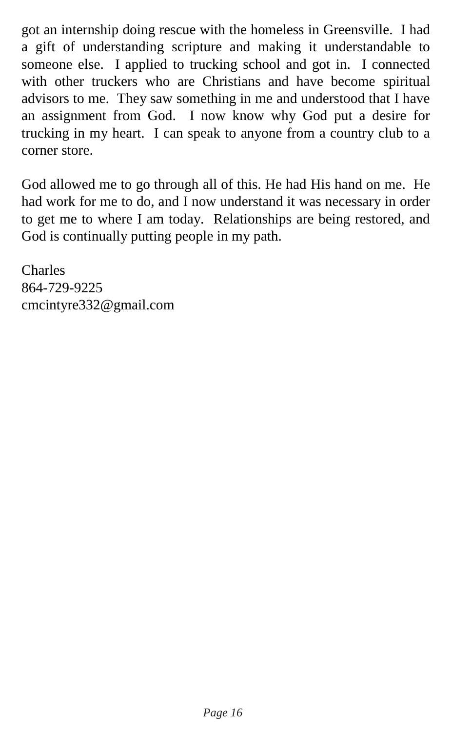got an internship doing rescue with the homeless in Greensville. I had a gift of understanding scripture and making it understandable to someone else. I applied to trucking school and got in. I connected with other truckers who are Christians and have become spiritual advisors to me. They saw something in me and understood that I have an assignment from God. I now know why God put a desire for trucking in my heart. I can speak to anyone from a country club to a corner store.

God allowed me to go through all of this. He had His hand on me. He had work for me to do, and I now understand it was necessary in order to get me to where I am today. Relationships are being restored, and God is continually putting people in my path.

Charles 864-729-9225 cmcintyre332@gmail.com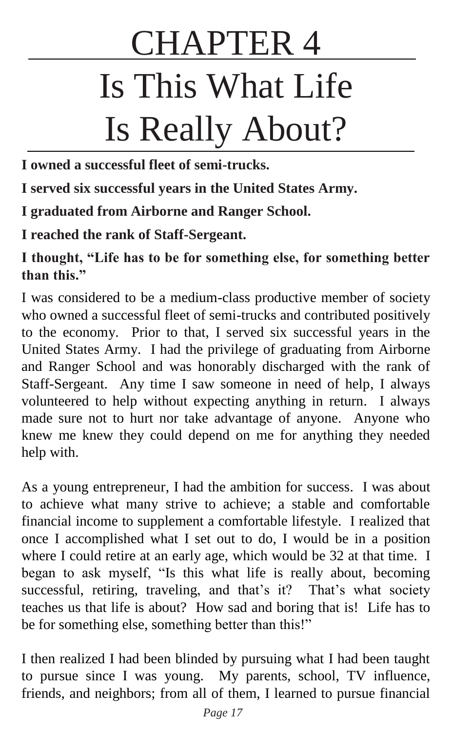### CHAPTER 4 Is This What Life Is Really About?

**I owned a successful fleet of semi-trucks.**

**I served six successful years in the United States Army.**

**I graduated from Airborne and Ranger School.**

**I reached the rank of Staff-Sergeant.**

**I thought, "Life has to be for something else, for something better than this."**

I was considered to be a medium-class productive member of society who owned a successful fleet of semi-trucks and contributed positively to the economy. Prior to that, I served six successful years in the United States Army. I had the privilege of graduating from Airborne and Ranger School and was honorably discharged with the rank of Staff-Sergeant. Any time I saw someone in need of help, I always volunteered to help without expecting anything in return. I always made sure not to hurt nor take advantage of anyone. Anyone who knew me knew they could depend on me for anything they needed help with.

As a young entrepreneur, I had the ambition for success. I was about to achieve what many strive to achieve; a stable and comfortable financial income to supplement a comfortable lifestyle. I realized that once I accomplished what I set out to do, I would be in a position where I could retire at an early age, which would be 32 at that time. I began to ask myself, "Is this what life is really about, becoming successful, retiring, traveling, and that's it? That's what society teaches us that life is about? How sad and boring that is! Life has to be for something else, something better than this!"

I then realized I had been blinded by pursuing what I had been taught to pursue since I was young. My parents, school, TV influence, friends, and neighbors; from all of them, I learned to pursue financial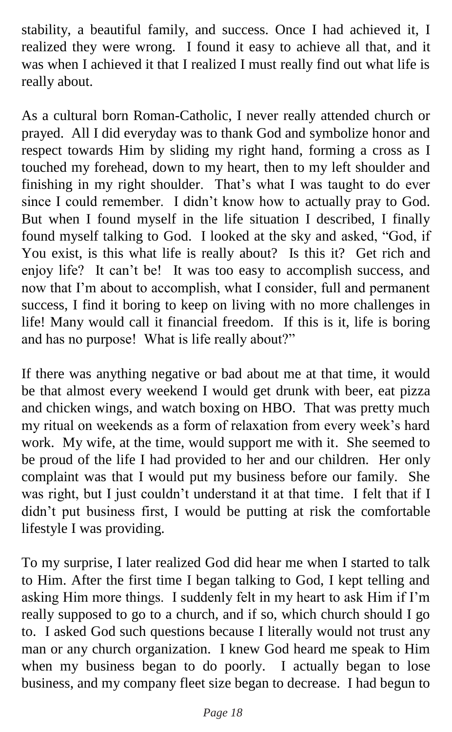stability, a beautiful family, and success. Once I had achieved it, I realized they were wrong. I found it easy to achieve all that, and it was when I achieved it that I realized I must really find out what life is really about.

As a cultural born Roman-Catholic, I never really attended church or prayed. All I did everyday was to thank God and symbolize honor and respect towards Him by sliding my right hand, forming a cross as I touched my forehead, down to my heart, then to my left shoulder and finishing in my right shoulder. That's what I was taught to do ever since I could remember. I didn't know how to actually pray to God. But when I found myself in the life situation I described, I finally found myself talking to God. I looked at the sky and asked, "God, if You exist, is this what life is really about? Is this it? Get rich and enjoy life? It can't be! It was too easy to accomplish success, and now that I'm about to accomplish, what I consider, full and permanent success, I find it boring to keep on living with no more challenges in life! Many would call it financial freedom. If this is it, life is boring and has no purpose! What is life really about?"

If there was anything negative or bad about me at that time, it would be that almost every weekend I would get drunk with beer, eat pizza and chicken wings, and watch boxing on HBO. That was pretty much my ritual on weekends as a form of relaxation from every week's hard work. My wife, at the time, would support me with it. She seemed to be proud of the life I had provided to her and our children. Her only complaint was that I would put my business before our family. She was right, but I just couldn't understand it at that time. I felt that if I didn't put business first, I would be putting at risk the comfortable lifestyle I was providing.

To my surprise, I later realized God did hear me when I started to talk to Him. After the first time I began talking to God, I kept telling and asking Him more things. I suddenly felt in my heart to ask Him if I'm really supposed to go to a church, and if so, which church should I go to. I asked God such questions because I literally would not trust any man or any church organization. I knew God heard me speak to Him when my business began to do poorly. I actually began to lose business, and my company fleet size began to decrease. I had begun to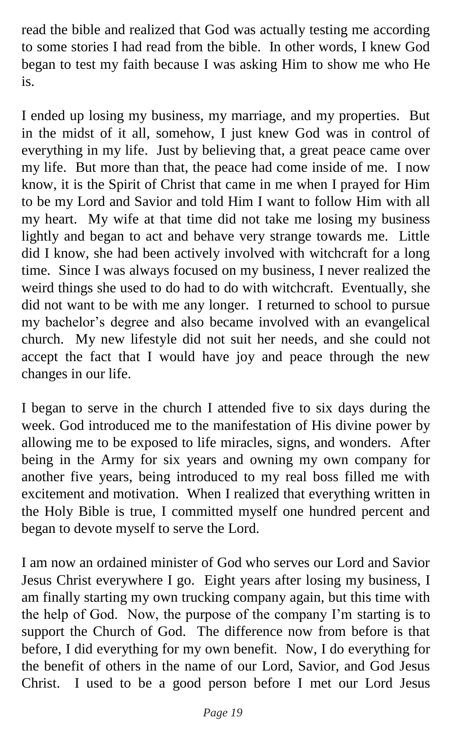read the bible and realized that God was actually testing me according to some stories I had read from the bible. In other words, I knew God began to test my faith because I was asking Him to show me who He is.

I ended up losing my business, my marriage, and my properties. But in the midst of it all, somehow, I just knew God was in control of everything in my life. Just by believing that, a great peace came over my life. But more than that, the peace had come inside of me. I now know, it is the Spirit of Christ that came in me when I prayed for Him to be my Lord and Savior and told Him I want to follow Him with all my heart. My wife at that time did not take me losing my business lightly and began to act and behave very strange towards me. Little did I know, she had been actively involved with witchcraft for a long time. Since I was always focused on my business, I never realized the weird things she used to do had to do with witchcraft. Eventually, she did not want to be with me any longer. I returned to school to pursue my bachelor's degree and also became involved with an evangelical church. My new lifestyle did not suit her needs, and she could not accept the fact that I would have joy and peace through the new changes in our life.

I began to serve in the church I attended five to six days during the week. God introduced me to the manifestation of His divine power by allowing me to be exposed to life miracles, signs, and wonders. After being in the Army for six years and owning my own company for another five years, being introduced to my real boss filled me with excitement and motivation. When I realized that everything written in the Holy Bible is true, I committed myself one hundred percent and began to devote myself to serve the Lord.

I am now an ordained minister of God who serves our Lord and Savior Jesus Christ everywhere I go. Eight years after losing my business, I am finally starting my own trucking company again, but this time with the help of God. Now, the purpose of the company I'm starting is to support the Church of God. The difference now from before is that before, I did everything for my own benefit. Now, I do everything for the benefit of others in the name of our Lord, Savior, and God Jesus Christ. I used to be a good person before I met our Lord Jesus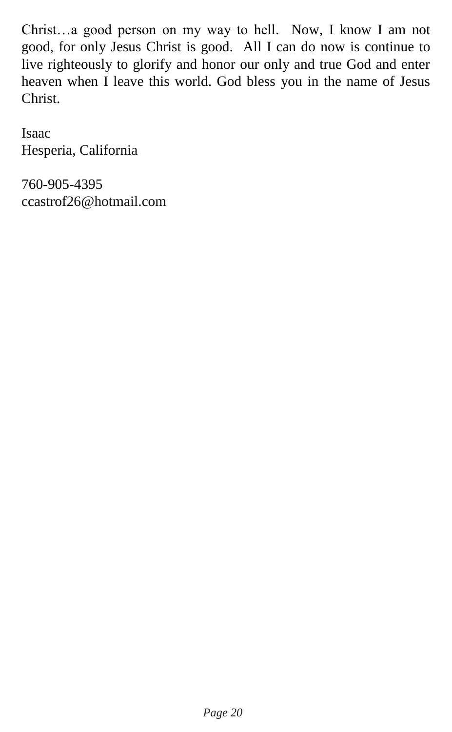Christ…a good person on my way to hell. Now, I know I am not good, for only Jesus Christ is good. All I can do now is continue to live righteously to glorify and honor our only and true God and enter heaven when I leave this world. God bless you in the name of Jesus Christ.

Isaac Hesperia, California

760-905-4395 ccastrof26@hotmail.com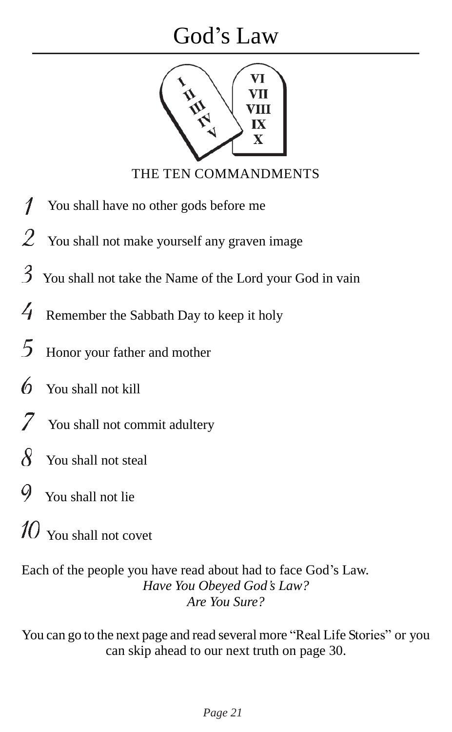#### God's Law



THE TEN COMMANDMENTS

- You shall have no other gods before me
- $2$  You shall not make yourself any graven image
- $3$  You shall not take the Name of the Lord your God in vain
- $4$  Remember the Sabbath Day to keep it holy
- $5$  Honor your father and mother
- $\theta$  You shall not kill
- 7 You shall not commit adultery
- $\delta$  You shall not steal
- $\mathcal{Y}$  You shall not lie
- $10$  You shall not covet

Each of the people you have read about had to face God's Law. *Have You Obeyed God's Law? Are You Sure?*

You can go to the next page and read several more "Real Life Stories" or you can skip ahead to our next truth on page 30.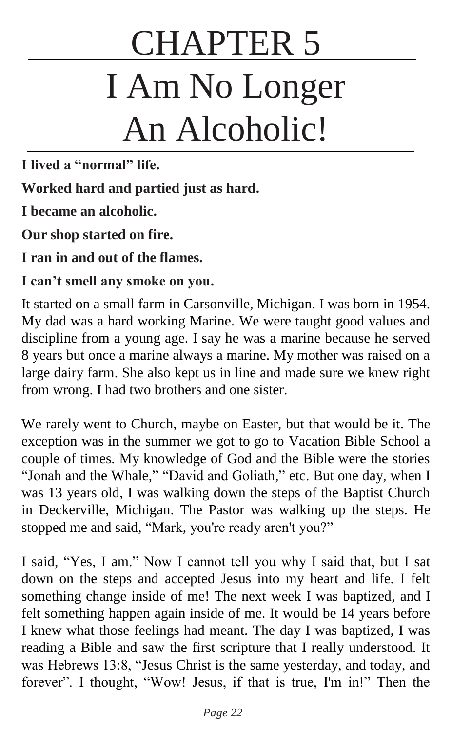### CHAPTER 5 I Am No Longer An Alcoholic!

**I lived a "normal" life.**

**Worked hard and partied just as hard.**

**I became an alcoholic.**

**Our shop started on fire.**

**I ran in and out of the flames.**

**I can't smell any smoke on you.**

It started on a small farm in Carsonville, Michigan. I was born in 1954. My dad was a hard working Marine. We were taught good values and discipline from a young age. I say he was a marine because he served 8 years but once a marine always a marine. My mother was raised on a large dairy farm. She also kept us in line and made sure we knew right from wrong. I had two brothers and one sister.

We rarely went to Church, maybe on Easter, but that would be it. The exception was in the summer we got to go to Vacation Bible School a couple of times. My knowledge of God and the Bible were the stories "Jonah and the Whale," "David and Goliath," etc. But one day, when I was 13 years old, I was walking down the steps of the Baptist Church in Deckerville, Michigan. The Pastor was walking up the steps. He stopped me and said, "Mark, you're ready aren't you?"

I said, "Yes, I am." Now I cannot tell you why I said that, but I sat down on the steps and accepted Jesus into my heart and life. I felt something change inside of me! The next week I was baptized, and I felt something happen again inside of me. It would be 14 years before I knew what those feelings had meant. The day I was baptized, I was reading a Bible and saw the first scripture that I really understood. It was Hebrews 13:8, "Jesus Christ is the same yesterday, and today, and forever". I thought, "Wow! Jesus, if that is true, I'm in!" Then the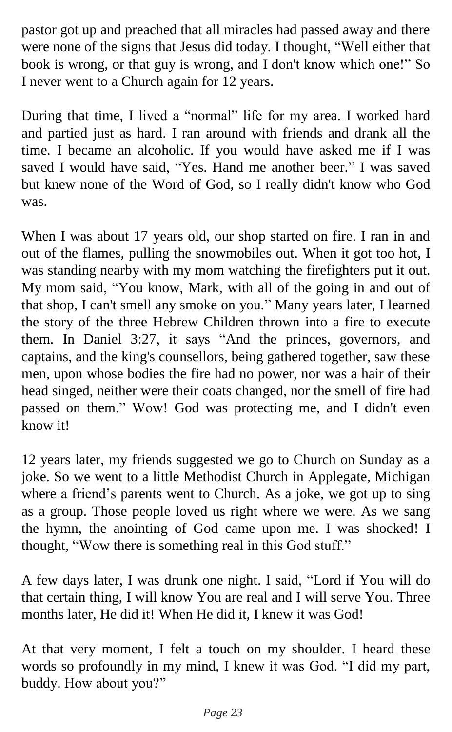pastor got up and preached that all miracles had passed away and there were none of the signs that Jesus did today. I thought, "Well either that book is wrong, or that guy is wrong, and I don't know which one!" So I never went to a Church again for 12 years.

During that time, I lived a "normal" life for my area. I worked hard and partied just as hard. I ran around with friends and drank all the time. I became an alcoholic. If you would have asked me if I was saved I would have said, "Yes. Hand me another beer." I was saved but knew none of the Word of God, so I really didn't know who God was.

When I was about 17 years old, our shop started on fire. I ran in and out of the flames, pulling the snowmobiles out. When it got too hot, I was standing nearby with my mom watching the firefighters put it out. My mom said, "You know, Mark, with all of the going in and out of that shop, I can't smell any smoke on you." Many years later, I learned the story of the three Hebrew Children thrown into a fire to execute them. In Daniel 3:27, it says "And the princes, governors, and captains, and the king's counsellors, being gathered together, saw these men, upon whose bodies the fire had no power, nor was a hair of their head singed, neither were their coats changed, nor the smell of fire had passed on them." Wow! God was protecting me, and I didn't even know it!

12 years later, my friends suggested we go to Church on Sunday as a joke. So we went to a little Methodist Church in Applegate, Michigan where a friend's parents went to Church. As a joke, we got up to sing as a group. Those people loved us right where we were. As we sang the hymn, the anointing of God came upon me. I was shocked! I thought, "Wow there is something real in this God stuff."

A few days later, I was drunk one night. I said, "Lord if You will do that certain thing, I will know You are real and I will serve You. Three months later, He did it! When He did it, I knew it was God!

At that very moment, I felt a touch on my shoulder. I heard these words so profoundly in my mind, I knew it was God. "I did my part, buddy. How about you?"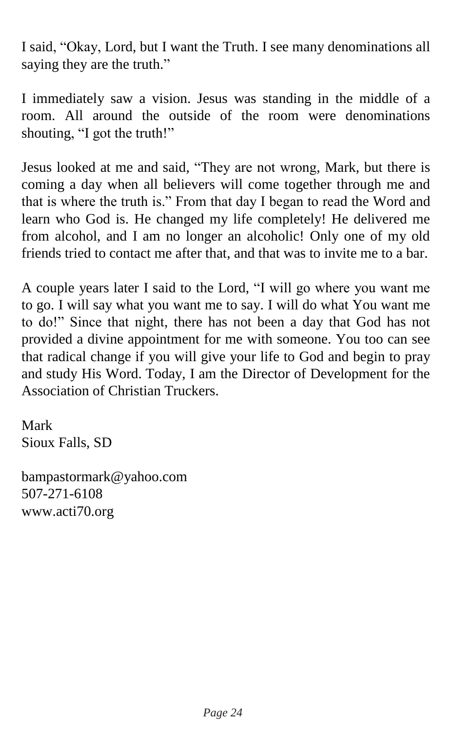I said, "Okay, Lord, but I want the Truth. I see many denominations all saying they are the truth."

I immediately saw a vision. Jesus was standing in the middle of a room. All around the outside of the room were denominations shouting, "I got the truth!"

Jesus looked at me and said, "They are not wrong, Mark, but there is coming a day when all believers will come together through me and that is where the truth is." From that day I began to read the Word and learn who God is. He changed my life completely! He delivered me from alcohol, and I am no longer an alcoholic! Only one of my old friends tried to contact me after that, and that was to invite me to a bar.

A couple years later I said to the Lord, "I will go where you want me to go. I will say what you want me to say. I will do what You want me to do!" Since that night, there has not been a day that God has not provided a divine appointment for me with someone. You too can see that radical change if you will give your life to God and begin to pray and study His Word. Today, I am the Director of Development for the Association of Christian Truckers.

Mark Sioux Falls, SD

bampastormark@yahoo.com 507-271-6108 www.acti70.org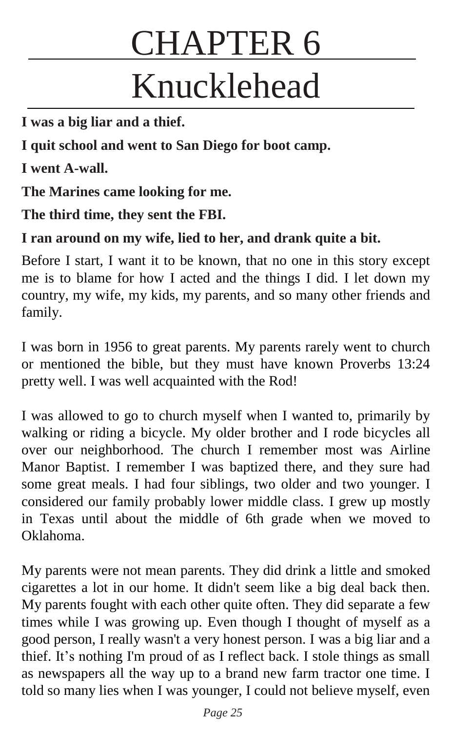### CHAPTER 6 Knucklehead

**I was a big liar and a thief.**

**I quit school and went to San Diego for boot camp.**

**I went A-wall.**

**The Marines came looking for me.**

**The third time, they sent the FBI.**

**I ran around on my wife, lied to her, and drank quite a bit.**

Before I start, I want it to be known, that no one in this story except me is to blame for how I acted and the things I did. I let down my country, my wife, my kids, my parents, and so many other friends and family.

I was born in 1956 to great parents. My parents rarely went to church or mentioned the bible, but they must have known Proverbs 13:24 pretty well. I was well acquainted with the Rod!

I was allowed to go to church myself when I wanted to, primarily by walking or riding a bicycle. My older brother and I rode bicycles all over our neighborhood. The church I remember most was Airline Manor Baptist. I remember I was baptized there, and they sure had some great meals. I had four siblings, two older and two younger. I considered our family probably lower middle class. I grew up mostly in Texas until about the middle of 6th grade when we moved to Oklahoma.

My parents were not mean parents. They did drink a little and smoked cigarettes a lot in our home. It didn't seem like a big deal back then. My parents fought with each other quite often. They did separate a few times while I was growing up. Even though I thought of myself as a good person, I really wasn't a very honest person. I was a big liar and a thief. It's nothing I'm proud of as I reflect back. I stole things as small as newspapers all the way up to a brand new farm tractor one time. I told so many lies when I was younger, I could not believe myself, even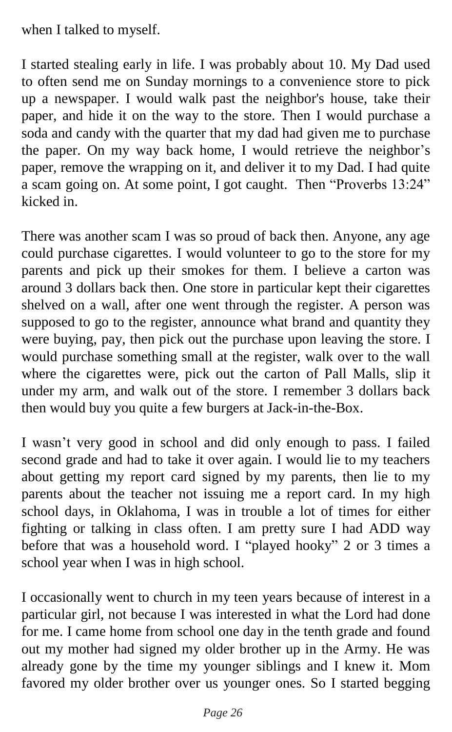when I talked to myself.

I started stealing early in life. I was probably about 10. My Dad used to often send me on Sunday mornings to a convenience store to pick up a newspaper. I would walk past the neighbor's house, take their paper, and hide it on the way to the store. Then I would purchase a soda and candy with the quarter that my dad had given me to purchase the paper. On my way back home, I would retrieve the neighbor's paper, remove the wrapping on it, and deliver it to my Dad. I had quite a scam going on. At some point, I got caught. Then "Proverbs 13:24" kicked in.

There was another scam I was so proud of back then. Anyone, any age could purchase cigarettes. I would volunteer to go to the store for my parents and pick up their smokes for them. I believe a carton was around 3 dollars back then. One store in particular kept their cigarettes shelved on a wall, after one went through the register. A person was supposed to go to the register, announce what brand and quantity they were buying, pay, then pick out the purchase upon leaving the store. I would purchase something small at the register, walk over to the wall where the cigarettes were, pick out the carton of Pall Malls, slip it under my arm, and walk out of the store. I remember 3 dollars back then would buy you quite a few burgers at Jack-in-the-Box.

I wasn't very good in school and did only enough to pass. I failed second grade and had to take it over again. I would lie to my teachers about getting my report card signed by my parents, then lie to my parents about the teacher not issuing me a report card. In my high school days, in Oklahoma, I was in trouble a lot of times for either fighting or talking in class often. I am pretty sure I had ADD way before that was a household word. I "played hooky" 2 or 3 times a school year when I was in high school.

I occasionally went to church in my teen years because of interest in a particular girl, not because I was interested in what the Lord had done for me. I came home from school one day in the tenth grade and found out my mother had signed my older brother up in the Army. He was already gone by the time my younger siblings and I knew it. Mom favored my older brother over us younger ones. So I started begging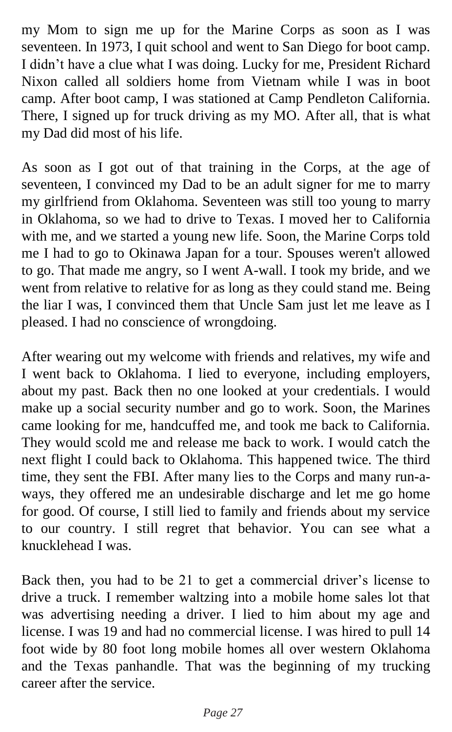my Mom to sign me up for the Marine Corps as soon as I was seventeen. In 1973, I quit school and went to San Diego for boot camp. I didn't have a clue what I was doing. Lucky for me, President Richard Nixon called all soldiers home from Vietnam while I was in boot camp. After boot camp, I was stationed at Camp Pendleton California. There, I signed up for truck driving as my MO. After all, that is what my Dad did most of his life.

As soon as I got out of that training in the Corps, at the age of seventeen, I convinced my Dad to be an adult signer for me to marry my girlfriend from Oklahoma. Seventeen was still too young to marry in Oklahoma, so we had to drive to Texas. I moved her to California with me, and we started a young new life. Soon, the Marine Corps told me I had to go to Okinawa Japan for a tour. Spouses weren't allowed to go. That made me angry, so I went A-wall. I took my bride, and we went from relative to relative for as long as they could stand me. Being the liar I was, I convinced them that Uncle Sam just let me leave as I pleased. I had no conscience of wrongdoing.

After wearing out my welcome with friends and relatives, my wife and I went back to Oklahoma. I lied to everyone, including employers, about my past. Back then no one looked at your credentials. I would make up a social security number and go to work. Soon, the Marines came looking for me, handcuffed me, and took me back to California. They would scold me and release me back to work. I would catch the next flight I could back to Oklahoma. This happened twice. The third time, they sent the FBI. After many lies to the Corps and many run-aways, they offered me an undesirable discharge and let me go home for good. Of course, I still lied to family and friends about my service to our country. I still regret that behavior. You can see what a knucklehead I was.

Back then, you had to be 21 to get a commercial driver's license to drive a truck. I remember waltzing into a mobile home sales lot that was advertising needing a driver. I lied to him about my age and license. I was 19 and had no commercial license. I was hired to pull 14 foot wide by 80 foot long mobile homes all over western Oklahoma and the Texas panhandle. That was the beginning of my trucking career after the service.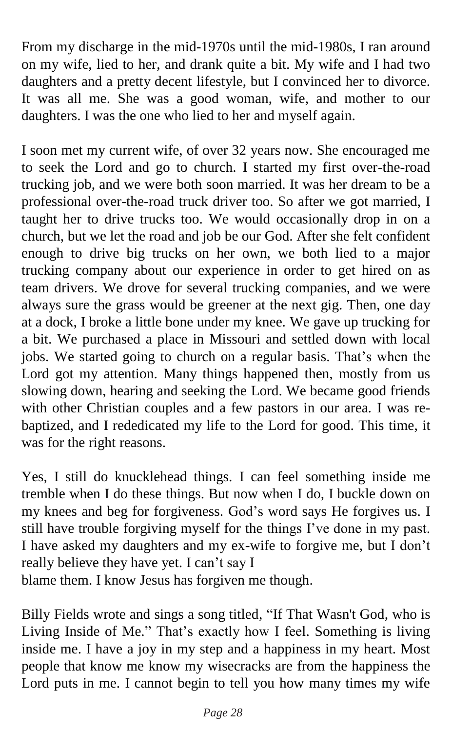From my discharge in the mid-1970s until the mid-1980s, I ran around on my wife, lied to her, and drank quite a bit. My wife and I had two daughters and a pretty decent lifestyle, but I convinced her to divorce. It was all me. She was a good woman, wife, and mother to our daughters. I was the one who lied to her and myself again.

I soon met my current wife, of over 32 years now. She encouraged me to seek the Lord and go to church. I started my first over-the-road trucking job, and we were both soon married. It was her dream to be a professional over-the-road truck driver too. So after we got married, I taught her to drive trucks too. We would occasionally drop in on a church, but we let the road and job be our God. After she felt confident enough to drive big trucks on her own, we both lied to a major trucking company about our experience in order to get hired on as team drivers. We drove for several trucking companies, and we were always sure the grass would be greener at the next gig. Then, one day at a dock, I broke a little bone under my knee. We gave up trucking for a bit. We purchased a place in Missouri and settled down with local jobs. We started going to church on a regular basis. That's when the Lord got my attention. Many things happened then, mostly from us slowing down, hearing and seeking the Lord. We became good friends with other Christian couples and a few pastors in our area. I was rebaptized, and I rededicated my life to the Lord for good. This time, it was for the right reasons.

Yes, I still do knucklehead things. I can feel something inside me tremble when I do these things. But now when I do, I buckle down on my knees and beg for forgiveness. God's word says He forgives us. I still have trouble forgiving myself for the things I've done in my past. I have asked my daughters and my ex-wife to forgive me, but I don't really believe they have yet. I can't say I blame them. I know Jesus has forgiven me though.

Billy Fields wrote and sings a song titled, "If That Wasn't God, who is Living Inside of Me." That's exactly how I feel. Something is living inside me. I have a joy in my step and a happiness in my heart. Most people that know me know my wisecracks are from the happiness the Lord puts in me. I cannot begin to tell you how many times my wife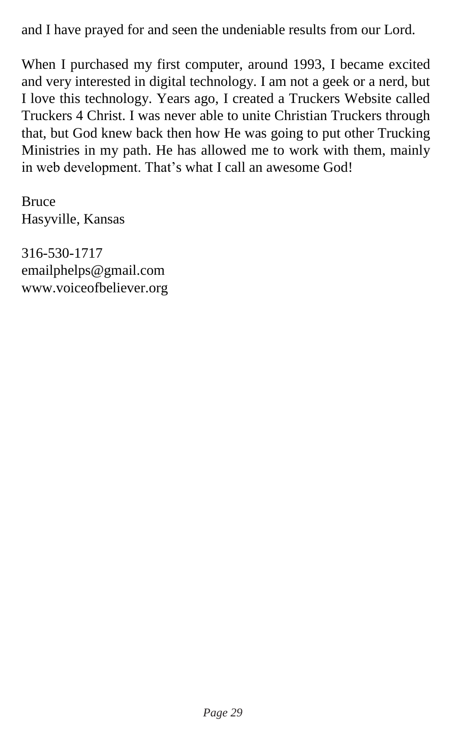and I have prayed for and seen the undeniable results from our Lord.

When I purchased my first computer, around 1993, I became excited and very interested in digital technology. I am not a geek or a nerd, but I love this technology. Years ago, I created a Truckers Website called Truckers 4 Christ. I was never able to unite Christian Truckers through that, but God knew back then how He was going to put other Trucking Ministries in my path. He has allowed me to work with them, mainly in web development. That's what I call an awesome God!

Bruce Hasyville, Kansas

316-530-1717 emailphelps@gmail.com www.voiceofbeliever.org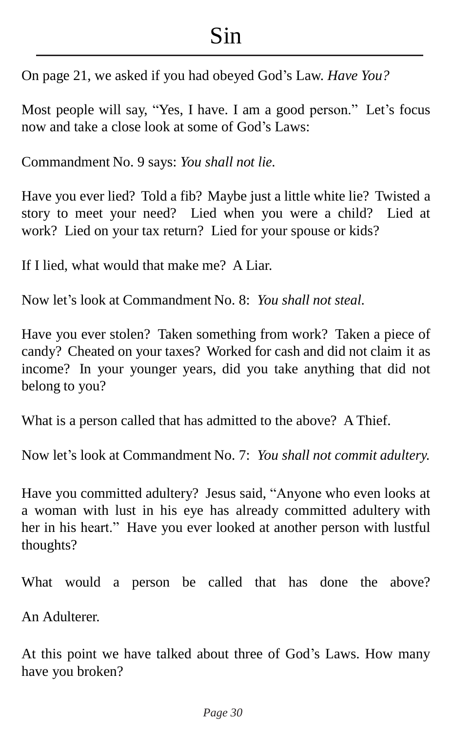On page 21, we asked if you had obeyed God's Law. *Have You?*

Most people will say, "Yes, I have. I am a good person." Let's focus now and take a close look at some of God's Laws:

Commandment No. 9 says: *You shall not lie.*

Have you ever lied? Told a fib? Maybe just a little white lie? Twisted a story to meet your need? Lied when you were a child? Lied at work? Lied on your tax return? Lied for your spouse or kids?

If I lied, what would that make me? A Liar.

Now let's look at Commandment No. 8: *You shall not steal.*

Have you ever stolen? Taken something from work? Taken a piece of candy? Cheated on your taxes? Worked for cash and did not claim it as income? In your younger years, did you take anything that did not belong to you?

What is a person called that has admitted to the above? A Thief.

Now let's look at Commandment No. 7: *You shall not commit adultery.*

Have you committed adultery? Jesus said, "Anyone who even looks at a woman with lust in his eye has already committed adultery with her in his heart." Have you ever looked at another person with lustful thoughts?

What would a person be called that has done the above?

An Adulterer.

At this point we have talked about three of God's Laws. How many have you broken?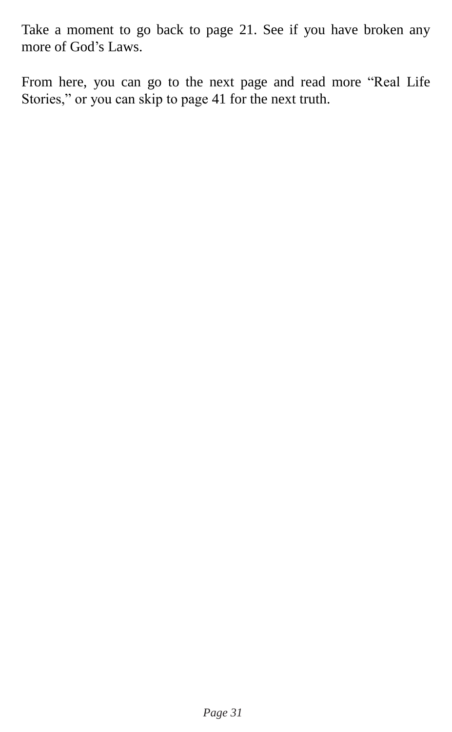Take a moment to go back to page 21. See if you have broken any more of God's Laws.

From here, you can go to the next page and read more "Real Life Stories," or you can skip to page 41 for the next truth.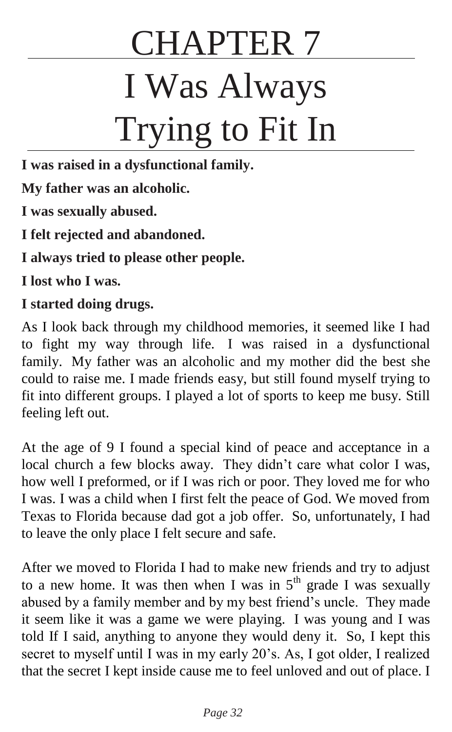## CHAPTER 7 I Was Always Trying to Fit In

**I was raised in a dysfunctional family.**

**My father was an alcoholic.**

**I was sexually abused.**

**I felt rejected and abandoned.**

**I always tried to please other people.**

**I lost who I was.**

**I started doing drugs.**

As I look back through my childhood memories, it seemed like I had to fight my way through life. I was raised in a dysfunctional family. My father was an alcoholic and my mother did the best she could to raise me. I made friends easy, but still found myself trying to fit into different groups. I played a lot of sports to keep me busy. Still feeling left out.

At the age of 9 I found a special kind of peace and acceptance in a local church a few blocks away. They didn't care what color I was, how well I preformed, or if I was rich or poor. They loved me for who I was. I was a child when I first felt the peace of God. We moved from Texas to Florida because dad got a job offer. So, unfortunately, I had to leave the only place I felt secure and safe.

After we moved to Florida I had to make new friends and try to adjust to a new home. It was then when I was in  $5<sup>th</sup>$  grade I was sexually abused by a family member and by my best friend's uncle. They made it seem like it was a game we were playing. I was young and I was told If I said, anything to anyone they would deny it. So, I kept this secret to myself until I was in my early 20's. As, I got older, I realized that the secret I kept inside cause me to feel unloved and out of place. I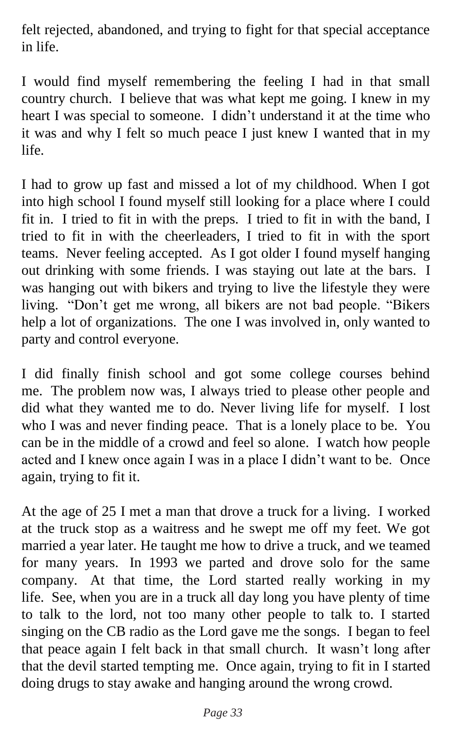felt rejected, abandoned, and trying to fight for that special acceptance in life.

I would find myself remembering the feeling I had in that small country church. I believe that was what kept me going. I knew in my heart I was special to someone. I didn't understand it at the time who it was and why I felt so much peace I just knew I wanted that in my life.

I had to grow up fast and missed a lot of my childhood. When I got into high school I found myself still looking for a place where I could fit in. I tried to fit in with the preps. I tried to fit in with the band, I tried to fit in with the cheerleaders, I tried to fit in with the sport teams. Never feeling accepted. As I got older I found myself hanging out drinking with some friends. I was staying out late at the bars. I was hanging out with bikers and trying to live the lifestyle they were living. "Don't get me wrong, all bikers are not bad people. "Bikers help a lot of organizations. The one I was involved in, only wanted to party and control everyone.

I did finally finish school and got some college courses behind me. The problem now was, I always tried to please other people and did what they wanted me to do. Never living life for myself. I lost who I was and never finding peace. That is a lonely place to be. You can be in the middle of a crowd and feel so alone. I watch how people acted and I knew once again I was in a place I didn't want to be. Once again, trying to fit it.

At the age of 25 I met a man that drove a truck for a living. I worked at the truck stop as a waitress and he swept me off my feet. We got married a year later. He taught me how to drive a truck, and we teamed for many years. In 1993 we parted and drove solo for the same company. At that time, the Lord started really working in my life. See, when you are in a truck all day long you have plenty of time to talk to the lord, not too many other people to talk to. I started singing on the CB radio as the Lord gave me the songs. I began to feel that peace again I felt back in that small church. It wasn't long after that the devil started tempting me. Once again, trying to fit in I started doing drugs to stay awake and hanging around the wrong crowd.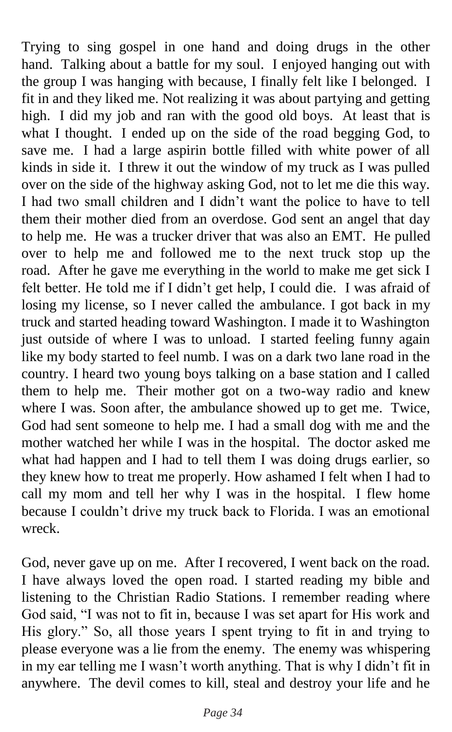Trying to sing gospel in one hand and doing drugs in the other hand. Talking about a battle for my soul. I enjoyed hanging out with the group I was hanging with because, I finally felt like I belonged. I fit in and they liked me. Not realizing it was about partying and getting high. I did my job and ran with the good old boys. At least that is what I thought. I ended up on the side of the road begging God, to save me. I had a large aspirin bottle filled with white power of all kinds in side it. I threw it out the window of my truck as I was pulled over on the side of the highway asking God, not to let me die this way. I had two small children and I didn't want the police to have to tell them their mother died from an overdose. God sent an angel that day to help me. He was a trucker driver that was also an EMT. He pulled over to help me and followed me to the next truck stop up the road. After he gave me everything in the world to make me get sick I felt better. He told me if I didn't get help, I could die. I was afraid of losing my license, so I never called the ambulance. I got back in my truck and started heading toward Washington. I made it to Washington just outside of where I was to unload. I started feeling funny again like my body started to feel numb. I was on a dark two lane road in the country. I heard two young boys talking on a base station and I called them to help me. Their mother got on a two-way radio and knew where I was. Soon after, the ambulance showed up to get me. Twice, God had sent someone to help me. I had a small dog with me and the mother watched her while I was in the hospital. The doctor asked me what had happen and I had to tell them I was doing drugs earlier, so they knew how to treat me properly. How ashamed I felt when I had to call my mom and tell her why I was in the hospital. I flew home because I couldn't drive my truck back to Florida. I was an emotional wreck.

God, never gave up on me. After I recovered, I went back on the road. I have always loved the open road. I started reading my bible and listening to the Christian Radio Stations. I remember reading where God said, "I was not to fit in, because I was set apart for His work and His glory." So, all those years I spent trying to fit in and trying to please everyone was a lie from the enemy. The enemy was whispering in my ear telling me I wasn't worth anything. That is why I didn't fit in anywhere. The devil comes to kill, steal and destroy your life and he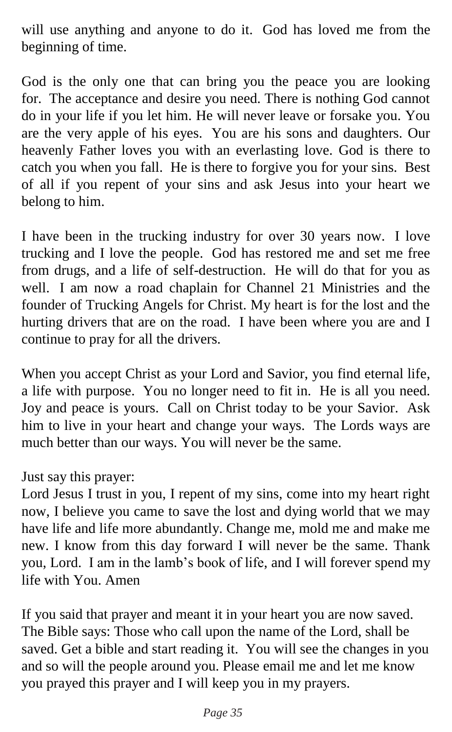will use anything and anyone to do it. God has loved me from the beginning of time.

God is the only one that can bring you the peace you are looking for. The acceptance and desire you need. There is nothing God cannot do in your life if you let him. He will never leave or forsake you. You are the very apple of his eyes. You are his sons and daughters. Our heavenly Father loves you with an everlasting love. God is there to catch you when you fall. He is there to forgive you for your sins. Best of all if you repent of your sins and ask Jesus into your heart we belong to him.

I have been in the trucking industry for over 30 years now. I love trucking and I love the people. God has restored me and set me free from drugs, and a life of self-destruction. He will do that for you as well. I am now a road chaplain for Channel 21 Ministries and the founder of Trucking Angels for Christ. My heart is for the lost and the hurting drivers that are on the road. I have been where you are and I continue to pray for all the drivers.

When you accept Christ as your Lord and Savior, you find eternal life, a life with purpose. You no longer need to fit in. He is all you need. Joy and peace is yours. Call on Christ today to be your Savior. Ask him to live in your heart and change your ways. The Lords ways are much better than our ways. You will never be the same.

Just say this prayer:

Lord Jesus I trust in you, I repent of my sins, come into my heart right now, I believe you came to save the lost and dying world that we may have life and life more abundantly. Change me, mold me and make me new. I know from this day forward I will never be the same. Thank you, Lord. I am in the lamb's book of life, and I will forever spend my life with You. Amen

If you said that prayer and meant it in your heart you are now saved. The Bible says: Those who call upon the name of the Lord, shall be saved. Get a bible and start reading it. You will see the changes in you and so will the people around you. Please email me and let me know you prayed this prayer and I will keep you in my prayers.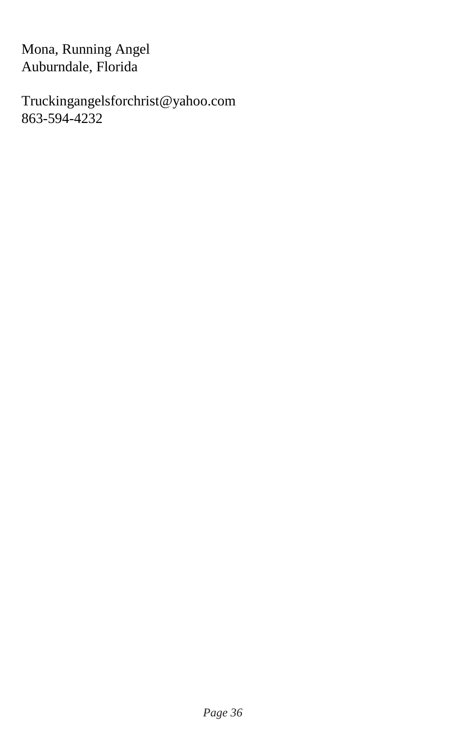Mona, Running Angel Auburndale, Florida

Truckingangelsforchrist@yahoo.com 863-594-4232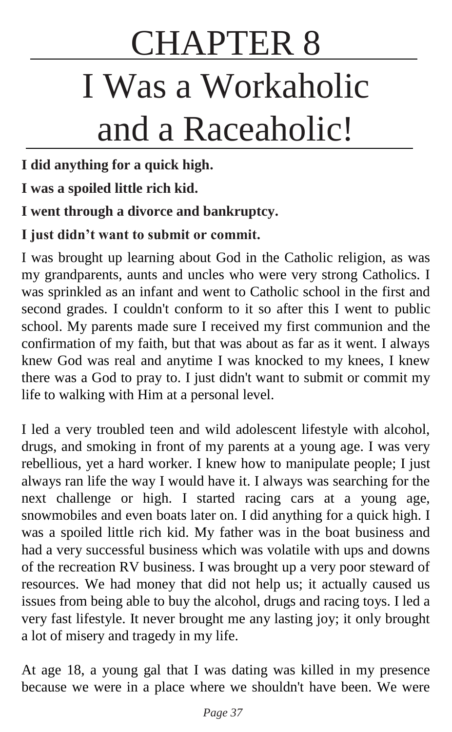### CHAPTER 8 I Was a Workaholic and a Raceaholic!

**I did anything for a quick high.**

**I was a spoiled little rich kid.**

**I went through a divorce and bankruptcy.**

### **I just didn't want to submit or commit.**

I was brought up learning about God in the Catholic religion, as was my grandparents, aunts and uncles who were very strong Catholics. I was sprinkled as an infant and went to Catholic school in the first and second grades. I couldn't conform to it so after this I went to public school. My parents made sure I received my first communion and the confirmation of my faith, but that was about as far as it went. I always knew God was real and anytime I was knocked to my knees, I knew there was a God to pray to. I just didn't want to submit or commit my life to walking with Him at a personal level.

I led a very troubled teen and wild adolescent lifestyle with alcohol, drugs, and smoking in front of my parents at a young age. I was very rebellious, yet a hard worker. I knew how to manipulate people; I just always ran life the way I would have it. I always was searching for the next challenge or high. I started racing cars at a young age, snowmobiles and even boats later on. I did anything for a quick high. I was a spoiled little rich kid. My father was in the boat business and had a very successful business which was volatile with ups and downs of the recreation RV business. I was brought up a very poor steward of resources. We had money that did not help us; it actually caused us issues from being able to buy the alcohol, drugs and racing toys. I led a very fast lifestyle. It never brought me any lasting joy; it only brought a lot of misery and tragedy in my life.

At age 18, a young gal that I was dating was killed in my presence because we were in a place where we shouldn't have been. We were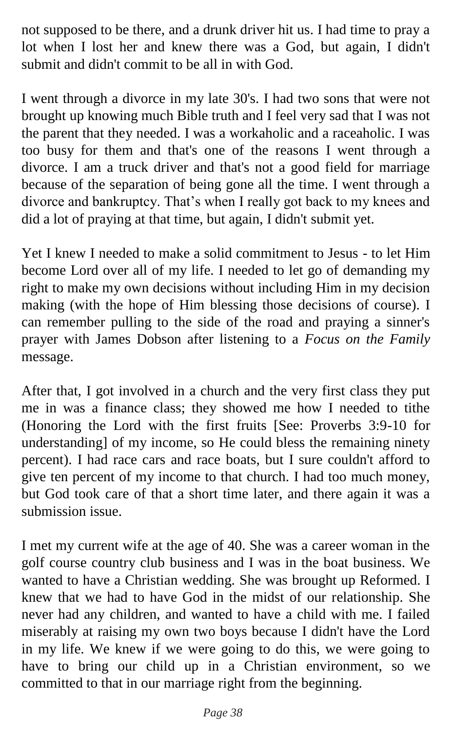not supposed to be there, and a drunk driver hit us. I had time to pray a lot when I lost her and knew there was a God, but again, I didn't submit and didn't commit to be all in with God.

I went through a divorce in my late 30's. I had two sons that were not brought up knowing much Bible truth and I feel very sad that I was not the parent that they needed. I was a workaholic and a raceaholic. I was too busy for them and that's one of the reasons I went through a divorce. I am a truck driver and that's not a good field for marriage because of the separation of being gone all the time. I went through a divorce and bankruptcy. That's when I really got back to my knees and did a lot of praying at that time, but again, I didn't submit yet.

Yet I knew I needed to make a solid commitment to Jesus - to let Him become Lord over all of my life. I needed to let go of demanding my right to make my own decisions without including Him in my decision making (with the hope of Him blessing those decisions of course). I can remember pulling to the side of the road and praying a sinner's prayer with James Dobson after listening to a *Focus on the Family*  message.

After that, I got involved in a church and the very first class they put me in was a finance class; they showed me how I needed to tithe (Honoring the Lord with the first fruits [See: Proverbs 3:9-10 for understanding] of my income, so He could bless the remaining ninety percent). I had race cars and race boats, but I sure couldn't afford to give ten percent of my income to that church. I had too much money, but God took care of that a short time later, and there again it was a submission issue.

I met my current wife at the age of 40. She was a career woman in the golf course country club business and I was in the boat business. We wanted to have a Christian wedding. She was brought up Reformed. I knew that we had to have God in the midst of our relationship. She never had any children, and wanted to have a child with me. I failed miserably at raising my own two boys because I didn't have the Lord in my life. We knew if we were going to do this, we were going to have to bring our child up in a Christian environment, so we committed to that in our marriage right from the beginning.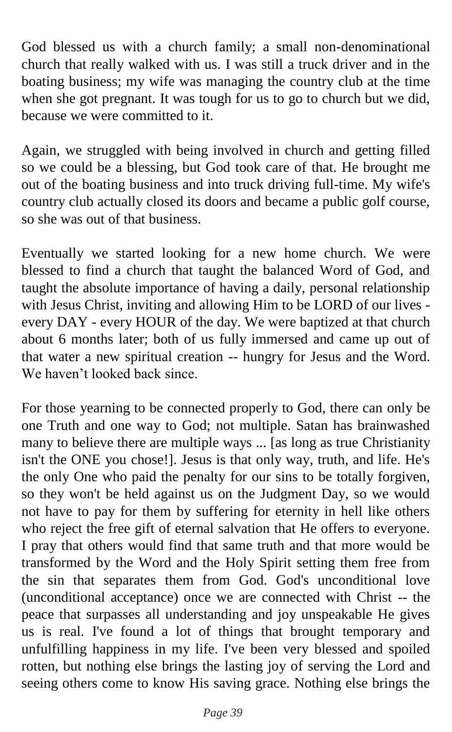God blessed us with a church family; a small non-denominational church that really walked with us. I was still a truck driver and in the boating business; my wife was managing the country club at the time when she got pregnant. It was tough for us to go to church but we did, because we were committed to it.

Again, we struggled with being involved in church and getting filled so we could be a blessing, but God took care of that. He brought me out of the boating business and into truck driving full-time. My wife's country club actually closed its doors and became a public golf course, so she was out of that business.

Eventually we started looking for a new home church. We were blessed to find a church that taught the balanced Word of God, and taught the absolute importance of having a daily, personal relationship with Jesus Christ, inviting and allowing Him to be LORD of our lives every DAY - every HOUR of the day. We were baptized at that church about 6 months later; both of us fully immersed and came up out of that water a new spiritual creation -- hungry for Jesus and the Word. We haven't looked back since.

For those yearning to be connected properly to God, there can only be one Truth and one way to God; not multiple. Satan has brainwashed many to believe there are multiple ways ... [as long as true Christianity isn't the ONE you chose!]. Jesus is that only way, truth, and life. He's the only One who paid the penalty for our sins to be totally forgiven, so they won't be held against us on the Judgment Day, so we would not have to pay for them by suffering for eternity in hell like others who reject the free gift of eternal salvation that He offers to everyone. I pray that others would find that same truth and that more would be transformed by the Word and the Holy Spirit setting them free from the sin that separates them from God. God's unconditional love (unconditional acceptance) once we are connected with Christ -- the peace that surpasses all understanding and joy unspeakable He gives us is real. I've found a lot of things that brought temporary and unfulfilling happiness in my life. I've been very blessed and spoiled rotten, but nothing else brings the lasting joy of serving the Lord and seeing others come to know His saving grace. Nothing else brings the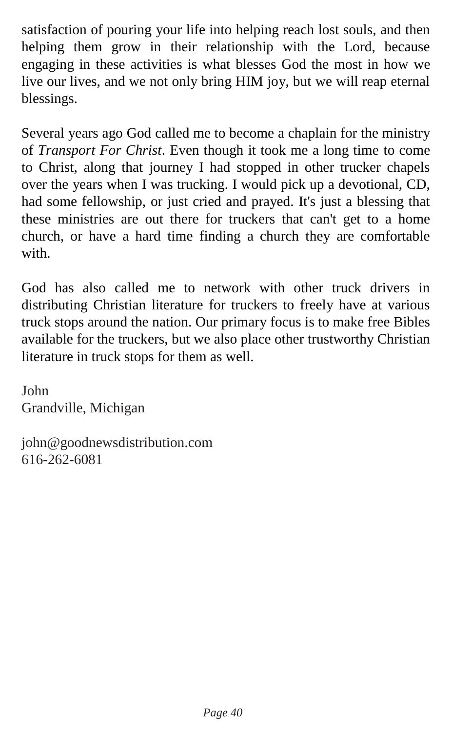satisfaction of pouring your life into helping reach lost souls, and then helping them grow in their relationship with the Lord, because engaging in these activities is what blesses God the most in how we live our lives, and we not only bring HIM joy, but we will reap eternal blessings.

Several years ago God called me to become a chaplain for the ministry of *Transport For Christ*. Even though it took me a long time to come to Christ, along that journey I had stopped in other trucker chapels over the years when I was trucking. I would pick up a devotional, CD, had some fellowship, or just cried and prayed. It's just a blessing that these ministries are out there for truckers that can't get to a home church, or have a hard time finding a church they are comfortable with.

God has also called me to network with other truck drivers in distributing Christian literature for truckers to freely have at various truck stops around the nation. Our primary focus is to make free Bibles available for the truckers, but we also place other trustworthy Christian literature in truck stops for them as well.

John Grandville, Michigan

john@goodnewsdistribution.com 616-262-6081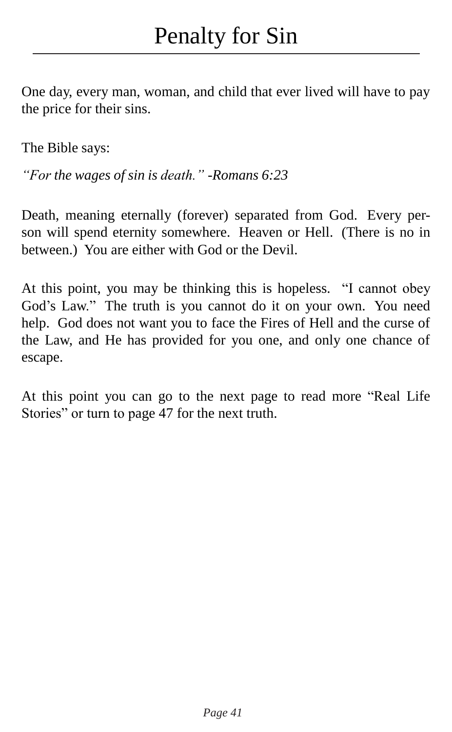One day, every man, woman, and child that ever lived will have to pay the price for their sins.

The Bible says:

*"For the wages of sin is death." -Romans 6:23*

Death, meaning eternally (forever) separated from God. Every person will spend eternity somewhere. Heaven or Hell. (There is no in between.) You are either with God or the Devil.

At this point, you may be thinking this is hopeless. "I cannot obey God's Law." The truth is you cannot do it on your own. You need help. God does not want you to face the Fires of Hell and the curse of the Law, and He has provided for you one, and only one chance of escape.

At this point you can go to the next page to read more "Real Life Stories" or turn to page 47 for the next truth.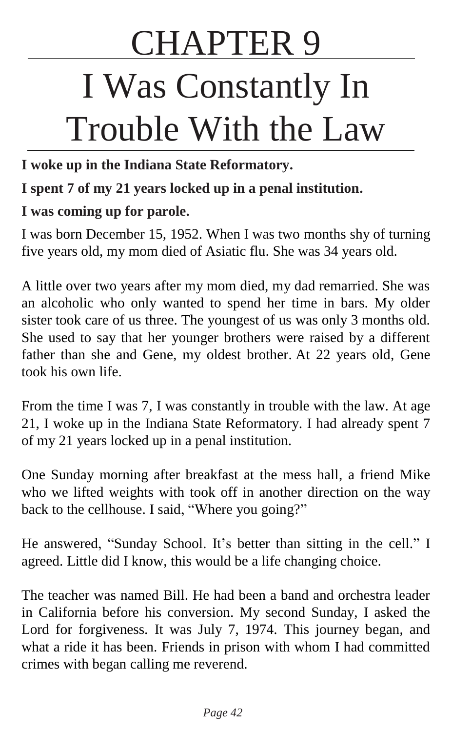## CHAPTER 9 I Was Constantly In Trouble With the Law

**I woke up in the Indiana State Reformatory.**

**I spent 7 of my 21 years locked up in a penal institution.**

### **I was coming up for parole.**

I was born December 15, 1952. When I was two months shy of turning five years old, my mom died of Asiatic flu. She was 34 years old.

A little over two years after my mom died, my dad remarried. She was an alcoholic who only wanted to spend her time in bars. My older sister took care of us three. The youngest of us was only 3 months old. She used to say that her younger brothers were raised by a different father than she and Gene, my oldest brother. At 22 years old, Gene took his own life.

From the time I was 7, I was constantly in trouble with the law. At age 21, I woke up in the Indiana State Reformatory. I had already spent 7 of my 21 years locked up in a penal institution.

One Sunday morning after breakfast at the mess hall, a friend Mike who we lifted weights with took off in another direction on the way back to the cellhouse. I said, "Where you going?"

He answered, "Sunday School. It's better than sitting in the cell." I agreed. Little did I know, this would be a life changing choice.

The teacher was named Bill. He had been a band and orchestra leader in California before his conversion. My second Sunday, I asked the Lord for forgiveness. It was July 7, 1974. This journey began, and what a ride it has been. Friends in prison with whom I had committed crimes with began calling me reverend.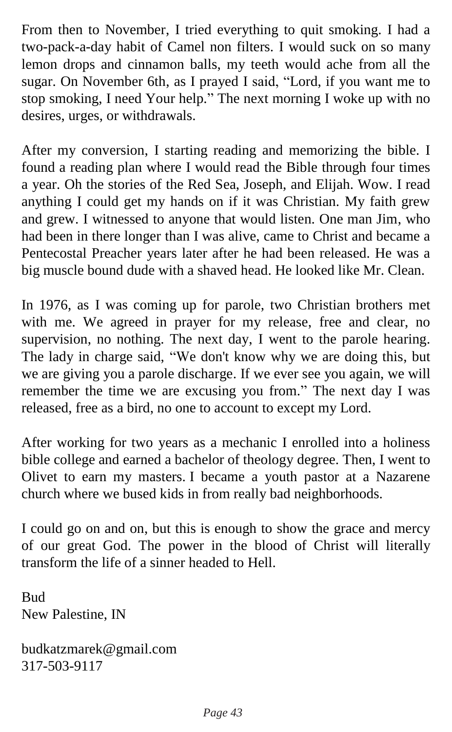From then to November, I tried everything to quit smoking. I had a two-pack-a-day habit of Camel non filters. I would suck on so many lemon drops and cinnamon balls, my teeth would ache from all the sugar. On November 6th, as I prayed I said, "Lord, if you want me to stop smoking, I need Your help." The next morning I woke up with no desires, urges, or withdrawals.

After my conversion, I starting reading and memorizing the bible. I found a reading plan where I would read the Bible through four times a year. Oh the stories of the Red Sea, Joseph, and Elijah. Wow. I read anything I could get my hands on if it was Christian. My faith grew and grew. I witnessed to anyone that would listen. One man Jim, who had been in there longer than I was alive, came to Christ and became a Pentecostal Preacher years later after he had been released. He was a big muscle bound dude with a shaved head. He looked like Mr. Clean.

In 1976, as I was coming up for parole, two Christian brothers met with me. We agreed in prayer for my release, free and clear, no supervision, no nothing. The next day, I went to the parole hearing. The lady in charge said, "We don't know why we are doing this, but we are giving you a parole discharge. If we ever see you again, we will remember the time we are excusing you from." The next day I was released, free as a bird, no one to account to except my Lord.

After working for two years as a mechanic I enrolled into a holiness bible college and earned a bachelor of theology degree. Then, I went to Olivet to earn my masters. I became a youth pastor at a Nazarene church where we bused kids in from really bad neighborhoods.

I could go on and on, but this is enough to show the grace and mercy of our great God. The power in the blood of Christ will literally transform the life of a sinner headed to Hell.

Bud New Palestine, IN

budkatzmarek@gmail.com 317-503-9117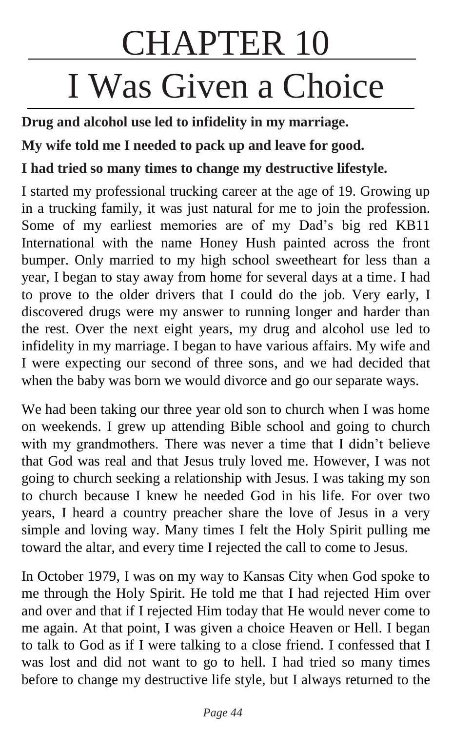### CHAPTER 10 I Was Given a Choice

**Drug and alcohol use led to infidelity in my marriage.**

**My wife told me I needed to pack up and leave for good.**

### **I had tried so many times to change my destructive lifestyle.**

I started my professional trucking career at the age of 19. Growing up in a trucking family, it was just natural for me to join the profession. Some of my earliest memories are of my Dad's big red KB11 International with the name Honey Hush painted across the front bumper. Only married to my high school sweetheart for less than a year, I began to stay away from home for several days at a time. I had to prove to the older drivers that I could do the job. Very early, I discovered drugs were my answer to running longer and harder than the rest. Over the next eight years, my drug and alcohol use led to infidelity in my marriage. I began to have various affairs. My wife and I were expecting our second of three sons, and we had decided that when the baby was born we would divorce and go our separate ways.

We had been taking our three year old son to church when I was home on weekends. I grew up attending Bible school and going to church with my grandmothers. There was never a time that I didn't believe that God was real and that Jesus truly loved me. However, I was not going to church seeking a relationship with Jesus. I was taking my son to church because I knew he needed God in his life. For over two years, I heard a country preacher share the love of Jesus in a very simple and loving way. Many times I felt the Holy Spirit pulling me toward the altar, and every time I rejected the call to come to Jesus.

In October 1979, I was on my way to Kansas City when God spoke to me through the Holy Spirit. He told me that I had rejected Him over and over and that if I rejected Him today that He would never come to me again. At that point, I was given a choice Heaven or Hell. I began to talk to God as if I were talking to a close friend. I confessed that I was lost and did not want to go to hell. I had tried so many times before to change my destructive life style, but I always returned to the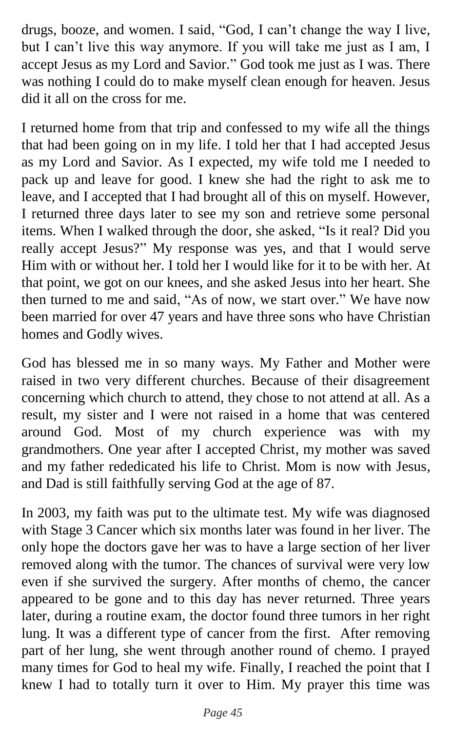drugs, booze, and women. I said, "God, I can't change the way I live, but I can't live this way anymore. If you will take me just as I am, I accept Jesus as my Lord and Savior." God took me just as I was. There was nothing I could do to make myself clean enough for heaven. Jesus did it all on the cross for me.

I returned home from that trip and confessed to my wife all the things that had been going on in my life. I told her that I had accepted Jesus as my Lord and Savior. As I expected, my wife told me I needed to pack up and leave for good. I knew she had the right to ask me to leave, and I accepted that I had brought all of this on myself. However, I returned three days later to see my son and retrieve some personal items. When I walked through the door, she asked, "Is it real? Did you really accept Jesus?" My response was yes, and that I would serve Him with or without her. I told her I would like for it to be with her. At that point, we got on our knees, and she asked Jesus into her heart. She then turned to me and said, "As of now, we start over." We have now been married for over 47 years and have three sons who have Christian homes and Godly wives.

God has blessed me in so many ways. My Father and Mother were raised in two very different churches. Because of their disagreement concerning which church to attend, they chose to not attend at all. As a result, my sister and I were not raised in a home that was centered around God. Most of my church experience was with my grandmothers. One year after I accepted Christ, my mother was saved and my father rededicated his life to Christ. Mom is now with Jesus, and Dad is still faithfully serving God at the age of 87.

In 2003, my faith was put to the ultimate test. My wife was diagnosed with Stage 3 Cancer which six months later was found in her liver. The only hope the doctors gave her was to have a large section of her liver removed along with the tumor. The chances of survival were very low even if she survived the surgery. After months of chemo, the cancer appeared to be gone and to this day has never returned. Three years later, during a routine exam, the doctor found three tumors in her right lung. It was a different type of cancer from the first. After removing part of her lung, she went through another round of chemo. I prayed many times for God to heal my wife. Finally, I reached the point that I knew I had to totally turn it over to Him. My prayer this time was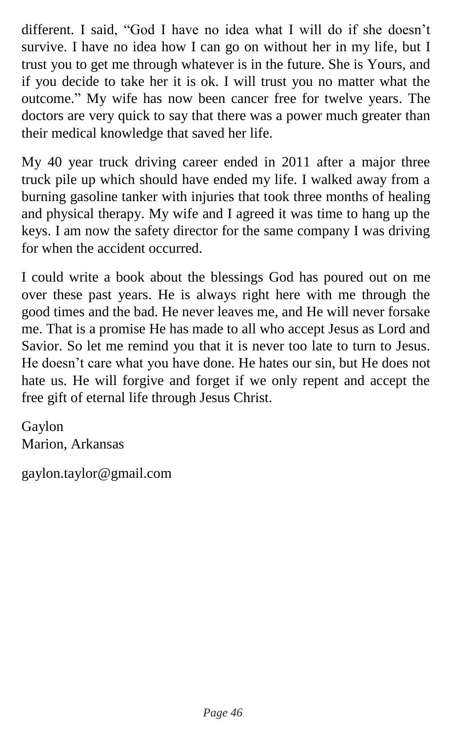different. I said, "God I have no idea what I will do if she doesn't survive. I have no idea how I can go on without her in my life, but I trust you to get me through whatever is in the future. She is Yours, and if you decide to take her it is ok. I will trust you no matter what the outcome." My wife has now been cancer free for twelve years. The doctors are very quick to say that there was a power much greater than their medical knowledge that saved her life.

My 40 year truck driving career ended in 2011 after a major three truck pile up which should have ended my life. I walked away from a burning gasoline tanker with injuries that took three months of healing and physical therapy. My wife and I agreed it was time to hang up the keys. I am now the safety director for the same company I was driving for when the accident occurred.

I could write a book about the blessings God has poured out on me over these past years. He is always right here with me through the good times and the bad. He never leaves me, and He will never forsake me. That is a promise He has made to all who accept Jesus as Lord and Savior. So let me remind you that it is never too late to turn to Jesus. He doesn't care what you have done. He hates our sin, but He does not hate us. He will forgive and forget if we only repent and accept the free gift of eternal life through Jesus Christ.

Gaylon Marion, Arkansas

gaylon.taylor@gmail.com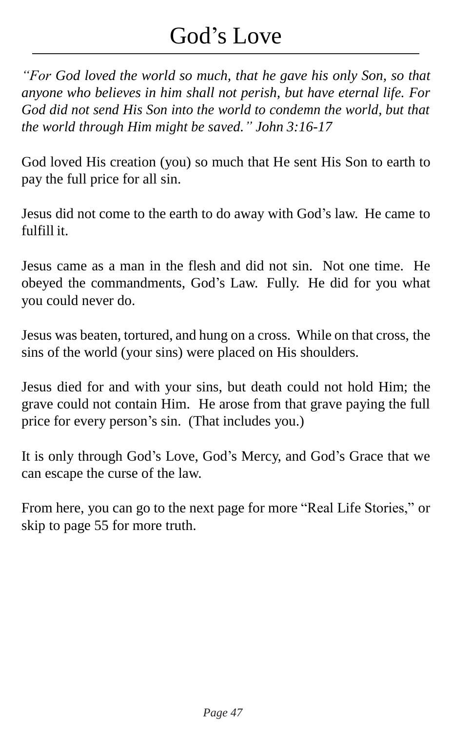*"For God loved the world so much, that he gave his only Son, so that anyone who believes in him shall not perish, but have eternal life. For God did not send His Son into the world to condemn the world, but that the world through Him might be saved." John 3:16-17*

God loved His creation (you) so much that He sent His Son to earth to pay the full price for all sin.

Jesus did not come to the earth to do away with God's law. He came to fulfill it.

Jesus came as a man in the flesh and did not sin. Not one time. He obeyed the commandments, God's Law. Fully. He did for you what you could never do.

Jesus was beaten, tortured, and hung on a cross. While on that cross, the sins of the world (your sins) were placed on His shoulders.

Jesus died for and with your sins, but death could not hold Him; the grave could not contain Him. He arose from that grave paying the full price for every person's sin. (That includes you.)

It is only through God's Love, God's Mercy, and God's Grace that we can escape the curse of the law.

From here, you can go to the next page for more "Real Life Stories," or skip to page 55 for more truth.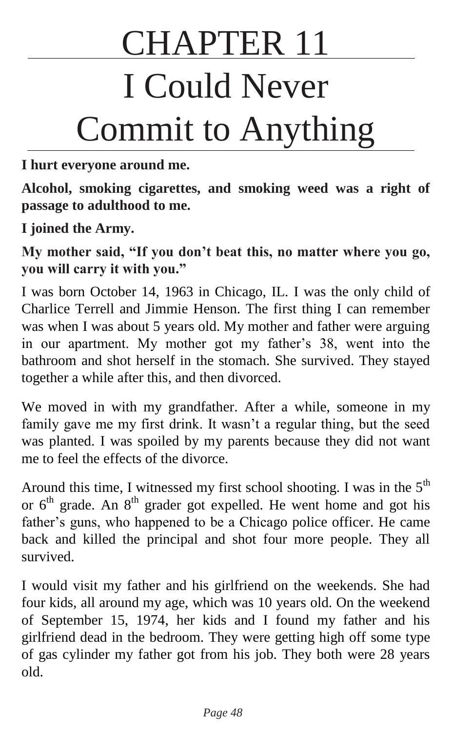# CHAPTER 11 I Could Never Commit to Anything

**I hurt everyone around me.**

**Alcohol, smoking cigarettes, and smoking weed was a right of passage to adulthood to me.**

**I joined the Army.**

**My mother said, "If you don't beat this, no matter where you go, you will carry it with you."** 

I was born October 14, 1963 in Chicago, IL. I was the only child of Charlice Terrell and Jimmie Henson. The first thing I can remember was when I was about 5 years old. My mother and father were arguing in our apartment. My mother got my father's 38, went into the bathroom and shot herself in the stomach. She survived. They stayed together a while after this, and then divorced.

We moved in with my grandfather. After a while, someone in my family gave me my first drink. It wasn't a regular thing, but the seed was planted. I was spoiled by my parents because they did not want me to feel the effects of the divorce.

Around this time, I witnessed my first school shooting. I was in the  $5<sup>th</sup>$ or  $6<sup>th</sup>$  grade. An  $8<sup>th</sup>$  grader got expelled. He went home and got his father's guns, who happened to be a Chicago police officer. He came back and killed the principal and shot four more people. They all survived.

I would visit my father and his girlfriend on the weekends. She had four kids, all around my age, which was 10 years old. On the weekend of September 15, 1974, her kids and I found my father and his girlfriend dead in the bedroom. They were getting high off some type of gas cylinder my father got from his job. They both were 28 years old.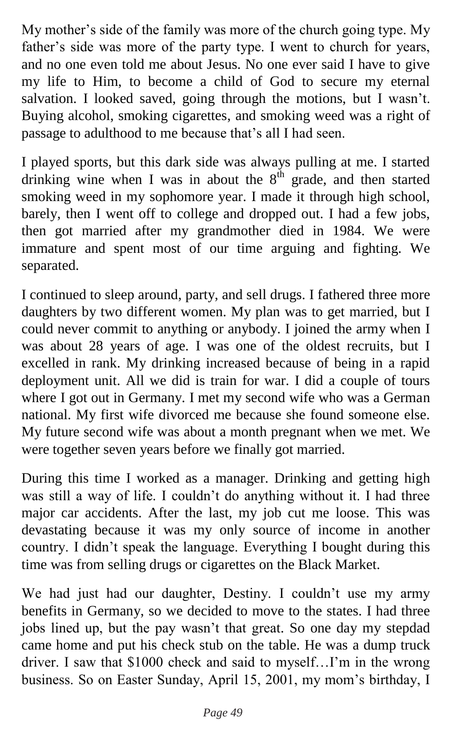My mother's side of the family was more of the church going type. My father's side was more of the party type. I went to church for years, and no one even told me about Jesus. No one ever said I have to give my life to Him, to become a child of God to secure my eternal salvation. I looked saved, going through the motions, but I wasn't. Buying alcohol, smoking cigarettes, and smoking weed was a right of passage to adulthood to me because that's all I had seen.

I played sports, but this dark side was always pulling at me. I started drinking wine when I was in about the  $8<sup>th</sup>$  grade, and then started smoking weed in my sophomore year. I made it through high school, barely, then I went off to college and dropped out. I had a few jobs, then got married after my grandmother died in 1984. We were immature and spent most of our time arguing and fighting. We separated.

I continued to sleep around, party, and sell drugs. I fathered three more daughters by two different women. My plan was to get married, but I could never commit to anything or anybody. I joined the army when I was about 28 years of age. I was one of the oldest recruits, but I excelled in rank. My drinking increased because of being in a rapid deployment unit. All we did is train for war. I did a couple of tours where I got out in Germany. I met my second wife who was a German national. My first wife divorced me because she found someone else. My future second wife was about a month pregnant when we met. We were together seven years before we finally got married.

During this time I worked as a manager. Drinking and getting high was still a way of life. I couldn't do anything without it. I had three major car accidents. After the last, my job cut me loose. This was devastating because it was my only source of income in another country. I didn't speak the language. Everything I bought during this time was from selling drugs or cigarettes on the Black Market.

We had just had our daughter, Destiny. I couldn't use my army benefits in Germany, so we decided to move to the states. I had three jobs lined up, but the pay wasn't that great. So one day my stepdad came home and put his check stub on the table. He was a dump truck driver. I saw that \$1000 check and said to myself…I'm in the wrong business. So on Easter Sunday, April 15, 2001, my mom's birthday, I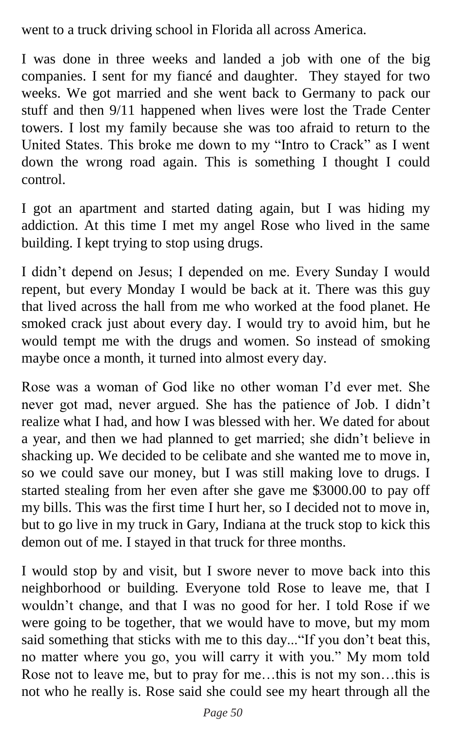went to a truck driving school in Florida all across America.

I was done in three weeks and landed a job with one of the big companies. I sent for my fiancé and daughter. They stayed for two weeks. We got married and she went back to Germany to pack our stuff and then 9/11 happened when lives were lost the Trade Center towers. I lost my family because she was too afraid to return to the United States. This broke me down to my "Intro to Crack" as I went down the wrong road again. This is something I thought I could control.

I got an apartment and started dating again, but I was hiding my addiction. At this time I met my angel Rose who lived in the same building. I kept trying to stop using drugs.

I didn't depend on Jesus; I depended on me. Every Sunday I would repent, but every Monday I would be back at it. There was this guy that lived across the hall from me who worked at the food planet. He smoked crack just about every day. I would try to avoid him, but he would tempt me with the drugs and women. So instead of smoking maybe once a month, it turned into almost every day.

Rose was a woman of God like no other woman I'd ever met. She never got mad, never argued. She has the patience of Job. I didn't realize what I had, and how I was blessed with her. We dated for about a year, and then we had planned to get married; she didn't believe in shacking up. We decided to be celibate and she wanted me to move in, so we could save our money, but I was still making love to drugs. I started stealing from her even after she gave me \$3000.00 to pay off my bills. This was the first time I hurt her, so I decided not to move in, but to go live in my truck in Gary, Indiana at the truck stop to kick this demon out of me. I stayed in that truck for three months.

I would stop by and visit, but I swore never to move back into this neighborhood or building. Everyone told Rose to leave me, that I wouldn't change, and that I was no good for her. I told Rose if we were going to be together, that we would have to move, but my mom said something that sticks with me to this day..."If you don't beat this, no matter where you go, you will carry it with you." My mom told Rose not to leave me, but to pray for me…this is not my son…this is not who he really is. Rose said she could see my heart through all the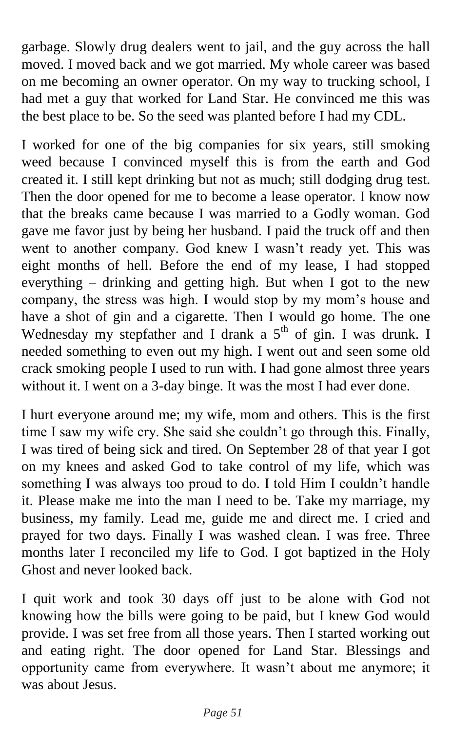garbage. Slowly drug dealers went to jail, and the guy across the hall moved. I moved back and we got married. My whole career was based on me becoming an owner operator. On my way to trucking school, I had met a guy that worked for Land Star. He convinced me this was the best place to be. So the seed was planted before I had my CDL.

I worked for one of the big companies for six years, still smoking weed because I convinced myself this is from the earth and God created it. I still kept drinking but not as much; still dodging drug test. Then the door opened for me to become a lease operator. I know now that the breaks came because I was married to a Godly woman. God gave me favor just by being her husband. I paid the truck off and then went to another company. God knew I wasn't ready yet. This was eight months of hell. Before the end of my lease, I had stopped everything – drinking and getting high. But when I got to the new company, the stress was high. I would stop by my mom's house and have a shot of gin and a cigarette. Then I would go home. The one Wednesday my stepfather and I drank a  $5<sup>th</sup>$  of gin. I was drunk. I needed something to even out my high. I went out and seen some old crack smoking people I used to run with. I had gone almost three years without it. I went on a 3-day binge. It was the most I had ever done.

I hurt everyone around me; my wife, mom and others. This is the first time I saw my wife cry. She said she couldn't go through this. Finally, I was tired of being sick and tired. On September 28 of that year I got on my knees and asked God to take control of my life, which was something I was always too proud to do. I told Him I couldn't handle it. Please make me into the man I need to be. Take my marriage, my business, my family. Lead me, guide me and direct me. I cried and prayed for two days. Finally I was washed clean. I was free. Three months later I reconciled my life to God. I got baptized in the Holy Ghost and never looked back.

I quit work and took 30 days off just to be alone with God not knowing how the bills were going to be paid, but I knew God would provide. I was set free from all those years. Then I started working out and eating right. The door opened for Land Star. Blessings and opportunity came from everywhere. It wasn't about me anymore; it was about Jesus.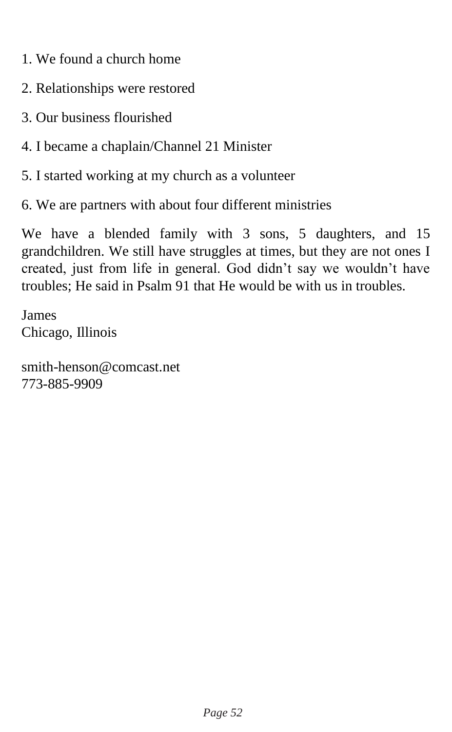- 1. We found a church home
- 2. Relationships were restored
- 3. Our business flourished
- 4. I became a chaplain/Channel 21 Minister
- 5. I started working at my church as a volunteer
- 6. We are partners with about four different ministries

We have a blended family with 3 sons, 5 daughters, and 15 grandchildren. We still have struggles at times, but they are not ones I created, just from life in general. God didn't say we wouldn't have troubles; He said in Psalm 91 that He would be with us in troubles.

James Chicago, Illinois

smith-henson@comcast.net 773-885-9909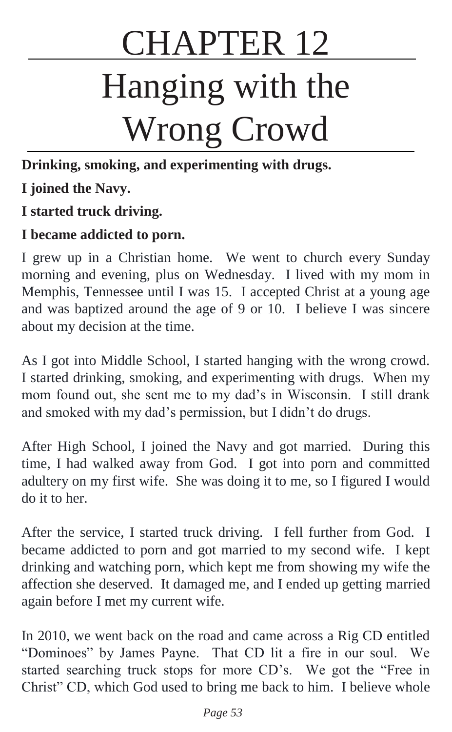## CHAPTER 12 Hanging with the Wrong Crowd

**Drinking, smoking, and experimenting with drugs.**

**I joined the Navy.**

**I started truck driving.**

### **I became addicted to porn.**

I grew up in a Christian home. We went to church every Sunday morning and evening, plus on Wednesday. I lived with my mom in Memphis, Tennessee until I was 15. I accepted Christ at a young age and was baptized around the age of 9 or 10. I believe I was sincere about my decision at the time.

As I got into Middle School, I started hanging with the wrong crowd. I started drinking, smoking, and experimenting with drugs. When my mom found out, she sent me to my dad's in Wisconsin. I still drank and smoked with my dad's permission, but I didn't do drugs.

After High School, I joined the Navy and got married. During this time, I had walked away from God. I got into porn and committed adultery on my first wife. She was doing it to me, so I figured I would do it to her.

After the service, I started truck driving. I fell further from God. I became addicted to porn and got married to my second wife. I kept drinking and watching porn, which kept me from showing my wife the affection she deserved. It damaged me, and I ended up getting married again before I met my current wife.

In 2010, we went back on the road and came across a Rig CD entitled "Dominoes" by James Payne. That CD lit a fire in our soul. We started searching truck stops for more CD's. We got the "Free in Christ" CD, which God used to bring me back to him. I believe whole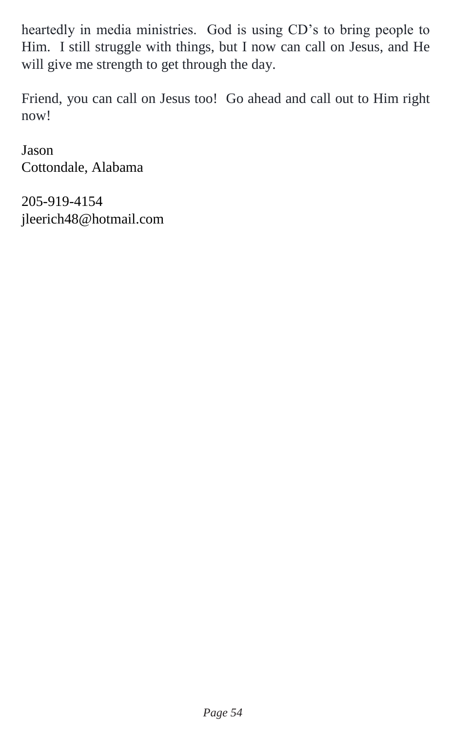heartedly in media ministries. God is using CD's to bring people to Him. I still struggle with things, but I now can call on Jesus, and He will give me strength to get through the day.

Friend, you can call on Jesus too! Go ahead and call out to Him right now!

Jason Cottondale, Alabama

205-919-4154 jleerich48@hotmail.com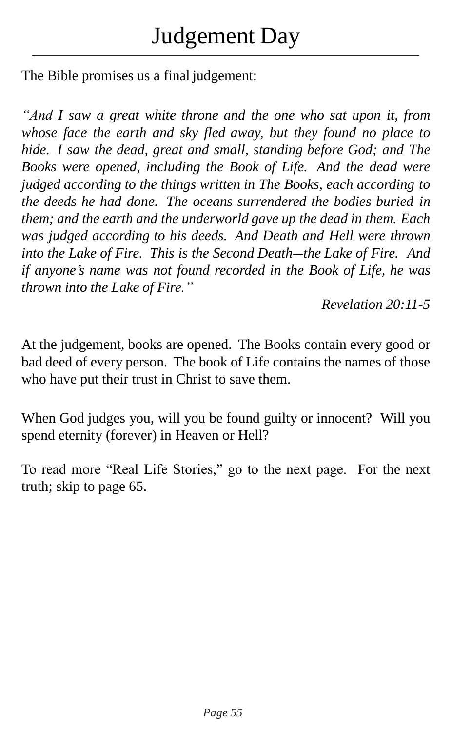The Bible promises us a final judgement:

*"And I saw a great white throne and the one who sat upon it, from whose face the earth and sky fled away, but they found no place to hide. I saw the dead, great and small, standing before God; and The Books were opened, including the Book of Life. And the dead were judged according to the things written in The Books, each according to the deeds he had done. The oceans surrendered the bodies buried in them; and the earth and the underworld gave up the dead in them. Each was judged according to his deeds. And Death and Hell were thrown into the Lake of Fire. This is the Second Death---the Lake of Fire. And if anyone's name was not found recorded in the Book of Life, he was thrown into the Lake of Fire."*

*Revelation 20:11-5*

At the judgement, books are opened. The Books contain every good or bad deed of every person. The book of Life contains the names of those who have put their trust in Christ to save them.

When God judges you, will you be found guilty or innocent? Will you spend eternity (forever) in Heaven or Hell?

To read more "Real Life Stories," go to the next page. For the next truth; skip to page 65.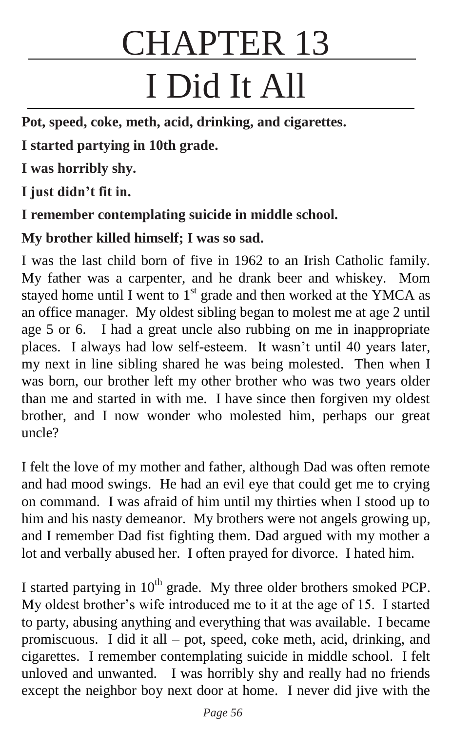## CHAPTER 13 I Did It All

**Pot, speed, coke, meth, acid, drinking, and cigarettes.**

**I started partying in 10th grade.**

**I was horribly shy.**

**I just didn't fit in.**

**I remember contemplating suicide in middle school.**

**My brother killed himself; I was so sad.**

I was the last child born of five in 1962 to an Irish Catholic family. My father was a carpenter, and he drank beer and whiskey. Mom stayed home until I went to  $1<sup>st</sup>$  grade and then worked at the YMCA as an office manager. My oldest sibling began to molest me at age 2 until age 5 or 6. I had a great uncle also rubbing on me in inappropriate places. I always had low self-esteem. It wasn't until 40 years later, my next in line sibling shared he was being molested. Then when I was born, our brother left my other brother who was two years older than me and started in with me. I have since then forgiven my oldest brother, and I now wonder who molested him, perhaps our great uncle?

I felt the love of my mother and father, although Dad was often remote and had mood swings. He had an evil eye that could get me to crying on command. I was afraid of him until my thirties when I stood up to him and his nasty demeanor. My brothers were not angels growing up, and I remember Dad fist fighting them. Dad argued with my mother a lot and verbally abused her. I often prayed for divorce. I hated him.

I started partying in  $10<sup>th</sup>$  grade. My three older brothers smoked PCP. My oldest brother's wife introduced me to it at the age of 15. I started to party, abusing anything and everything that was available. I became promiscuous. I did it all – pot, speed, coke meth, acid, drinking, and cigarettes. I remember contemplating suicide in middle school. I felt unloved and unwanted. I was horribly shy and really had no friends except the neighbor boy next door at home. I never did jive with the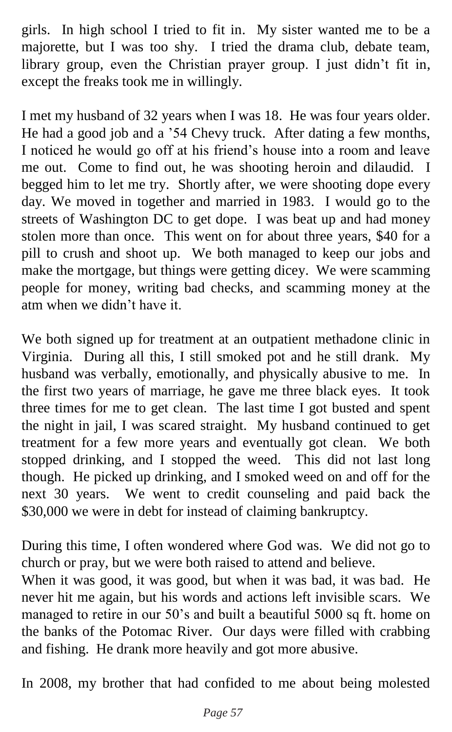girls. In high school I tried to fit in. My sister wanted me to be a majorette, but I was too shy. I tried the drama club, debate team, library group, even the Christian prayer group. I just didn't fit in, except the freaks took me in willingly.

I met my husband of 32 years when I was 18. He was four years older. He had a good job and a '54 Chevy truck. After dating a few months, I noticed he would go off at his friend's house into a room and leave me out. Come to find out, he was shooting heroin and dilaudid. I begged him to let me try. Shortly after, we were shooting dope every day. We moved in together and married in 1983. I would go to the streets of Washington DC to get dope. I was beat up and had money stolen more than once. This went on for about three years, \$40 for a pill to crush and shoot up. We both managed to keep our jobs and make the mortgage, but things were getting dicey. We were scamming people for money, writing bad checks, and scamming money at the atm when we didn't have it.

We both signed up for treatment at an outpatient methadone clinic in Virginia. During all this, I still smoked pot and he still drank. My husband was verbally, emotionally, and physically abusive to me. In the first two years of marriage, he gave me three black eyes. It took three times for me to get clean. The last time I got busted and spent the night in jail, I was scared straight. My husband continued to get treatment for a few more years and eventually got clean. We both stopped drinking, and I stopped the weed. This did not last long though. He picked up drinking, and I smoked weed on and off for the next 30 years. We went to credit counseling and paid back the \$30,000 we were in debt for instead of claiming bankruptcy.

During this time, I often wondered where God was. We did not go to church or pray, but we were both raised to attend and believe.

When it was good, it was good, but when it was bad, it was bad. He never hit me again, but his words and actions left invisible scars. We managed to retire in our 50's and built a beautiful 5000 sq ft. home on the banks of the Potomac River. Our days were filled with crabbing and fishing. He drank more heavily and got more abusive.

In 2008, my brother that had confided to me about being molested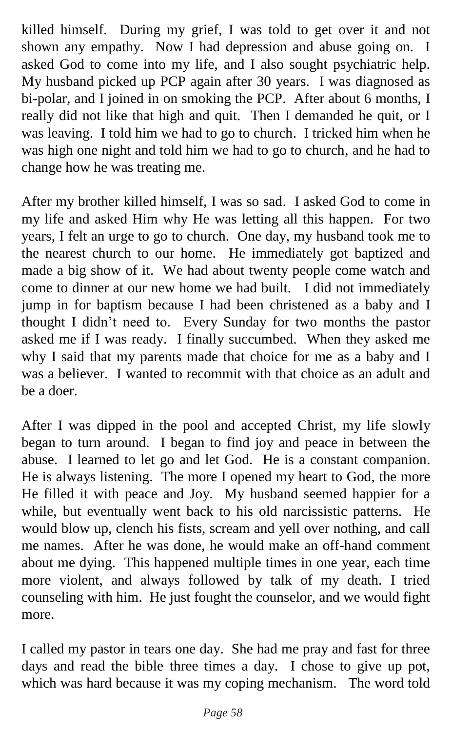killed himself. During my grief, I was told to get over it and not shown any empathy. Now I had depression and abuse going on. I asked God to come into my life, and I also sought psychiatric help. My husband picked up PCP again after 30 years. I was diagnosed as bi-polar, and I joined in on smoking the PCP. After about 6 months, I really did not like that high and quit. Then I demanded he quit, or I was leaving. I told him we had to go to church. I tricked him when he was high one night and told him we had to go to church, and he had to change how he was treating me.

After my brother killed himself, I was so sad. I asked God to come in my life and asked Him why He was letting all this happen. For two years, I felt an urge to go to church. One day, my husband took me to the nearest church to our home. He immediately got baptized and made a big show of it. We had about twenty people come watch and come to dinner at our new home we had built. I did not immediately jump in for baptism because I had been christened as a baby and I thought I didn't need to. Every Sunday for two months the pastor asked me if I was ready. I finally succumbed. When they asked me why I said that my parents made that choice for me as a baby and I was a believer. I wanted to recommit with that choice as an adult and be a doer.

After I was dipped in the pool and accepted Christ, my life slowly began to turn around. I began to find joy and peace in between the abuse. I learned to let go and let God. He is a constant companion. He is always listening. The more I opened my heart to God, the more He filled it with peace and Joy. My husband seemed happier for a while, but eventually went back to his old narcissistic patterns. He would blow up, clench his fists, scream and yell over nothing, and call me names. After he was done, he would make an off-hand comment about me dying. This happened multiple times in one year, each time more violent, and always followed by talk of my death. I tried counseling with him. He just fought the counselor, and we would fight more.

I called my pastor in tears one day. She had me pray and fast for three days and read the bible three times a day. I chose to give up pot, which was hard because it was my coping mechanism. The word told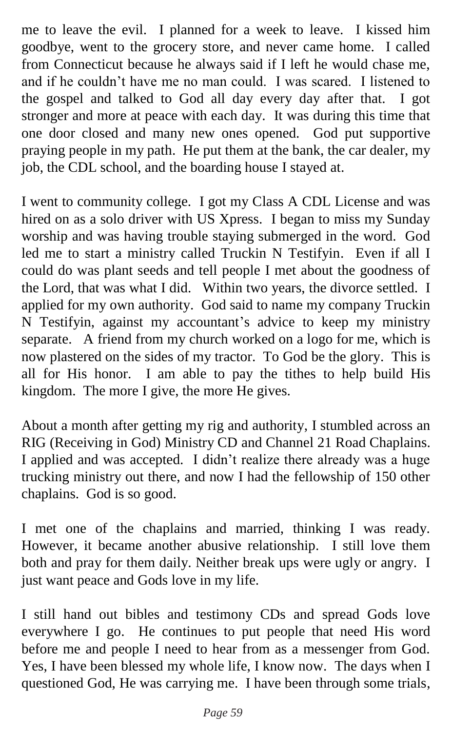me to leave the evil. I planned for a week to leave. I kissed him goodbye, went to the grocery store, and never came home. I called from Connecticut because he always said if I left he would chase me, and if he couldn't have me no man could. I was scared. I listened to the gospel and talked to God all day every day after that. I got stronger and more at peace with each day. It was during this time that one door closed and many new ones opened. God put supportive praying people in my path. He put them at the bank, the car dealer, my job, the CDL school, and the boarding house I stayed at.

I went to community college. I got my Class A CDL License and was hired on as a solo driver with US Xpress. I began to miss my Sunday worship and was having trouble staying submerged in the word. God led me to start a ministry called Truckin N Testifyin. Even if all I could do was plant seeds and tell people I met about the goodness of the Lord, that was what I did. Within two years, the divorce settled. I applied for my own authority. God said to name my company Truckin N Testifyin, against my accountant's advice to keep my ministry separate. A friend from my church worked on a logo for me, which is now plastered on the sides of my tractor. To God be the glory. This is all for His honor. I am able to pay the tithes to help build His kingdom. The more I give, the more He gives.

About a month after getting my rig and authority, I stumbled across an RIG (Receiving in God) Ministry CD and Channel 21 Road Chaplains. I applied and was accepted. I didn't realize there already was a huge trucking ministry out there, and now I had the fellowship of 150 other chaplains. God is so good.

I met one of the chaplains and married, thinking I was ready. However, it became another abusive relationship. I still love them both and pray for them daily. Neither break ups were ugly or angry. I just want peace and Gods love in my life.

I still hand out bibles and testimony CDs and spread Gods love everywhere I go. He continues to put people that need His word before me and people I need to hear from as a messenger from God. Yes, I have been blessed my whole life, I know now. The days when I questioned God, He was carrying me. I have been through some trials,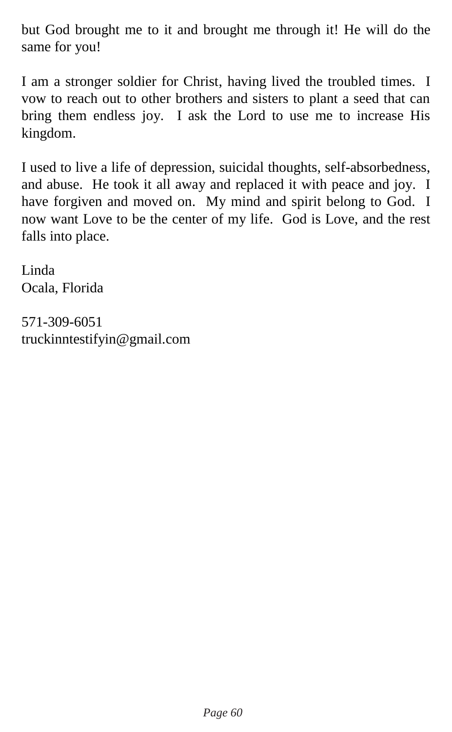but God brought me to it and brought me through it! He will do the same for you!

I am a stronger soldier for Christ, having lived the troubled times. I vow to reach out to other brothers and sisters to plant a seed that can bring them endless joy. I ask the Lord to use me to increase His kingdom.

I used to live a life of depression, suicidal thoughts, self-absorbedness, and abuse. He took it all away and replaced it with peace and joy. I have forgiven and moved on. My mind and spirit belong to God. I now want Love to be the center of my life. God is Love, and the rest falls into place.

Linda Ocala, Florida

571-309-6051 truckinntestifyin@gmail.com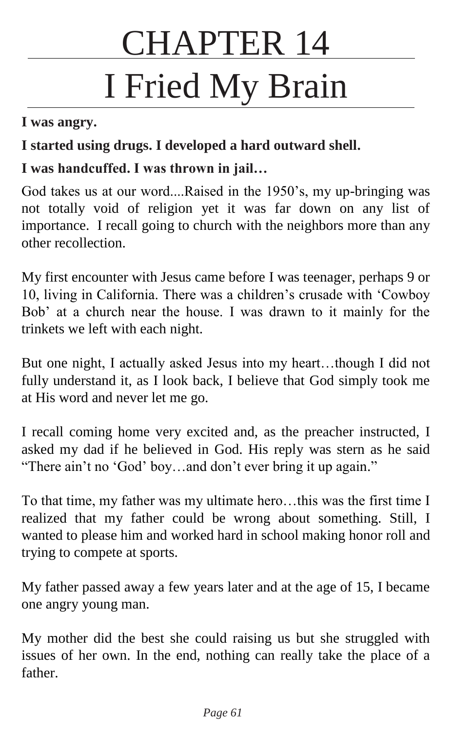## CHAPTER 14 I Fried My Brain

#### **I was angry.**

### **I started using drugs. I developed a hard outward shell.**

### **I was handcuffed. I was thrown in jail…**

God takes us at our word....Raised in the 1950's, my up-bringing was not totally void of religion yet it was far down on any list of importance. I recall going to church with the neighbors more than any other recollection.

My first encounter with Jesus came before I was teenager, perhaps 9 or 10, living in California. There was a children's crusade with 'Cowboy Bob' at a church near the house. I was drawn to it mainly for the trinkets we left with each night.

But one night, I actually asked Jesus into my heart…though I did not fully understand it, as I look back, I believe that God simply took me at His word and never let me go.

I recall coming home very excited and, as the preacher instructed, I asked my dad if he believed in God. His reply was stern as he said "There ain't no 'God' boy...and don't ever bring it up again."

To that time, my father was my ultimate hero…this was the first time I realized that my father could be wrong about something. Still, I wanted to please him and worked hard in school making honor roll and trying to compete at sports.

My father passed away a few years later and at the age of 15, I became one angry young man.

My mother did the best she could raising us but she struggled with issues of her own. In the end, nothing can really take the place of a father.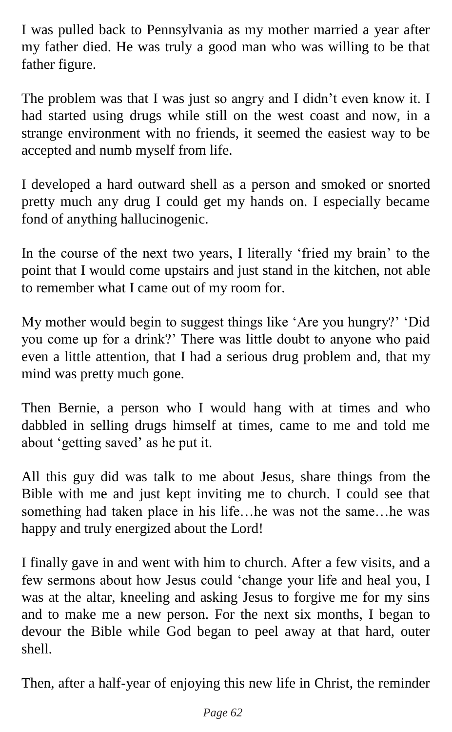I was pulled back to Pennsylvania as my mother married a year after my father died. He was truly a good man who was willing to be that father figure.

The problem was that I was just so angry and I didn't even know it. I had started using drugs while still on the west coast and now, in a strange environment with no friends, it seemed the easiest way to be accepted and numb myself from life.

I developed a hard outward shell as a person and smoked or snorted pretty much any drug I could get my hands on. I especially became fond of anything hallucinogenic.

In the course of the next two years, I literally 'fried my brain' to the point that I would come upstairs and just stand in the kitchen, not able to remember what I came out of my room for.

My mother would begin to suggest things like 'Are you hungry?' 'Did you come up for a drink?' There was little doubt to anyone who paid even a little attention, that I had a serious drug problem and, that my mind was pretty much gone.

Then Bernie, a person who I would hang with at times and who dabbled in selling drugs himself at times, came to me and told me about 'getting saved' as he put it.

All this guy did was talk to me about Jesus, share things from the Bible with me and just kept inviting me to church. I could see that something had taken place in his life…he was not the same…he was happy and truly energized about the Lord!

I finally gave in and went with him to church. After a few visits, and a few sermons about how Jesus could 'change your life and heal you, I was at the altar, kneeling and asking Jesus to forgive me for my sins and to make me a new person. For the next six months, I began to devour the Bible while God began to peel away at that hard, outer shell.

Then, after a half-year of enjoying this new life in Christ, the reminder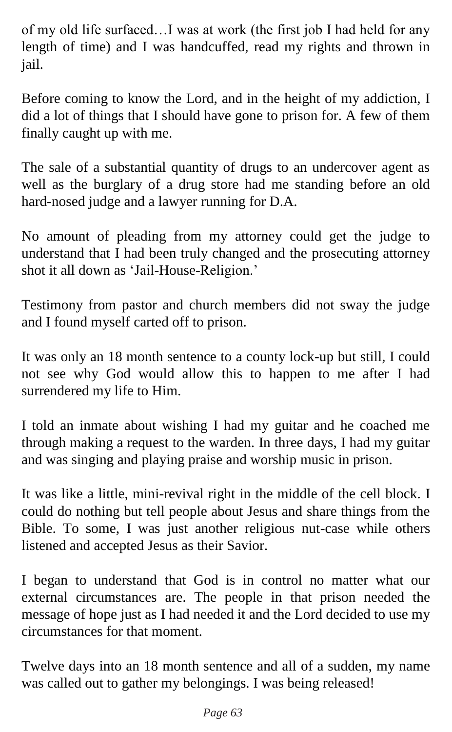of my old life surfaced…I was at work (the first job I had held for any length of time) and I was handcuffed, read my rights and thrown in jail.

Before coming to know the Lord, and in the height of my addiction, I did a lot of things that I should have gone to prison for. A few of them finally caught up with me.

The sale of a substantial quantity of drugs to an undercover agent as well as the burglary of a drug store had me standing before an old hard-nosed judge and a lawyer running for D.A.

No amount of pleading from my attorney could get the judge to understand that I had been truly changed and the prosecuting attorney shot it all down as 'Jail-House-Religion.'

Testimony from pastor and church members did not sway the judge and I found myself carted off to prison.

It was only an 18 month sentence to a county lock-up but still, I could not see why God would allow this to happen to me after I had surrendered my life to Him.

I told an inmate about wishing I had my guitar and he coached me through making a request to the warden. In three days, I had my guitar and was singing and playing praise and worship music in prison.

It was like a little, mini-revival right in the middle of the cell block. I could do nothing but tell people about Jesus and share things from the Bible. To some, I was just another religious nut-case while others listened and accepted Jesus as their Savior.

I began to understand that God is in control no matter what our external circumstances are. The people in that prison needed the message of hope just as I had needed it and the Lord decided to use my circumstances for that moment.

Twelve days into an 18 month sentence and all of a sudden, my name was called out to gather my belongings. I was being released!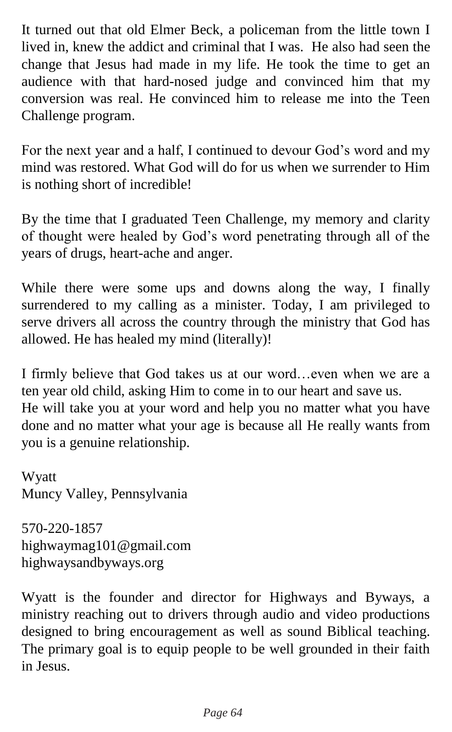It turned out that old Elmer Beck, a policeman from the little town I lived in, knew the addict and criminal that I was. He also had seen the change that Jesus had made in my life. He took the time to get an audience with that hard-nosed judge and convinced him that my conversion was real. He convinced him to release me into the Teen Challenge program.

For the next year and a half, I continued to devour God's word and my mind was restored. What God will do for us when we surrender to Him is nothing short of incredible!

By the time that I graduated Teen Challenge, my memory and clarity of thought were healed by God's word penetrating through all of the years of drugs, heart-ache and anger.

While there were some ups and downs along the way, I finally surrendered to my calling as a minister. Today, I am privileged to serve drivers all across the country through the ministry that God has allowed. He has healed my mind (literally)!

I firmly believe that God takes us at our word…even when we are a ten year old child, asking Him to come in to our heart and save us. He will take you at your word and help you no matter what you have done and no matter what your age is because all He really wants from you is a genuine relationship.

Wyatt Muncy Valley, Pennsylvania

570-220-1857 highwaymag101@gmail.com highwaysandbyways.org

Wyatt is the founder and director for Highways and Byways, a ministry reaching out to drivers through audio and video productions designed to bring encouragement as well as sound Biblical teaching. The primary goal is to equip people to be well grounded in their faith in Jesus.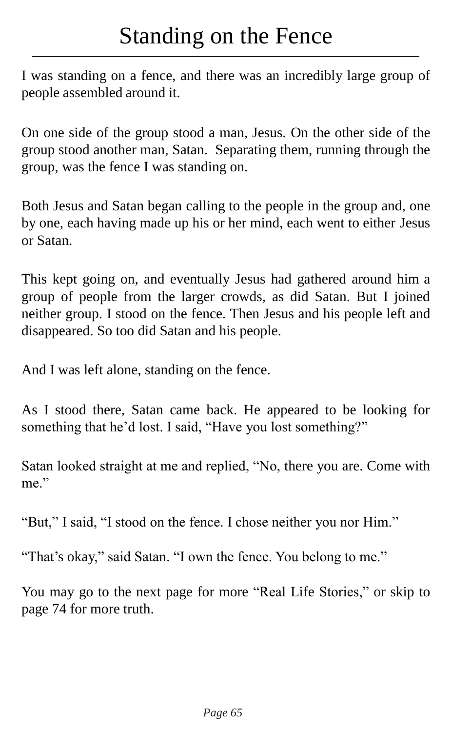I was standing on a fence, and there was an incredibly large group of people assembled around it.

On one side of the group stood a man, Jesus. On the other side of the group stood another man, Satan. Separating them, running through the group, was the fence I was standing on.

Both Jesus and Satan began calling to the people in the group and, one by one, each having made up his or her mind, each went to either Jesus or Satan.

This kept going on, and eventually Jesus had gathered around him a group of people from the larger crowds, as did Satan. But I joined neither group. I stood on the fence. Then Jesus and his people left and disappeared. So too did Satan and his people.

And I was left alone, standing on the fence.

As I stood there, Satan came back. He appeared to be looking for something that he'd lost. I said, "Have you lost something?"

Satan looked straight at me and replied, "No, there you are. Come with me"

"But," I said, "I stood on the fence. I chose neither you nor Him."

"That's okay," said Satan. "I own the fence. You belong to me."

You may go to the next page for more "Real Life Stories," or skip to page 74 for more truth.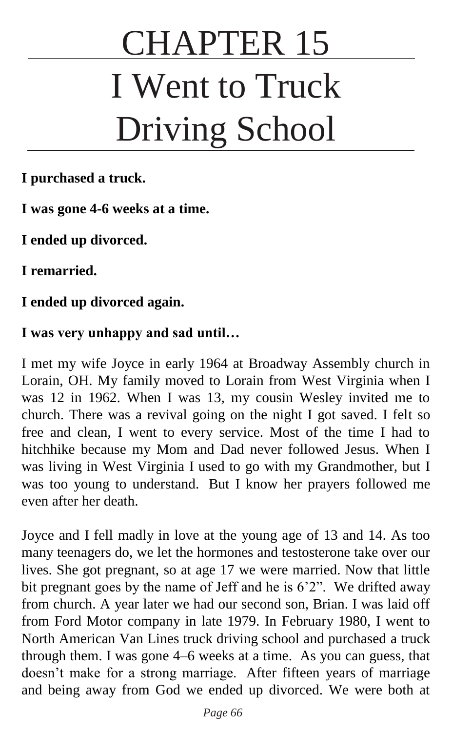### CHAPTER 15 I Went to Truck Driving School

### **I purchased a truck.**

**I was gone 4-6 weeks at a time.**

**I ended up divorced.**

**I remarried.**

**I ended up divorced again.**

#### **I was very unhappy and sad until…**

I met my wife Joyce in early 1964 at Broadway Assembly church in Lorain, OH. My family moved to Lorain from West Virginia when I was 12 in 1962. When I was 13, my cousin Wesley invited me to church. There was a revival going on the night I got saved. I felt so free and clean, I went to every service. Most of the time I had to hitchhike because my Mom and Dad never followed Jesus. When I was living in West Virginia I used to go with my Grandmother, but I was too young to understand. But I know her prayers followed me even after her death.

Joyce and I fell madly in love at the young age of 13 and 14. As too many teenagers do, we let the hormones and testosterone take over our lives. She got pregnant, so at age 17 we were married. Now that little bit pregnant goes by the name of Jeff and he is 6'2". We drifted away from church. A year later we had our second son, Brian. I was laid off from Ford Motor company in late 1979. In February 1980, I went to North American Van Lines truck driving school and purchased a truck through them. I was gone 4–6 weeks at a time. As you can guess, that doesn't make for a strong marriage. After fifteen years of marriage and being away from God we ended up divorced. We were both at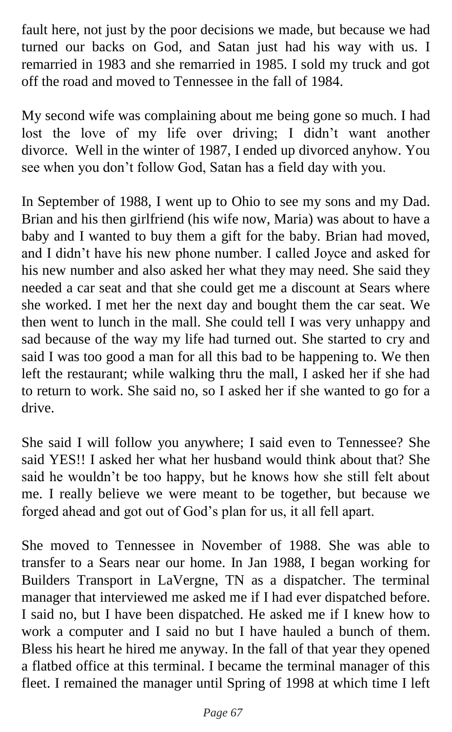fault here, not just by the poor decisions we made, but because we had turned our backs on God, and Satan just had his way with us. I remarried in 1983 and she remarried in 1985. I sold my truck and got off the road and moved to Tennessee in the fall of 1984.

My second wife was complaining about me being gone so much. I had lost the love of my life over driving; I didn't want another divorce. Well in the winter of 1987, I ended up divorced anyhow. You see when you don't follow God, Satan has a field day with you.

In September of 1988, I went up to Ohio to see my sons and my Dad. Brian and his then girlfriend (his wife now, Maria) was about to have a baby and I wanted to buy them a gift for the baby. Brian had moved, and I didn't have his new phone number. I called Joyce and asked for his new number and also asked her what they may need. She said they needed a car seat and that she could get me a discount at Sears where she worked. I met her the next day and bought them the car seat. We then went to lunch in the mall. She could tell I was very unhappy and sad because of the way my life had turned out. She started to cry and said I was too good a man for all this bad to be happening to. We then left the restaurant; while walking thru the mall, I asked her if she had to return to work. She said no, so I asked her if she wanted to go for a drive.

She said I will follow you anywhere; I said even to Tennessee? She said YES!! I asked her what her husband would think about that? She said he wouldn't be too happy, but he knows how she still felt about me. I really believe we were meant to be together, but because we forged ahead and got out of God's plan for us, it all fell apart.

She moved to Tennessee in November of 1988. She was able to transfer to a Sears near our home. In Jan 1988, I began working for Builders Transport in LaVergne, TN as a dispatcher. The terminal manager that interviewed me asked me if I had ever dispatched before. I said no, but I have been dispatched. He asked me if I knew how to work a computer and I said no but I have hauled a bunch of them. Bless his heart he hired me anyway. In the fall of that year they opened a flatbed office at this terminal. I became the terminal manager of this fleet. I remained the manager until Spring of 1998 at which time I left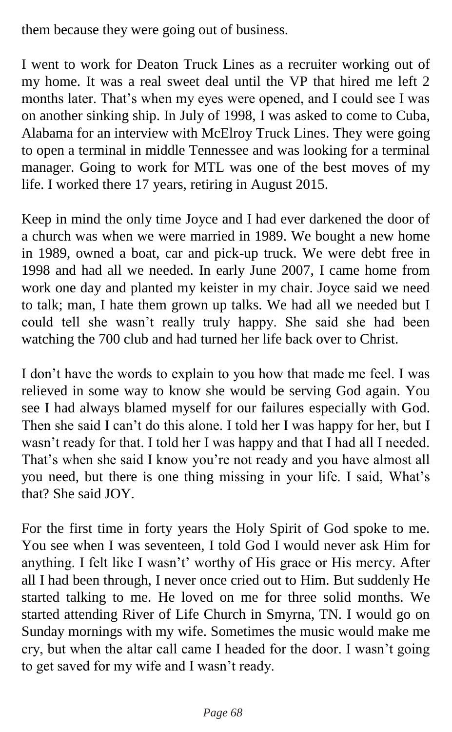them because they were going out of business.

I went to work for Deaton Truck Lines as a recruiter working out of my home. It was a real sweet deal until the VP that hired me left 2 months later. That's when my eyes were opened, and I could see I was on another sinking ship. In July of 1998, I was asked to come to Cuba, Alabama for an interview with McElroy Truck Lines. They were going to open a terminal in middle Tennessee and was looking for a terminal manager. Going to work for MTL was one of the best moves of my life. I worked there 17 years, retiring in August 2015.

Keep in mind the only time Joyce and I had ever darkened the door of a church was when we were married in 1989. We bought a new home in 1989, owned a boat, car and pick-up truck. We were debt free in 1998 and had all we needed. In early June 2007, I came home from work one day and planted my keister in my chair. Joyce said we need to talk; man, I hate them grown up talks. We had all we needed but I could tell she wasn't really truly happy. She said she had been watching the 700 club and had turned her life back over to Christ.

I don't have the words to explain to you how that made me feel. I was relieved in some way to know she would be serving God again. You see I had always blamed myself for our failures especially with God. Then she said I can't do this alone. I told her I was happy for her, but I wasn't ready for that. I told her I was happy and that I had all I needed. That's when she said I know you're not ready and you have almost all you need, but there is one thing missing in your life. I said, What's that? She said JOY.

For the first time in forty years the Holy Spirit of God spoke to me. You see when I was seventeen, I told God I would never ask Him for anything. I felt like I wasn't' worthy of His grace or His mercy. After all I had been through, I never once cried out to Him. But suddenly He started talking to me. He loved on me for three solid months. We started attending River of Life Church in Smyrna, TN. I would go on Sunday mornings with my wife. Sometimes the music would make me cry, but when the altar call came I headed for the door. I wasn't going to get saved for my wife and I wasn't ready.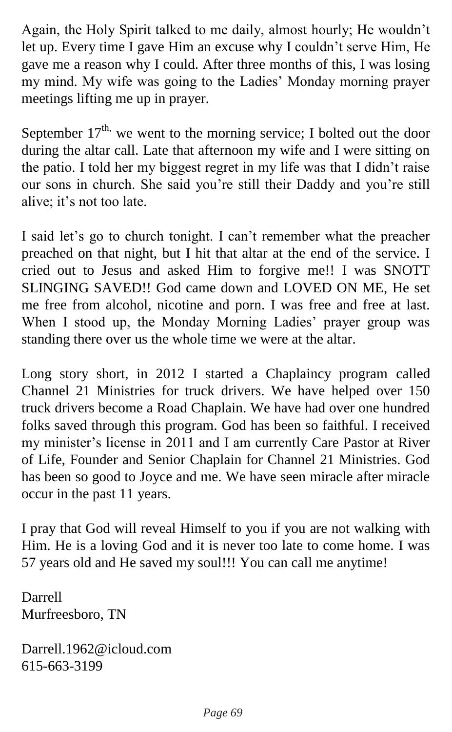Again, the Holy Spirit talked to me daily, almost hourly; He wouldn't let up. Every time I gave Him an excuse why I couldn't serve Him, He gave me a reason why I could. After three months of this, I was losing my mind. My wife was going to the Ladies' Monday morning prayer meetings lifting me up in prayer.

September  $17<sup>th</sup>$ , we went to the morning service; I bolted out the door during the altar call. Late that afternoon my wife and I were sitting on the patio. I told her my biggest regret in my life was that I didn't raise our sons in church. She said you're still their Daddy and you're still alive; it's not too late.

I said let's go to church tonight. I can't remember what the preacher preached on that night, but I hit that altar at the end of the service. I cried out to Jesus and asked Him to forgive me!! I was SNOTT SLINGING SAVED!! God came down and LOVED ON ME, He set me free from alcohol, nicotine and porn. I was free and free at last. When I stood up, the Monday Morning Ladies' prayer group was standing there over us the whole time we were at the altar.

Long story short, in 2012 I started a Chaplaincy program called Channel 21 Ministries for truck drivers. We have helped over 150 truck drivers become a Road Chaplain. We have had over one hundred folks saved through this program. God has been so faithful. I received my minister's license in 2011 and I am currently Care Pastor at River of Life, Founder and Senior Chaplain for Channel 21 Ministries. God has been so good to Joyce and me. We have seen miracle after miracle occur in the past 11 years.

I pray that God will reveal Himself to you if you are not walking with Him. He is a loving God and it is never too late to come home. I was 57 years old and He saved my soul!!! You can call me anytime!

Darrell Murfreesboro, TN

Darrell.1962@icloud.com 615-663-3199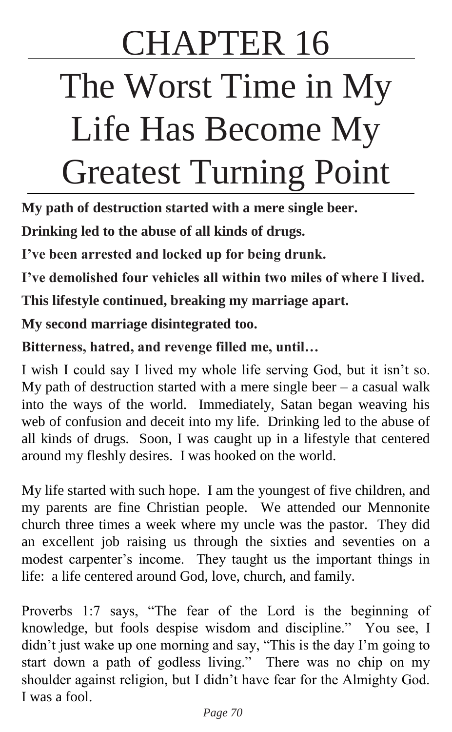# CHAPTER 16 The Worst Time in My Life Has Become My Greatest Turning Point

**My path of destruction started with a mere single beer.**

**Drinking led to the abuse of all kinds of drugs.**

**I've been arrested and locked up for being drunk.**

**I've demolished four vehicles all within two miles of where I lived.**

**This lifestyle continued, breaking my marriage apart.**

**My second marriage disintegrated too.**

**Bitterness, hatred, and revenge filled me, until…**

I wish I could say I lived my whole life serving God, but it isn't so. My path of destruction started with a mere single beer – a casual walk into the ways of the world. Immediately, Satan began weaving his web of confusion and deceit into my life. Drinking led to the abuse of all kinds of drugs. Soon, I was caught up in a lifestyle that centered around my fleshly desires. I was hooked on the world.

My life started with such hope. I am the youngest of five children, and my parents are fine Christian people. We attended our Mennonite church three times a week where my uncle was the pastor. They did an excellent job raising us through the sixties and seventies on a modest carpenter's income. They taught us the important things in life: a life centered around God, love, church, and family.

Proverbs 1:7 says, "The fear of the Lord is the beginning of knowledge, but fools despise wisdom and discipline." You see, I didn't just wake up one morning and say, "This is the day I'm going to start down a path of godless living." There was no chip on my shoulder against religion, but I didn't have fear for the Almighty God. I was a fool.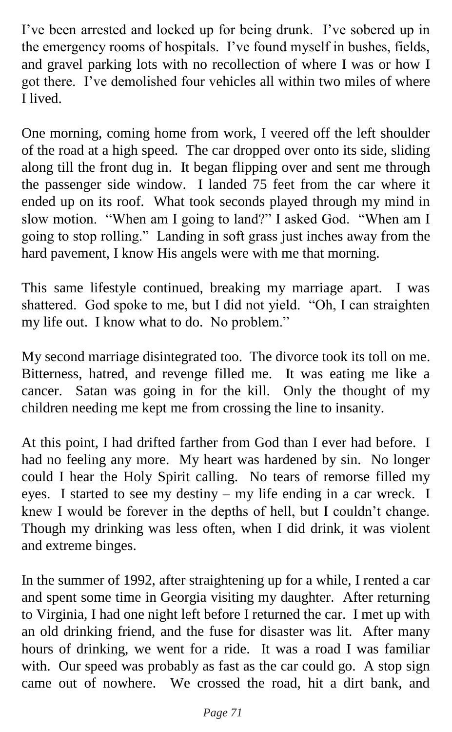I've been arrested and locked up for being drunk. I've sobered up in the emergency rooms of hospitals. I've found myself in bushes, fields, and gravel parking lots with no recollection of where I was or how I got there. I've demolished four vehicles all within two miles of where I lived.

One morning, coming home from work, I veered off the left shoulder of the road at a high speed. The car dropped over onto its side, sliding along till the front dug in. It began flipping over and sent me through the passenger side window. I landed 75 feet from the car where it ended up on its roof. What took seconds played through my mind in slow motion. "When am I going to land?" I asked God. "When am I going to stop rolling." Landing in soft grass just inches away from the hard pavement, I know His angels were with me that morning.

This same lifestyle continued, breaking my marriage apart. I was shattered. God spoke to me, but I did not yield. "Oh, I can straighten my life out. I know what to do. No problem."

My second marriage disintegrated too. The divorce took its toll on me. Bitterness, hatred, and revenge filled me. It was eating me like a cancer. Satan was going in for the kill. Only the thought of my children needing me kept me from crossing the line to insanity.

At this point, I had drifted farther from God than I ever had before. I had no feeling any more. My heart was hardened by sin. No longer could I hear the Holy Spirit calling. No tears of remorse filled my eyes. I started to see my destiny – my life ending in a car wreck. I knew I would be forever in the depths of hell, but I couldn't change. Though my drinking was less often, when I did drink, it was violent and extreme binges.

In the summer of 1992, after straightening up for a while, I rented a car and spent some time in Georgia visiting my daughter. After returning to Virginia, I had one night left before I returned the car. I met up with an old drinking friend, and the fuse for disaster was lit. After many hours of drinking, we went for a ride. It was a road I was familiar with. Our speed was probably as fast as the car could go. A stop sign came out of nowhere. We crossed the road, hit a dirt bank, and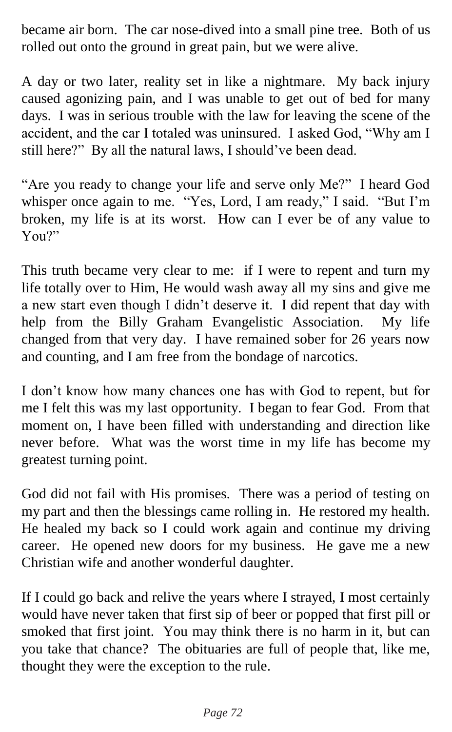became air born. The car nose-dived into a small pine tree. Both of us rolled out onto the ground in great pain, but we were alive.

A day or two later, reality set in like a nightmare. My back injury caused agonizing pain, and I was unable to get out of bed for many days. I was in serious trouble with the law for leaving the scene of the accident, and the car I totaled was uninsured. I asked God, "Why am I still here?" By all the natural laws, I should've been dead.

"Are you ready to change your life and serve only Me?" I heard God whisper once again to me. "Yes, Lord, I am ready," I said. "But I'm broken, my life is at its worst. How can I ever be of any value to Y<sub>ou</sub>?"

This truth became very clear to me: if I were to repent and turn my life totally over to Him, He would wash away all my sins and give me a new start even though I didn't deserve it. I did repent that day with help from the Billy Graham Evangelistic Association. My life changed from that very day. I have remained sober for 26 years now and counting, and I am free from the bondage of narcotics.

I don't know how many chances one has with God to repent, but for me I felt this was my last opportunity. I began to fear God. From that moment on, I have been filled with understanding and direction like never before. What was the worst time in my life has become my greatest turning point.

God did not fail with His promises. There was a period of testing on my part and then the blessings came rolling in. He restored my health. He healed my back so I could work again and continue my driving career. He opened new doors for my business. He gave me a new Christian wife and another wonderful daughter.

If I could go back and relive the years where I strayed, I most certainly would have never taken that first sip of beer or popped that first pill or smoked that first joint. You may think there is no harm in it, but can you take that chance? The obituaries are full of people that, like me, thought they were the exception to the rule.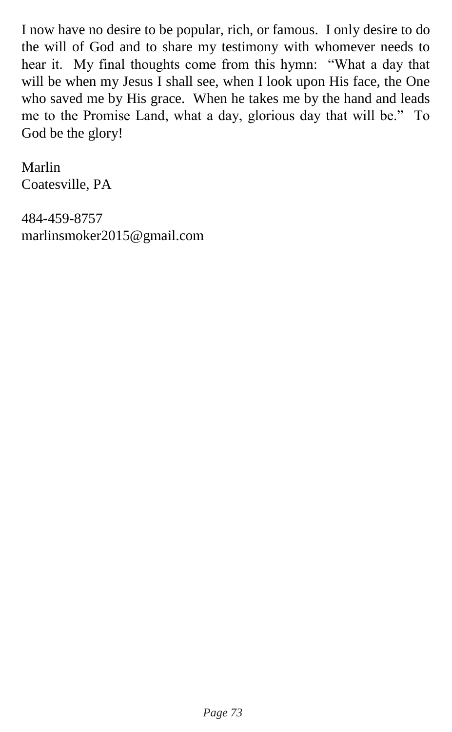I now have no desire to be popular, rich, or famous. I only desire to do the will of God and to share my testimony with whomever needs to hear it. My final thoughts come from this hymn: "What a day that will be when my Jesus I shall see, when I look upon His face, the One who saved me by His grace. When he takes me by the hand and leads me to the Promise Land, what a day, glorious day that will be." To God be the glory!

Marlin Coatesville, PA

484-459-8757 marlinsmoker2015@gmail.com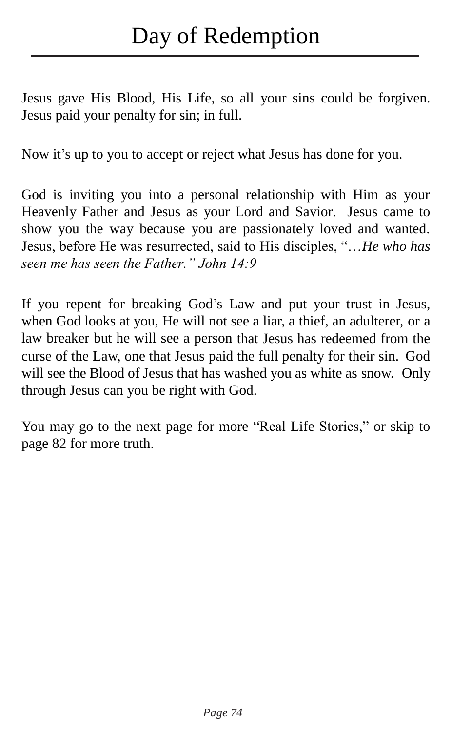Jesus gave His Blood, His Life, so all your sins could be forgiven. Jesus paid your penalty for sin; in full.

Now it's up to you to accept or reject what Jesus has done for you.

God is inviting you into a personal relationship with Him as your Heavenly Father and Jesus as your Lord and Savior. Jesus came to show you the way because you are passionately loved and wanted. Jesus, before He was resurrected, said to His disciples, "…*He who has seen me has seen the Father." John 14:9*

If you repent for breaking God's Law and put your trust in Jesus, when God looks at you, He will not see a liar, a thief, an adulterer, or a law breaker but he will see a person that Jesus has redeemed from the curse of the Law, one that Jesus paid the full penalty for their sin. God will see the Blood of Jesus that has washed you as white as snow. Only through Jesus can you be right with God.

You may go to the next page for more "Real Life Stories," or skip to page 82 for more truth.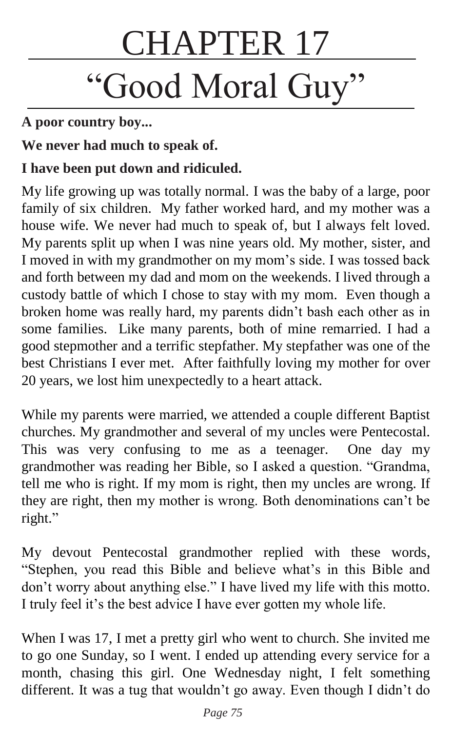### CHAPTER 17 "Good Moral Guy"

#### **A poor country boy...**

#### **We never had much to speak of.**

#### **I have been put down and ridiculed.**

My life growing up was totally normal. I was the baby of a large, poor family of six children. My father worked hard, and my mother was a house wife. We never had much to speak of, but I always felt loved. My parents split up when I was nine years old. My mother, sister, and I moved in with my grandmother on my mom's side. I was tossed back and forth between my dad and mom on the weekends. I lived through a custody battle of which I chose to stay with my mom. Even though a broken home was really hard, my parents didn't bash each other as in some families. Like many parents, both of mine remarried. I had a good stepmother and a terrific stepfather. My stepfather was one of the best Christians I ever met. After faithfully loving my mother for over 20 years, we lost him unexpectedly to a heart attack.

While my parents were married, we attended a couple different Baptist churches. My grandmother and several of my uncles were Pentecostal. This was very confusing to me as a teenager. One day my grandmother was reading her Bible, so I asked a question. "Grandma, tell me who is right. If my mom is right, then my uncles are wrong. If they are right, then my mother is wrong. Both denominations can't be right."

My devout Pentecostal grandmother replied with these words, "Stephen, you read this Bible and believe what's in this Bible and don't worry about anything else." I have lived my life with this motto. I truly feel it's the best advice I have ever gotten my whole life.

When I was 17, I met a pretty girl who went to church. She invited me to go one Sunday, so I went. I ended up attending every service for a month, chasing this girl. One Wednesday night, I felt something different. It was a tug that wouldn't go away. Even though I didn't do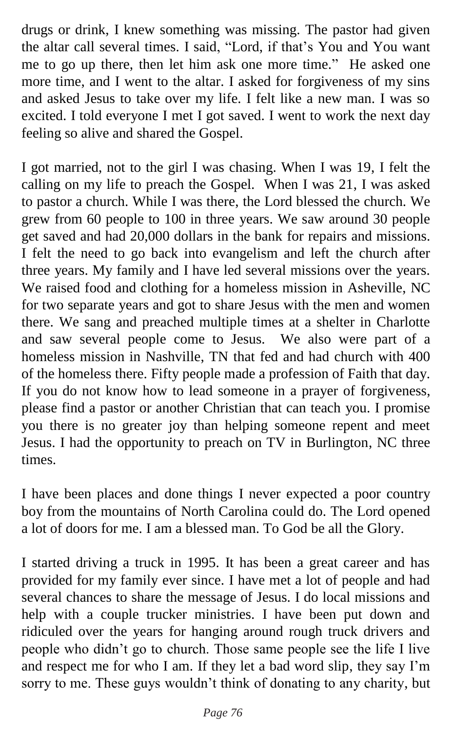drugs or drink, I knew something was missing. The pastor had given the altar call several times. I said, "Lord, if that's You and You want me to go up there, then let him ask one more time." He asked one more time, and I went to the altar. I asked for forgiveness of my sins and asked Jesus to take over my life. I felt like a new man. I was so excited. I told everyone I met I got saved. I went to work the next day feeling so alive and shared the Gospel.

I got married, not to the girl I was chasing. When I was 19, I felt the calling on my life to preach the Gospel. When I was 21, I was asked to pastor a church. While I was there, the Lord blessed the church. We grew from 60 people to 100 in three years. We saw around 30 people get saved and had 20,000 dollars in the bank for repairs and missions. I felt the need to go back into evangelism and left the church after three years. My family and I have led several missions over the years. We raised food and clothing for a homeless mission in Asheville, NC for two separate years and got to share Jesus with the men and women there. We sang and preached multiple times at a shelter in Charlotte and saw several people come to Jesus. We also were part of a homeless mission in Nashville, TN that fed and had church with 400 of the homeless there. Fifty people made a profession of Faith that day. If you do not know how to lead someone in a prayer of forgiveness, please find a pastor or another Christian that can teach you. I promise you there is no greater joy than helping someone repent and meet Jesus. I had the opportunity to preach on TV in Burlington, NC three times.

I have been places and done things I never expected a poor country boy from the mountains of North Carolina could do. The Lord opened a lot of doors for me. I am a blessed man. To God be all the Glory.

I started driving a truck in 1995. It has been a great career and has provided for my family ever since. I have met a lot of people and had several chances to share the message of Jesus. I do local missions and help with a couple trucker ministries. I have been put down and ridiculed over the years for hanging around rough truck drivers and people who didn't go to church. Those same people see the life I live and respect me for who I am. If they let a bad word slip, they say I'm sorry to me. These guys wouldn't think of donating to any charity, but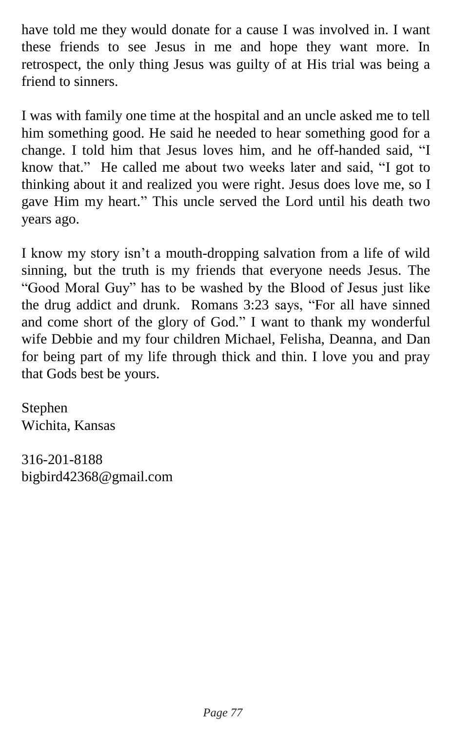have told me they would donate for a cause I was involved in. I want these friends to see Jesus in me and hope they want more. In retrospect, the only thing Jesus was guilty of at His trial was being a friend to sinners.

I was with family one time at the hospital and an uncle asked me to tell him something good. He said he needed to hear something good for a change. I told him that Jesus loves him, and he off-handed said, "I know that." He called me about two weeks later and said, "I got to thinking about it and realized you were right. Jesus does love me, so I gave Him my heart." This uncle served the Lord until his death two years ago.

I know my story isn't a mouth-dropping salvation from a life of wild sinning, but the truth is my friends that everyone needs Jesus. The "Good Moral Guy" has to be washed by the Blood of Jesus just like the drug addict and drunk. Romans 3:23 says, "For all have sinned and come short of the glory of God." I want to thank my wonderful wife Debbie and my four children Michael, Felisha, Deanna, and Dan for being part of my life through thick and thin. I love you and pray that Gods best be yours.

Stephen Wichita, Kansas

316-201-8188 bigbird42368@gmail.com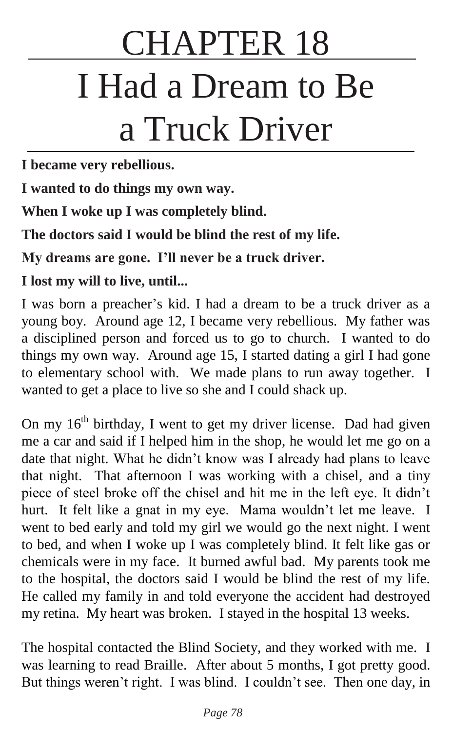### CHAPTER 18 I Had a Dream to Be a Truck Driver

**I became very rebellious.**

**I wanted to do things my own way.**

**When I woke up I was completely blind.**

**The doctors said I would be blind the rest of my life.**

**My dreams are gone. I'll never be a truck driver.**

**I lost my will to live, until...**

I was born a preacher's kid. I had a dream to be a truck driver as a young boy. Around age 12, I became very rebellious. My father was a disciplined person and forced us to go to church. I wanted to do things my own way. Around age 15, I started dating a girl I had gone to elementary school with. We made plans to run away together. I wanted to get a place to live so she and I could shack up.

On my  $16<sup>th</sup>$  birthday, I went to get my driver license. Dad had given me a car and said if I helped him in the shop, he would let me go on a date that night. What he didn't know was I already had plans to leave that night. That afternoon I was working with a chisel, and a tiny piece of steel broke off the chisel and hit me in the left eye. It didn't hurt. It felt like a gnat in my eye. Mama wouldn't let me leave. I went to bed early and told my girl we would go the next night. I went to bed, and when I woke up I was completely blind. It felt like gas or chemicals were in my face. It burned awful bad. My parents took me to the hospital, the doctors said I would be blind the rest of my life. He called my family in and told everyone the accident had destroyed my retina. My heart was broken. I stayed in the hospital 13 weeks.

The hospital contacted the Blind Society, and they worked with me. I was learning to read Braille. After about 5 months, I got pretty good. But things weren't right. I was blind. I couldn't see. Then one day, in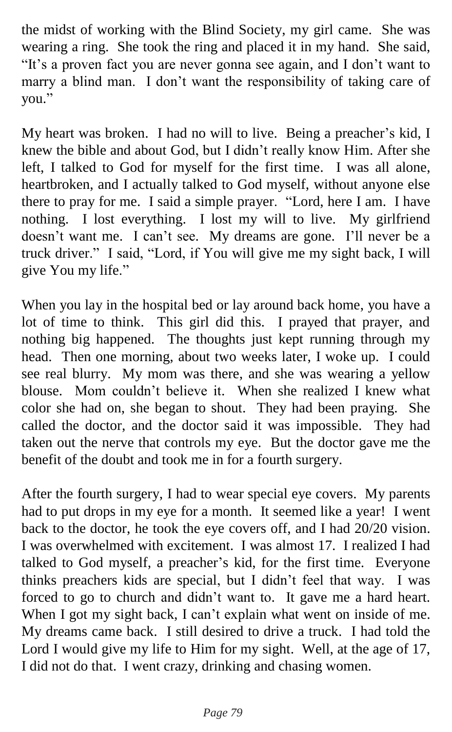the midst of working with the Blind Society, my girl came. She was wearing a ring. She took the ring and placed it in my hand. She said, "It's a proven fact you are never gonna see again, and I don't want to marry a blind man. I don't want the responsibility of taking care of you."

My heart was broken. I had no will to live. Being a preacher's kid, I knew the bible and about God, but I didn't really know Him. After she left, I talked to God for myself for the first time. I was all alone, heartbroken, and I actually talked to God myself, without anyone else there to pray for me. I said a simple prayer. "Lord, here I am. I have nothing. I lost everything. I lost my will to live. My girlfriend doesn't want me. I can't see. My dreams are gone. I'll never be a truck driver." I said, "Lord, if You will give me my sight back, I will give You my life."

When you lay in the hospital bed or lay around back home, you have a lot of time to think. This girl did this. I prayed that prayer, and nothing big happened. The thoughts just kept running through my head. Then one morning, about two weeks later, I woke up. I could see real blurry. My mom was there, and she was wearing a yellow blouse. Mom couldn't believe it. When she realized I knew what color she had on, she began to shout. They had been praying. She called the doctor, and the doctor said it was impossible. They had taken out the nerve that controls my eye. But the doctor gave me the benefit of the doubt and took me in for a fourth surgery.

After the fourth surgery, I had to wear special eye covers. My parents had to put drops in my eye for a month. It seemed like a year! I went back to the doctor, he took the eye covers off, and I had 20/20 vision. I was overwhelmed with excitement. I was almost 17. I realized I had talked to God myself, a preacher's kid, for the first time. Everyone thinks preachers kids are special, but I didn't feel that way. I was forced to go to church and didn't want to. It gave me a hard heart. When I got my sight back, I can't explain what went on inside of me. My dreams came back. I still desired to drive a truck. I had told the Lord I would give my life to Him for my sight. Well, at the age of 17, I did not do that. I went crazy, drinking and chasing women.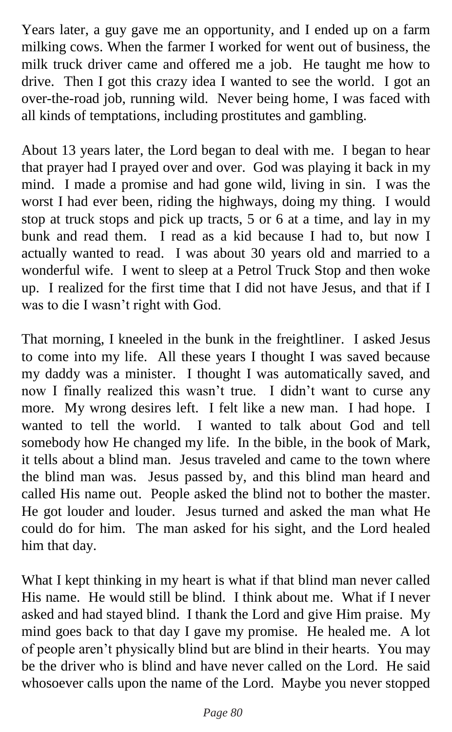Years later, a guy gave me an opportunity, and I ended up on a farm milking cows. When the farmer I worked for went out of business, the milk truck driver came and offered me a job. He taught me how to drive. Then I got this crazy idea I wanted to see the world. I got an over-the-road job, running wild. Never being home, I was faced with all kinds of temptations, including prostitutes and gambling.

About 13 years later, the Lord began to deal with me. I began to hear that prayer had I prayed over and over. God was playing it back in my mind. I made a promise and had gone wild, living in sin. I was the worst I had ever been, riding the highways, doing my thing. I would stop at truck stops and pick up tracts, 5 or 6 at a time, and lay in my bunk and read them. I read as a kid because I had to, but now I actually wanted to read. I was about 30 years old and married to a wonderful wife. I went to sleep at a Petrol Truck Stop and then woke up. I realized for the first time that I did not have Jesus, and that if I was to die I wasn't right with God.

That morning, I kneeled in the bunk in the freightliner. I asked Jesus to come into my life. All these years I thought I was saved because my daddy was a minister. I thought I was automatically saved, and now I finally realized this wasn't true. I didn't want to curse any more. My wrong desires left. I felt like a new man. I had hope. I wanted to tell the world. I wanted to talk about God and tell somebody how He changed my life. In the bible, in the book of Mark, it tells about a blind man. Jesus traveled and came to the town where the blind man was. Jesus passed by, and this blind man heard and called His name out. People asked the blind not to bother the master. He got louder and louder. Jesus turned and asked the man what He could do for him. The man asked for his sight, and the Lord healed him that day.

What I kept thinking in my heart is what if that blind man never called His name. He would still be blind. I think about me. What if I never asked and had stayed blind. I thank the Lord and give Him praise. My mind goes back to that day I gave my promise. He healed me. A lot of people aren't physically blind but are blind in their hearts. You may be the driver who is blind and have never called on the Lord. He said whosoever calls upon the name of the Lord. Maybe you never stopped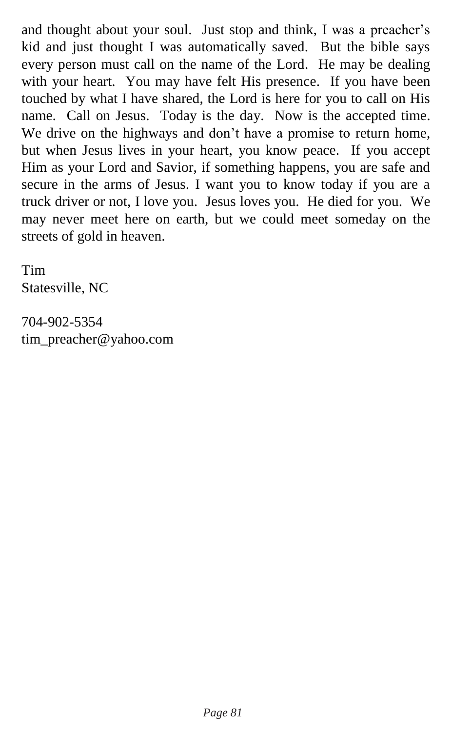and thought about your soul. Just stop and think, I was a preacher's kid and just thought I was automatically saved. But the bible says every person must call on the name of the Lord. He may be dealing with your heart. You may have felt His presence. If you have been touched by what I have shared, the Lord is here for you to call on His name. Call on Jesus. Today is the day. Now is the accepted time. We drive on the highways and don't have a promise to return home, but when Jesus lives in your heart, you know peace. If you accept Him as your Lord and Savior, if something happens, you are safe and secure in the arms of Jesus. I want you to know today if you are a truck driver or not, I love you. Jesus loves you. He died for you. We may never meet here on earth, but we could meet someday on the streets of gold in heaven.

Tim Statesville, NC

704-902-5354 tim\_preacher@yahoo.com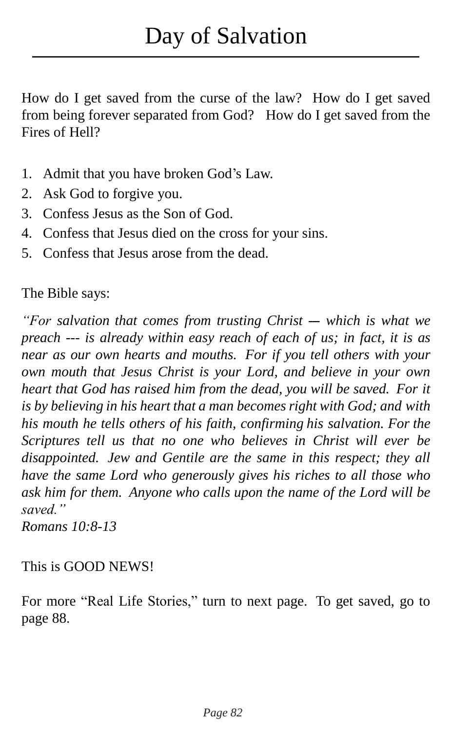How do I get saved from the curse of the law? How do I get saved from being forever separated from God? How do I get saved from the Fires of Hell?

- 1. Admit that you have broken God's Law.
- 2. Ask God to forgive you.
- 3. Confess Jesus as the Son of God.
- 4. Confess that Jesus died on the cross for your sins.
- 5. Confess that Jesus arose from the dead.

#### The Bible says:

*"For salvation that comes from trusting Christ --- which is what we preach --- is already within easy reach of each of us; in fact, it is as near as our own hearts and mouths. For if you tell others with your own mouth that Jesus Christ is your Lord, and believe in your own heart that God has raised him from the dead, you will be saved. For it is by believing in his heart that a man becomesright with God; and with his mouth he tells others of his faith, confirming his salvation. For the Scriptures tell us that no one who believes in Christ will ever be disappointed. Jew and Gentile are the same in this respect; they all have the same Lord who generously gives his riches to all those who ask him for them. Anyone who calls upon the name of the Lord will be saved."*

*Romans 10:8-13*

#### This is GOOD NEWS!

For more "Real Life Stories," turn to next page. To get saved, go to page 88.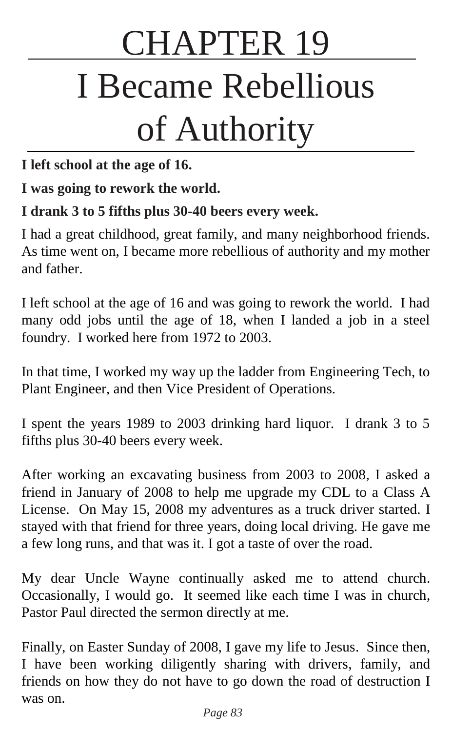### CHAPTER 19 I Became Rebellious of Authority

#### **I left school at the age of 16.**

**I was going to rework the world.**

**I drank 3 to 5 fifths plus 30-40 beers every week.**

I had a great childhood, great family, and many neighborhood friends. As time went on, I became more rebellious of authority and my mother and father.

I left school at the age of 16 and was going to rework the world. I had many odd jobs until the age of 18, when I landed a job in a steel foundry. I worked here from 1972 to 2003.

In that time, I worked my way up the ladder from Engineering Tech, to Plant Engineer, and then Vice President of Operations.

I spent the years 1989 to 2003 drinking hard liquor. I drank 3 to 5 fifths plus 30-40 beers every week.

After working an excavating business from 2003 to 2008, I asked a friend in January of 2008 to help me upgrade my CDL to a Class A License. On May 15, 2008 my adventures as a truck driver started. I stayed with that friend for three years, doing local driving. He gave me a few long runs, and that was it. I got a taste of over the road.

My dear Uncle Wayne continually asked me to attend church. Occasionally, I would go. It seemed like each time I was in church, Pastor Paul directed the sermon directly at me.

Finally, on Easter Sunday of 2008, I gave my life to Jesus. Since then, I have been working diligently sharing with drivers, family, and friends on how they do not have to go down the road of destruction I was on.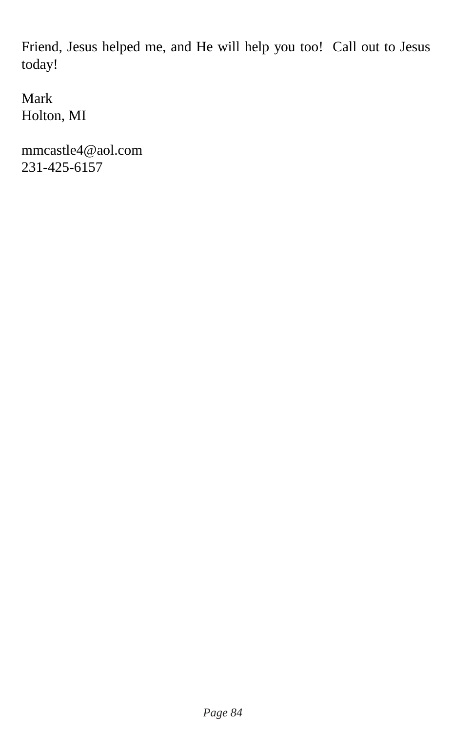Friend, Jesus helped me, and He will help you too! Call out to Jesus today!

Mark Holton, MI

mmcastle4@aol.com 231-425-6157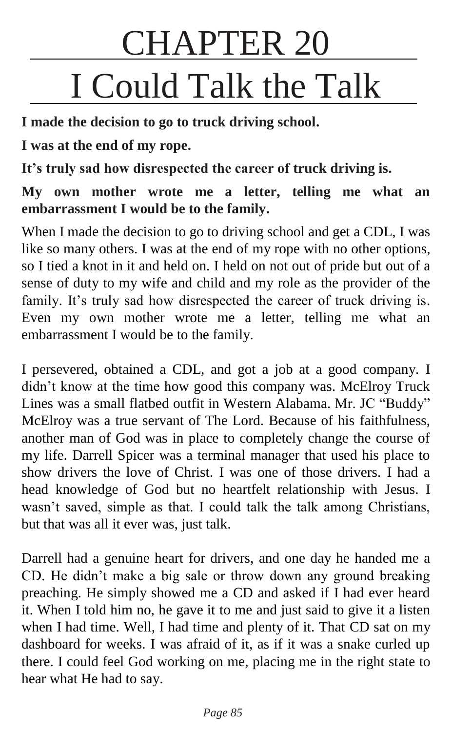## CHAPTER 20 I Could Talk the Talk

**I made the decision to go to truck driving school.**

**I was at the end of my rope.**

**It's truly sad how disrespected the career of truck driving is.**

**My own mother wrote me a letter, telling me what an embarrassment I would be to the family.**

When I made the decision to go to driving school and get a CDL, I was like so many others. I was at the end of my rope with no other options, so I tied a knot in it and held on. I held on not out of pride but out of a sense of duty to my wife and child and my role as the provider of the family. It's truly sad how disrespected the career of truck driving is. Even my own mother wrote me a letter, telling me what an embarrassment I would be to the family.

I persevered, obtained a CDL, and got a job at a good company. I didn't know at the time how good this company was. McElroy Truck Lines was a small flatbed outfit in Western Alabama. Mr. JC "Buddy" McElroy was a true servant of The Lord. Because of his faithfulness, another man of God was in place to completely change the course of my life. Darrell Spicer was a terminal manager that used his place to show drivers the love of Christ. I was one of those drivers. I had a head knowledge of God but no heartfelt relationship with Jesus. I wasn't saved, simple as that. I could talk the talk among Christians, but that was all it ever was, just talk.

Darrell had a genuine heart for drivers, and one day he handed me a CD. He didn't make a big sale or throw down any ground breaking preaching. He simply showed me a CD and asked if I had ever heard it. When I told him no, he gave it to me and just said to give it a listen when I had time. Well, I had time and plenty of it. That CD sat on my dashboard for weeks. I was afraid of it, as if it was a snake curled up there. I could feel God working on me, placing me in the right state to hear what He had to say.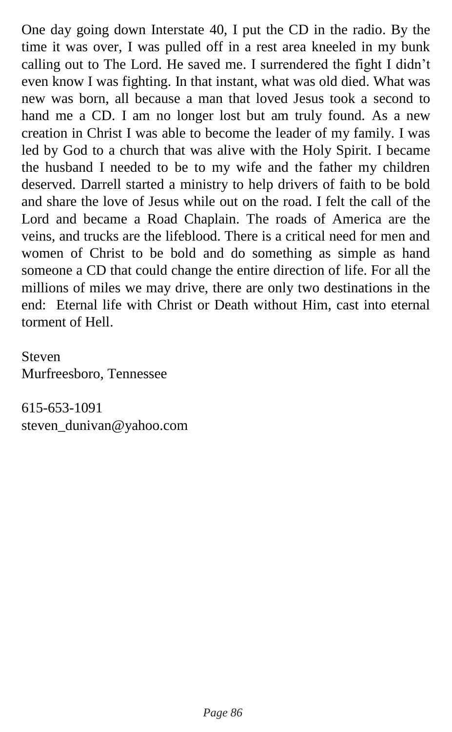One day going down Interstate 40, I put the CD in the radio. By the time it was over, I was pulled off in a rest area kneeled in my bunk calling out to The Lord. He saved me. I surrendered the fight I didn't even know I was fighting. In that instant, what was old died. What was new was born, all because a man that loved Jesus took a second to hand me a CD. I am no longer lost but am truly found. As a new creation in Christ I was able to become the leader of my family. I was led by God to a church that was alive with the Holy Spirit. I became the husband I needed to be to my wife and the father my children deserved. Darrell started a ministry to help drivers of faith to be bold and share the love of Jesus while out on the road. I felt the call of the Lord and became a Road Chaplain. The roads of America are the veins, and trucks are the lifeblood. There is a critical need for men and women of Christ to be bold and do something as simple as hand someone a CD that could change the entire direction of life. For all the millions of miles we may drive, there are only two destinations in the end: Eternal life with Christ or Death without Him, cast into eternal torment of Hell.

Steven Murfreesboro, Tennessee

615-653-1091 steven\_dunivan@yahoo.com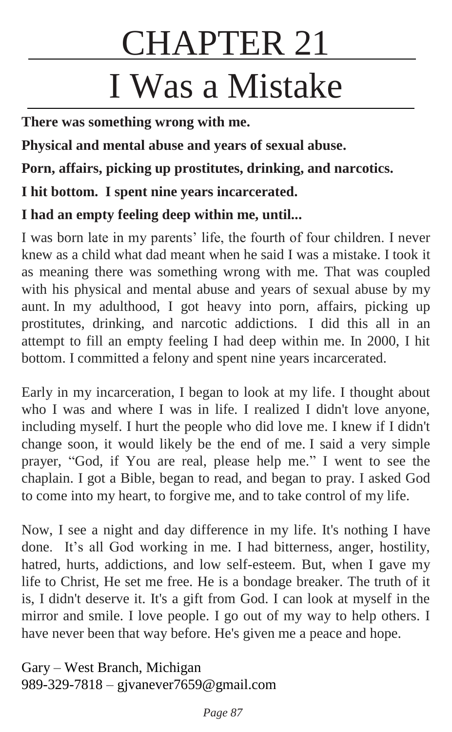### CHAPTER 21 I Was a Mistake

**There was something wrong with me.**

**Physical and mental abuse and years of sexual abuse.**

**Porn, affairs, picking up prostitutes, drinking, and narcotics.**

**I hit bottom. I spent nine years incarcerated.**

**I had an empty feeling deep within me, until...**

I was born late in my parents' life, the fourth of four children. I never knew as a child what dad meant when he said I was a mistake. I took it as meaning there was something wrong with me. That was coupled with his physical and mental abuse and years of sexual abuse by my aunt. In my adulthood, I got heavy into porn, affairs, picking up prostitutes, drinking, and narcotic addictions. I did this all in an attempt to fill an empty feeling I had deep within me. In 2000, I hit bottom. I committed a felony and spent nine years incarcerated.

Early in my incarceration, I began to look at my life. I thought about who I was and where I was in life. I realized I didn't love anyone, including myself. I hurt the people who did love me. I knew if I didn't change soon, it would likely be the end of me. I said a very simple prayer, "God, if You are real, please help me." I went to see the chaplain. I got a Bible, began to read, and began to pray. I asked God to come into my heart, to forgive me, and to take control of my life.

Now, I see a night and day difference in my life. It's nothing I have done. It's all God working in me. I had bitterness, anger, hostility, hatred, hurts, addictions, and low self-esteem. But, when I gave my life to Christ, He set me free. He is a bondage breaker. The truth of it is, I didn't deserve it. It's a gift from God. I can look at myself in the mirror and smile. I love people. I go out of my way to help others. I have never been that way before. He's given me a peace and hope.

Gary – West Branch, Michigan 989-329-7818 – gjvanever7659@gmail.com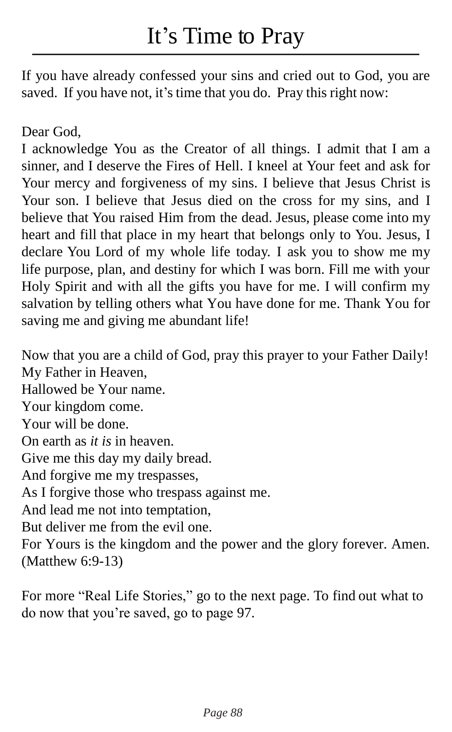If you have already confessed your sins and cried out to God, you are saved. If you have not, it's time that you do. Pray this right now:

Dear God,

I acknowledge You as the Creator of all things. I admit that I am a sinner, and I deserve the Fires of Hell. I kneel at Your feet and ask for Your mercy and forgiveness of my sins. I believe that Jesus Christ is Your son. I believe that Jesus died on the cross for my sins, and I believe that You raised Him from the dead. Jesus, please come into my heart and fill that place in my heart that belongs only to You. Jesus, I declare You Lord of my whole life today. I ask you to show me my life purpose, plan, and destiny for which I was born. Fill me with your Holy Spirit and with all the gifts you have for me. I will confirm my salvation by telling others what You have done for me. Thank You for saving me and giving me abundant life!

Now that you are a child of God, pray this prayer to your Father Daily! My Father in Heaven, Hallowed be Your name. Your kingdom come. Your will be done. On earth as *it is* in heaven. Give me this day my daily bread. And forgive me my trespasses, As I forgive those who trespass against me. And lead me not into temptation, But deliver me from the evil one. For Yours is the kingdom and the power and the glory forever. Amen.

(Matthew 6:9-13)

For more "Real Life Stories," go to the next page. To find out what to do now that you're saved, go to page 97.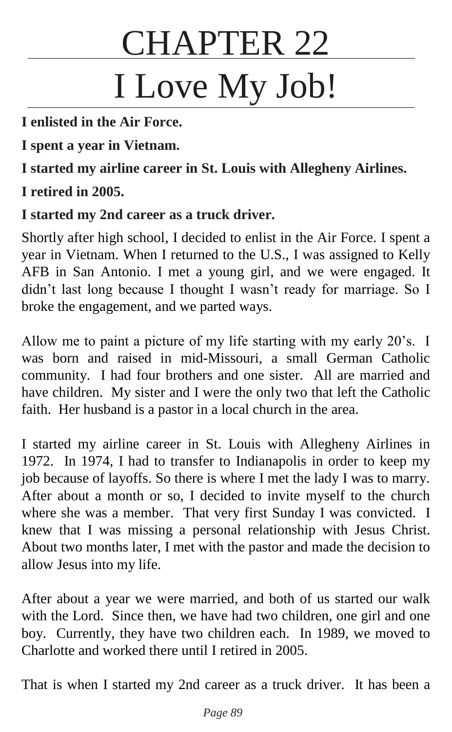## CHAPTER 22 I Love My Job!

**I enlisted in the Air Force.**

**I spent a year in Vietnam.**

**I started my airline career in St. Louis with Allegheny Airlines.**

**I retired in 2005.**

**I started my 2nd career as a truck driver.**

Shortly after high school, I decided to enlist in the Air Force. I spent a year in Vietnam. When I returned to the U.S., I was assigned to Kelly AFB in San Antonio. I met a young girl, and we were engaged. It didn't last long because I thought I wasn't ready for marriage. So I broke the engagement, and we parted ways.

Allow me to paint a picture of my life starting with my early 20's. I was born and raised in mid-Missouri, a small German Catholic community. I had four brothers and one sister. All are married and have children. My sister and I were the only two that left the Catholic faith. Her husband is a pastor in a local church in the area.

I started my airline career in St. Louis with Allegheny Airlines in 1972. In 1974, I had to transfer to Indianapolis in order to keep my job because of layoffs. So there is where I met the lady I was to marry. After about a month or so, I decided to invite myself to the church where she was a member. That very first Sunday I was convicted. I knew that I was missing a personal relationship with Jesus Christ. About two months later, I met with the pastor and made the decision to allow Jesus into my life.

After about a year we were married, and both of us started our walk with the Lord. Since then, we have had two children, one girl and one boy. Currently, they have two children each. In 1989, we moved to Charlotte and worked there until I retired in 2005.

That is when I started my 2nd career as a truck driver. It has been a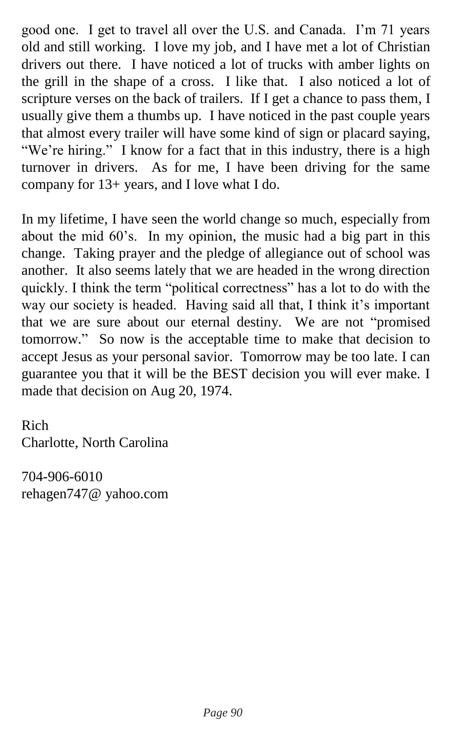good one. I get to travel all over the U.S. and Canada. I'm 71 years old and still working. I love my job, and I have met a lot of Christian drivers out there. I have noticed a lot of trucks with amber lights on the grill in the shape of a cross. I like that. I also noticed a lot of scripture verses on the back of trailers. If I get a chance to pass them, I usually give them a thumbs up. I have noticed in the past couple years that almost every trailer will have some kind of sign or placard saying, "We're hiring." I know for a fact that in this industry, there is a high turnover in drivers. As for me, I have been driving for the same company for 13+ years, and I love what I do.

In my lifetime, I have seen the world change so much, especially from about the mid 60's. In my opinion, the music had a big part in this change. Taking prayer and the pledge of allegiance out of school was another. It also seems lately that we are headed in the wrong direction quickly. I think the term "political correctness" has a lot to do with the way our society is headed. Having said all that, I think it's important that we are sure about our eternal destiny. We are not "promised tomorrow." So now is the acceptable time to make that decision to accept Jesus as your personal savior. Tomorrow may be too late. I can guarantee you that it will be the BEST decision you will ever make. I made that decision on Aug 20, 1974.

[Rich](mailto:Rehagen747@yahoo.com) Charlotte, North Carolina

704-906-6010 rehagen747@ yahoo.com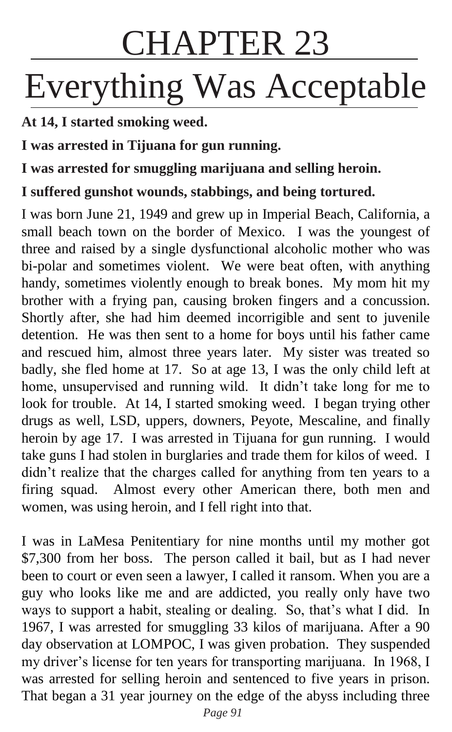## CHAPTER 23 Everything Was Acceptable

**At 14, I started smoking weed.**

**I was arrested in Tijuana for gun running.**

**I was arrested for smuggling marijuana and selling heroin.**

#### **I suffered gunshot wounds, stabbings, and being tortured.**

I was born June 21, 1949 and grew up in Imperial Beach, California, a small beach town on the border of Mexico. I was the youngest of three and raised by a single dysfunctional alcoholic mother who was bi-polar and sometimes violent. We were beat often, with anything handy, sometimes violently enough to break bones. My mom hit my brother with a frying pan, causing broken fingers and a concussion. Shortly after, she had him deemed incorrigible and sent to juvenile detention. He was then sent to a home for boys until his father came and rescued him, almost three years later. My sister was treated so badly, she fled home at 17. So at age 13, I was the only child left at home, unsupervised and running wild. It didn't take long for me to look for trouble. At 14, I started smoking weed. I began trying other drugs as well, LSD, uppers, downers, Peyote, Mescaline, and finally heroin by age 17. I was arrested in Tijuana for gun running. I would take guns I had stolen in burglaries and trade them for kilos of weed. I didn't realize that the charges called for anything from ten years to a firing squad. Almost every other American there, both men and women, was using heroin, and I fell right into that.

I was in LaMesa Penitentiary for nine months until my mother got \$7,300 from her boss. The person called it bail, but as I had never been to court or even seen a lawyer, I called it ransom. When you are a guy who looks like me and are addicted, you really only have two ways to support a habit, stealing or dealing. So, that's what I did. In 1967, I was arrested for smuggling 33 kilos of marijuana. After a 90 day observation at LOMPOC, I was given probation. They suspended my driver's license for ten years for transporting marijuana. In 1968, I was arrested for selling heroin and sentenced to five years in prison. That began a 31 year journey on the edge of the abyss including three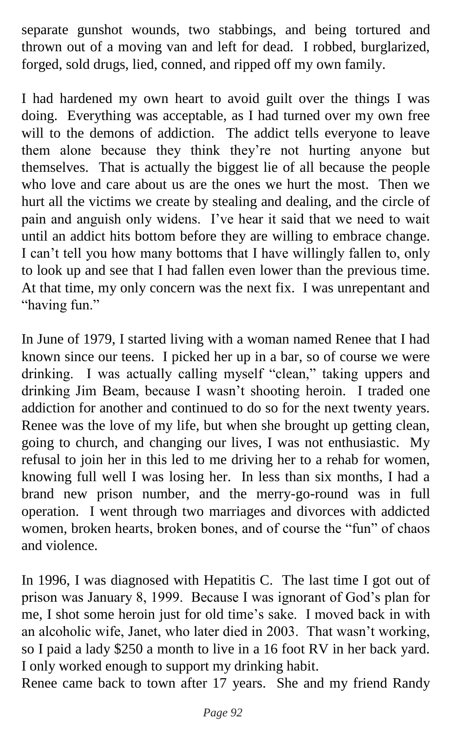separate gunshot wounds, two stabbings, and being tortured and thrown out of a moving van and left for dead. I robbed, burglarized, forged, sold drugs, lied, conned, and ripped off my own family.

I had hardened my own heart to avoid guilt over the things I was doing. Everything was acceptable, as I had turned over my own free will to the demons of addiction. The addict tells everyone to leave them alone because they think they're not hurting anyone but themselves. That is actually the biggest lie of all because the people who love and care about us are the ones we hurt the most. Then we hurt all the victims we create by stealing and dealing, and the circle of pain and anguish only widens. I've hear it said that we need to wait until an addict hits bottom before they are willing to embrace change. I can't tell you how many bottoms that I have willingly fallen to, only to look up and see that I had fallen even lower than the previous time. At that time, my only concern was the next fix. I was unrepentant and "having fun."

In June of 1979, I started living with a woman named Renee that I had known since our teens. I picked her up in a bar, so of course we were drinking. I was actually calling myself "clean," taking uppers and drinking Jim Beam, because I wasn't shooting heroin. I traded one addiction for another and continued to do so for the next twenty years. Renee was the love of my life, but when she brought up getting clean, going to church, and changing our lives, I was not enthusiastic. My refusal to join her in this led to me driving her to a rehab for women, knowing full well I was losing her. In less than six months, I had a brand new prison number, and the merry-go-round was in full operation. I went through two marriages and divorces with addicted women, broken hearts, broken bones, and of course the "fun" of chaos and violence.

In 1996, I was diagnosed with Hepatitis C. The last time I got out of prison was January 8, 1999. Because I was ignorant of God's plan for me, I shot some heroin just for old time's sake. I moved back in with an alcoholic wife, Janet, who later died in 2003. That wasn't working, so I paid a lady \$250 a month to live in a 16 foot RV in her back yard. I only worked enough to support my drinking habit.

Renee came back to town after 17 years. She and my friend Randy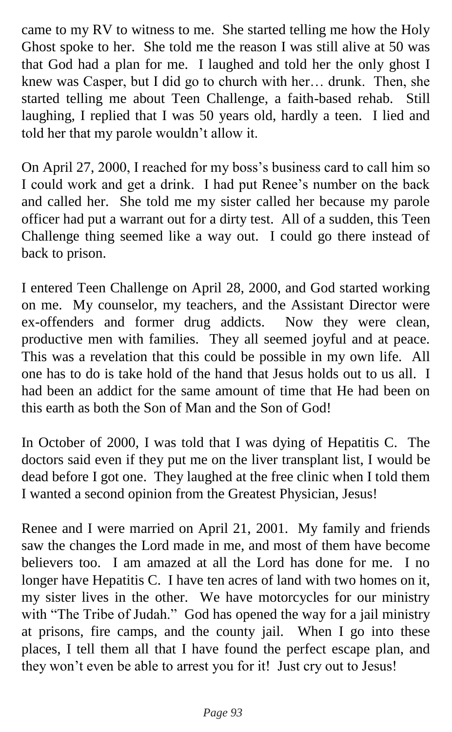came to my RV to witness to me. She started telling me how the Holy Ghost spoke to her. She told me the reason I was still alive at 50 was that God had a plan for me. I laughed and told her the only ghost I knew was Casper, but I did go to church with her… drunk. Then, she started telling me about Teen Challenge, a faith-based rehab. Still laughing, I replied that I was 50 years old, hardly a teen. I lied and told her that my parole wouldn't allow it.

On April 27, 2000, I reached for my boss's business card to call him so I could work and get a drink. I had put Renee's number on the back and called her. She told me my sister called her because my parole officer had put a warrant out for a dirty test. All of a sudden, this Teen Challenge thing seemed like a way out. I could go there instead of back to prison.

I entered Teen Challenge on April 28, 2000, and God started working on me. My counselor, my teachers, and the Assistant Director were ex-offenders and former drug addicts. Now they were clean, productive men with families. They all seemed joyful and at peace. This was a revelation that this could be possible in my own life. All one has to do is take hold of the hand that Jesus holds out to us all. I had been an addict for the same amount of time that He had been on this earth as both the Son of Man and the Son of God!

In October of 2000, I was told that I was dying of Hepatitis C. The doctors said even if they put me on the liver transplant list, I would be dead before I got one. They laughed at the free clinic when I told them I wanted a second opinion from the Greatest Physician, Jesus!

Renee and I were married on April 21, 2001. My family and friends saw the changes the Lord made in me, and most of them have become believers too. I am amazed at all the Lord has done for me. I no longer have Hepatitis C. I have ten acres of land with two homes on it, my sister lives in the other. We have motorcycles for our ministry with "The Tribe of Judah." God has opened the way for a jail ministry at prisons, fire camps, and the county jail. When I go into these places, I tell them all that I have found the perfect escape plan, and they won't even be able to arrest you for it! Just cry out to Jesus!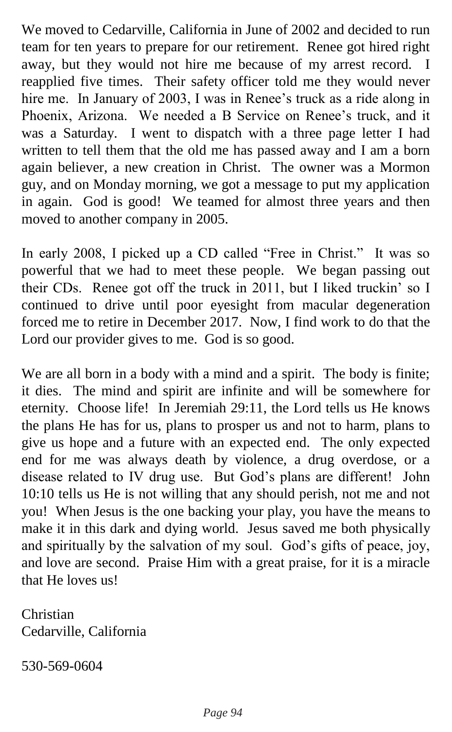We moved to Cedarville, California in June of 2002 and decided to run team for ten years to prepare for our retirement. Renee got hired right away, but they would not hire me because of my arrest record. I reapplied five times. Their safety officer told me they would never hire me. In January of 2003, I was in Renee's truck as a ride along in Phoenix, Arizona. We needed a B Service on Renee's truck, and it was a Saturday. I went to dispatch with a three page letter I had written to tell them that the old me has passed away and I am a born again believer, a new creation in Christ. The owner was a Mormon guy, and on Monday morning, we got a message to put my application in again. God is good! We teamed for almost three years and then moved to another company in 2005.

In early 2008, I picked up a CD called "Free in Christ." It was so powerful that we had to meet these people. We began passing out their CDs. Renee got off the truck in 2011, but I liked truckin' so I continued to drive until poor eyesight from macular degeneration forced me to retire in December 2017. Now, I find work to do that the Lord our provider gives to me. God is so good.

We are all born in a body with a mind and a spirit. The body is finite; it dies. The mind and spirit are infinite and will be somewhere for eternity. Choose life! In Jeremiah 29:11, the Lord tells us He knows the plans He has for us, plans to prosper us and not to harm, plans to give us hope and a future with an expected end. The only expected end for me was always death by violence, a drug overdose, or a disease related to IV drug use. But God's plans are different! John 10:10 tells us He is not willing that any should perish, not me and not you! When Jesus is the one backing your play, you have the means to make it in this dark and dying world. Jesus saved me both physically and spiritually by the salvation of my soul. God's gifts of peace, joy, and love are second. Praise Him with a great praise, for it is a miracle that He loves us!

Christian Cedarville, California

530-569-0604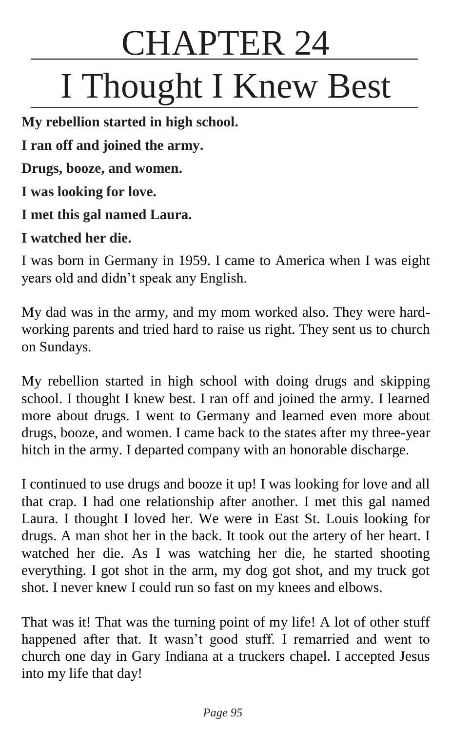# CHAPTER 24 I Thought I Knew Best

**My rebellion started in high school.**

**I ran off and joined the army.**

**Drugs, booze, and women.**

**I was looking for love.**

**I met this gal named Laura.**

**I watched her die.**

I was born in Germany in 1959. I came to America when I was eight years old and didn't speak any English.

My dad was in the army, and my mom worked also. They were hardworking parents and tried hard to raise us right. They sent us to church on Sundays.

My rebellion started in high school with doing drugs and skipping school. I thought I knew best. I ran off and joined the army. I learned more about drugs. I went to Germany and learned even more about drugs, booze, and women. I came back to the states after my three-year hitch in the army. I departed company with an honorable discharge.

I continued to use drugs and booze it up! I was looking for love and all that crap. I had one relationship after another. I met this gal named Laura. I thought I loved her. We were in East St. Louis looking for drugs. A man shot her in the back. It took out the artery of her heart. I watched her die. As I was watching her die, he started shooting everything. I got shot in the arm, my dog got shot, and my truck got shot. I never knew I could run so fast on my knees and elbows.

That was it! That was the turning point of my life! A lot of other stuff happened after that. It wasn't good stuff. I remarried and went to church one day in Gary Indiana at a truckers chapel. I accepted Jesus into my life that day!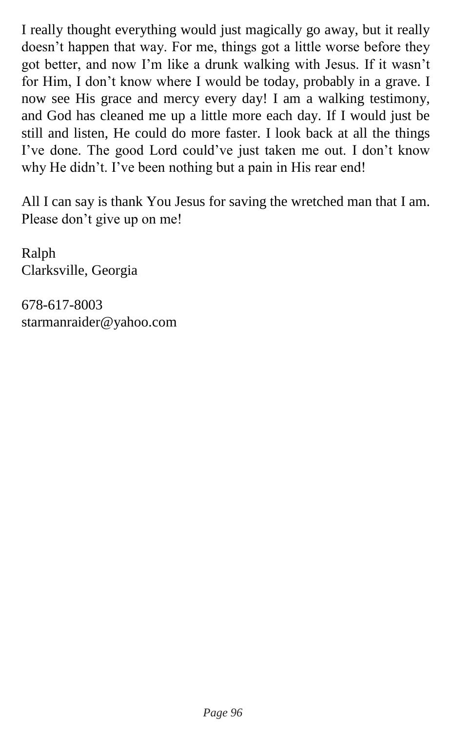I really thought everything would just magically go away, but it really doesn't happen that way. For me, things got a little worse before they got better, and now I'm like a drunk walking with Jesus. If it wasn't for Him, I don't know where I would be today, probably in a grave. I now see His grace and mercy every day! I am a walking testimony, and God has cleaned me up a little more each day. If I would just be still and listen, He could do more faster. I look back at all the things I've done. The good Lord could've just taken me out. I don't know why He didn't. I've been nothing but a pain in His rear end!

All I can say is thank You Jesus for saving the wretched man that I am. Please don't give up on me!

Ralph Clarksville, Georgia

678-617-8003 starmanraider@yahoo.com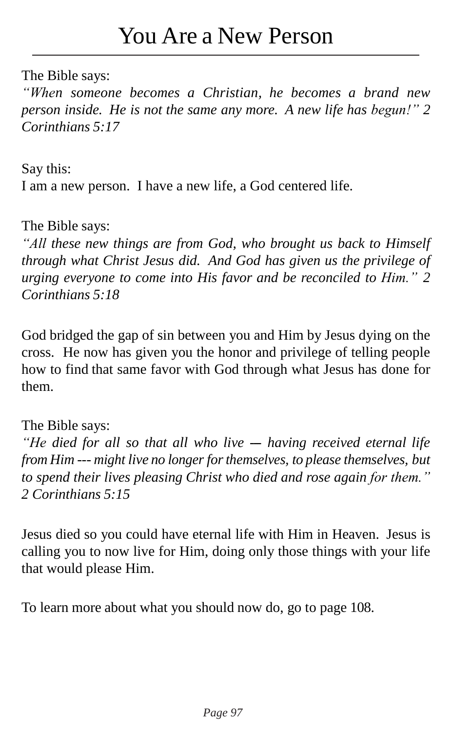#### The Bible says:

*"When someone becomes a Christian, he becomes a brand new person inside. He is not the same any more. A new life has begun!" 2 Corinthians 5:17*

#### Say this: I am a new person. I have a new life, a God centered life.

#### The Bible says:

*"All these new things are from God, who brought us back to Himself through what Christ Jesus did. And God has given us the privilege of urging everyone to come into His favor and be reconciled to Him." 2 Corinthians 5:18*

God bridged the gap of sin between you and Him by Jesus dying on the cross. He now has given you the honor and privilege of telling people how to find that same favor with God through what Jesus has done for them.

#### The Bible says:

*"He died for all so that all who live --- having received eternal life from Him --- might live no longer forthemselves, to please themselves, but to spend their lives pleasing Christ who died and rose again for them." 2 Corinthians 5:15*

Jesus died so you could have eternal life with Him in Heaven. Jesus is calling you to now live for Him, doing only those things with your life that would please Him.

To learn more about what you should now do, go to page 108.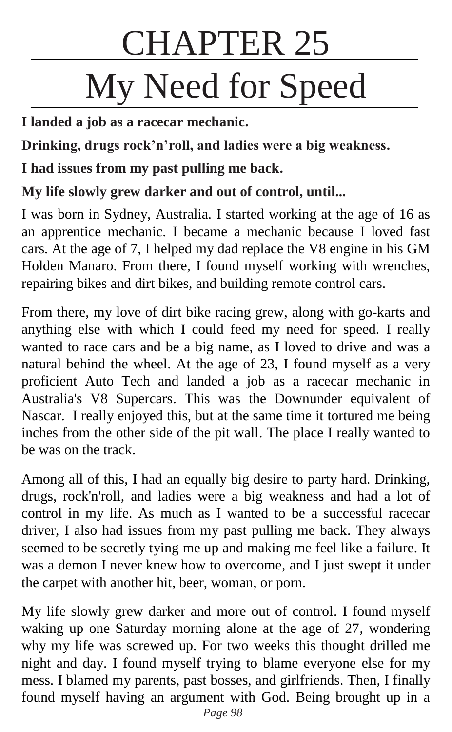## CHAPTER 25 My Need for Speed

**I landed a job as a racecar mechanic.**

**Drinking, drugs rock'n'roll, and ladies were a big weakness.**

**I had issues from my past pulling me back.**

**My life slowly grew darker and out of control, until...**

I was born in Sydney, Australia. I started working at the age of 16 as an apprentice mechanic. I became a mechanic because I loved fast cars. At the age of 7, I helped my dad replace the V8 engine in his GM Holden Manaro. From there, I found myself working with wrenches, repairing bikes and dirt bikes, and building remote control cars.

From there, my love of dirt bike racing grew, along with go-karts and anything else with which I could feed my need for speed. I really wanted to race cars and be a big name, as I loved to drive and was a natural behind the wheel. At the age of 23, I found myself as a very proficient Auto Tech and landed a job as a racecar mechanic in Australia's V8 Supercars. This was the Downunder equivalent of Nascar. I really enjoyed this, but at the same time it tortured me being inches from the other side of the pit wall. The place I really wanted to be was on the track.

Among all of this, I had an equally big desire to party hard. Drinking, drugs, rock'n'roll, and ladies were a big weakness and had a lot of control in my life. As much as I wanted to be a successful racecar driver, I also had issues from my past pulling me back. They always seemed to be secretly tying me up and making me feel like a failure. It was a demon I never knew how to overcome, and I just swept it under the carpet with another hit, beer, woman, or porn.

My life slowly grew darker and more out of control. I found myself waking up one Saturday morning alone at the age of 27, wondering why my life was screwed up. For two weeks this thought drilled me night and day. I found myself trying to blame everyone else for my mess. I blamed my parents, past bosses, and girlfriends. Then, I finally found myself having an argument with God. Being brought up in a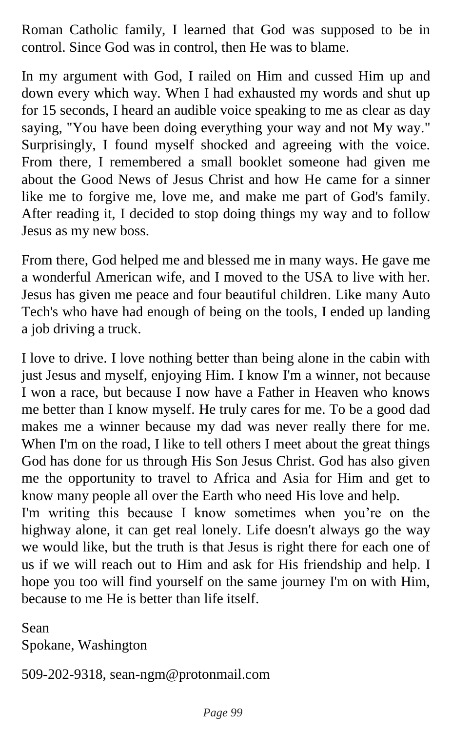Roman Catholic family, I learned that God was supposed to be in control. Since God was in control, then He was to blame.

In my argument with God, I railed on Him and cussed Him up and down every which way. When I had exhausted my words and shut up for 15 seconds, I heard an audible voice speaking to me as clear as day saying, "You have been doing everything your way and not My way." Surprisingly, I found myself shocked and agreeing with the voice. From there, I remembered a small booklet someone had given me about the Good News of Jesus Christ and how He came for a sinner like me to forgive me, love me, and make me part of God's family. After reading it, I decided to stop doing things my way and to follow Jesus as my new boss.

From there, God helped me and blessed me in many ways. He gave me a wonderful American wife, and I moved to the USA to live with her. Jesus has given me peace and four beautiful children. Like many Auto Tech's who have had enough of being on the tools, I ended up landing a job driving a truck.

I love to drive. I love nothing better than being alone in the cabin with just Jesus and myself, enjoying Him. I know I'm a winner, not because I won a race, but because I now have a Father in Heaven who knows me better than I know myself. He truly cares for me. To be a good dad makes me a winner because my dad was never really there for me. When I'm on the road, I like to tell others I meet about the great things God has done for us through His Son Jesus Christ. God has also given me the opportunity to travel to Africa and Asia for Him and get to know many people all over the Earth who need His love and help.

I'm writing this because I know sometimes when you're on the highway alone, it can get real lonely. Life doesn't always go the way we would like, but the truth is that Jesus is right there for each one of us if we will reach out to Him and ask for His friendship and help. I hope you too will find yourself on the same journey I'm on with Him, because to me He is better than life itself.

Sean Spokane, Washington

509-202-9318, sean-ngm@protonmail.com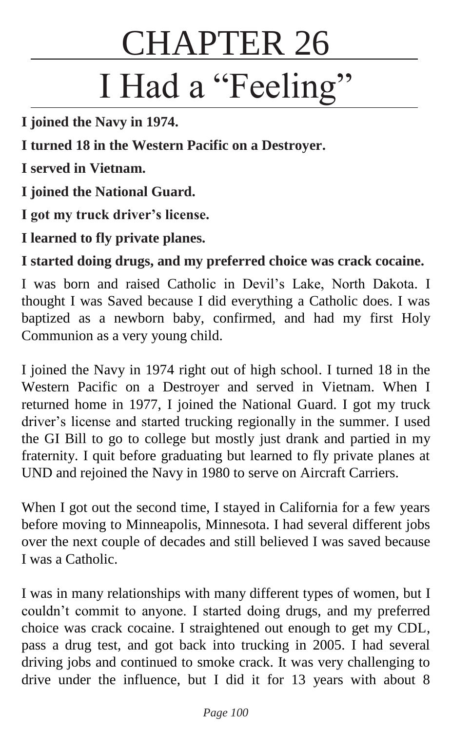# CHAPTER 26 I Had a "Feeling"

**I joined the Navy in 1974.**

**I turned 18 in the Western Pacific on a Destroyer.**

**I served in Vietnam.**

**I joined the National Guard.**

**I got my truck driver's license.**

**I learned to fly private planes.**

**I started doing drugs, and my preferred choice was crack cocaine.**

I was born and raised Catholic in Devil's Lake, North Dakota. I thought I was Saved because I did everything a Catholic does. I was baptized as a newborn baby, confirmed, and had my first Holy Communion as a very young child.

I joined the Navy in 1974 right out of high school. I turned 18 in the Western Pacific on a Destroyer and served in Vietnam. When I returned home in 1977, I joined the National Guard. I got my truck driver's license and started trucking regionally in the summer. I used the GI Bill to go to college but mostly just drank and partied in my fraternity. I quit before graduating but learned to fly private planes at UND and rejoined the Navy in 1980 to serve on Aircraft Carriers.

When I got out the second time, I stayed in California for a few years before moving to Minneapolis, Minnesota. I had several different jobs over the next couple of decades and still believed I was saved because I was a Catholic.

I was in many relationships with many different types of women, but I couldn't commit to anyone. I started doing drugs, and my preferred choice was crack cocaine. I straightened out enough to get my CDL, pass a drug test, and got back into trucking in 2005. I had several driving jobs and continued to smoke crack. It was very challenging to drive under the influence, but I did it for 13 years with about 8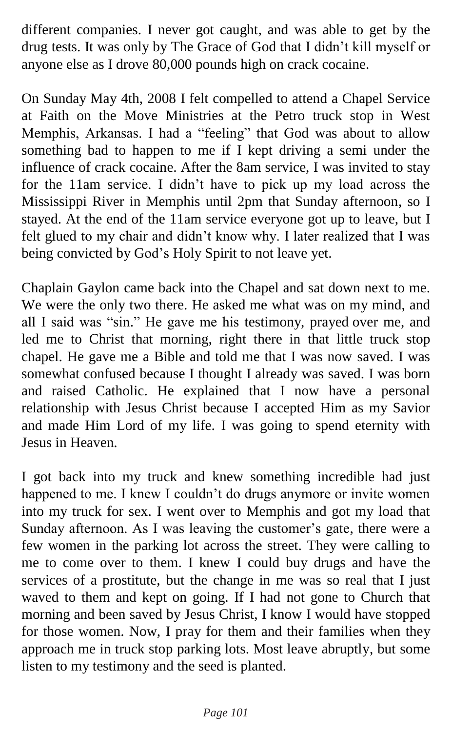different companies. I never got caught, and was able to get by the drug tests. It was only by The Grace of God that I didn't kill myself or anyone else as I drove 80,000 pounds high on crack cocaine.

On Sunday May 4th, 2008 I felt compelled to attend a Chapel Service at Faith on the Move Ministries at the Petro truck stop in West Memphis, Arkansas. I had a "feeling" that God was about to allow something bad to happen to me if I kept driving a semi under the influence of crack cocaine. After the 8am service, I was invited to stay for the 11am service. I didn't have to pick up my load across the Mississippi River in Memphis until 2pm that Sunday afternoon, so I stayed. At the end of the 11am service everyone got up to leave, but I felt glued to my chair and didn't know why. I later realized that I was being convicted by God's Holy Spirit to not leave yet.

Chaplain Gaylon came back into the Chapel and sat down next to me. We were the only two there. He asked me what was on my mind, and all I said was "sin." He gave me his testimony, prayed over me, and led me to Christ that morning, right there in that little truck stop chapel. He gave me a Bible and told me that I was now saved. I was somewhat confused because I thought I already was saved. I was born and raised Catholic. He explained that I now have a personal relationship with Jesus Christ because I accepted Him as my Savior and made Him Lord of my life. I was going to spend eternity with Jesus in Heaven.

I got back into my truck and knew something incredible had just happened to me. I knew I couldn't do drugs anymore or invite women into my truck for sex. I went over to Memphis and got my load that Sunday afternoon. As I was leaving the customer's gate, there were a few women in the parking lot across the street. They were calling to me to come over to them. I knew I could buy drugs and have the services of a prostitute, but the change in me was so real that I just waved to them and kept on going. If I had not gone to Church that morning and been saved by Jesus Christ, I know I would have stopped for those women. Now, I pray for them and their families when they approach me in truck stop parking lots. Most leave abruptly, but some listen to my testimony and the seed is planted.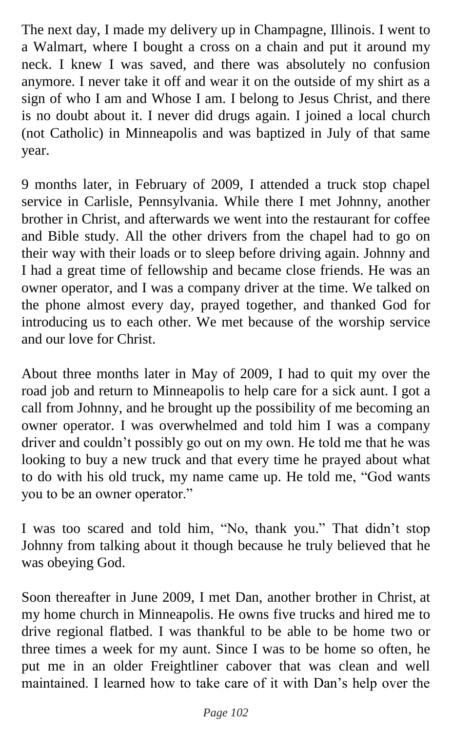The next day, I made my delivery up in Champagne, Illinois. I went to a Walmart, where I bought a cross on a chain and put it around my neck. I knew I was saved, and there was absolutely no confusion anymore. I never take it off and wear it on the outside of my shirt as a sign of who I am and Whose I am. I belong to Jesus Christ, and there is no doubt about it. I never did drugs again. I joined a local church (not Catholic) in Minneapolis and was baptized in July of that same year.

9 months later, in February of 2009, I attended a truck stop chapel service in Carlisle, Pennsylvania. While there I met Johnny, another brother in Christ, and afterwards we went into the restaurant for coffee and Bible study. All the other drivers from the chapel had to go on their way with their loads or to sleep before driving again. Johnny and I had a great time of fellowship and became close friends. He was an owner operator, and I was a company driver at the time. We talked on the phone almost every day, prayed together, and thanked God for introducing us to each other. We met because of the worship service and our love for Christ.

About three months later in May of 2009, I had to quit my over the road job and return to Minneapolis to help care for a sick aunt. I got a call from Johnny, and he brought up the possibility of me becoming an owner operator. I was overwhelmed and told him I was a company driver and couldn't possibly go out on my own. He told me that he was looking to buy a new truck and that every time he prayed about what to do with his old truck, my name came up. He told me, "God wants you to be an owner operator."

I was too scared and told him, "No, thank you." That didn't stop Johnny from talking about it though because he truly believed that he was obeying God.

Soon thereafter in June 2009, I met Dan, another brother in Christ, at my home church in Minneapolis. He owns five trucks and hired me to drive regional flatbed. I was thankful to be able to be home two or three times a week for my aunt. Since I was to be home so often, he put me in an older Freightliner cabover that was clean and well maintained. I learned how to take care of it with Dan's help over the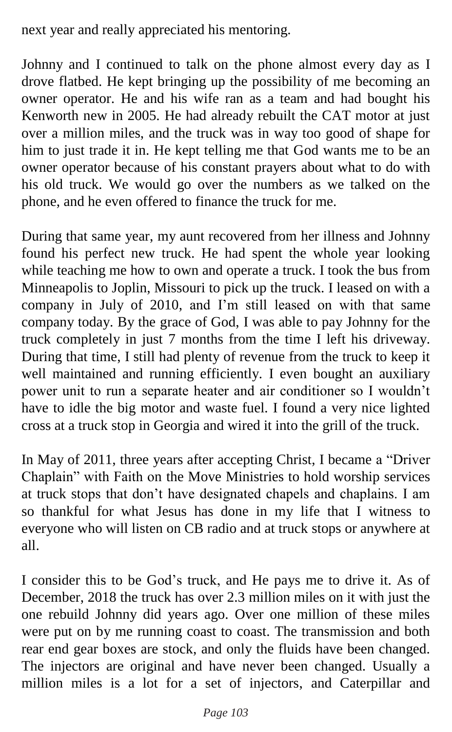next year and really appreciated his mentoring.

Johnny and I continued to talk on the phone almost every day as I drove flatbed. He kept bringing up the possibility of me becoming an owner operator. He and his wife ran as a team and had bought his Kenworth new in 2005. He had already rebuilt the CAT motor at just over a million miles, and the truck was in way too good of shape for him to just trade it in. He kept telling me that God wants me to be an owner operator because of his constant prayers about what to do with his old truck. We would go over the numbers as we talked on the phone, and he even offered to finance the truck for me.

During that same year, my aunt recovered from her illness and Johnny found his perfect new truck. He had spent the whole year looking while teaching me how to own and operate a truck. I took the bus from Minneapolis to Joplin, Missouri to pick up the truck. I leased on with a company in July of 2010, and I'm still leased on with that same company today. By the grace of God, I was able to pay Johnny for the truck completely in just 7 months from the time I left his driveway. During that time, I still had plenty of revenue from the truck to keep it well maintained and running efficiently. I even bought an auxiliary power unit to run a separate heater and air conditioner so I wouldn't have to idle the big motor and waste fuel. I found a very nice lighted cross at a truck stop in Georgia and wired it into the grill of the truck.

In May of 2011, three years after accepting Christ, I became a "Driver Chaplain" with Faith on the Move Ministries to hold worship services at truck stops that don't have designated chapels and chaplains. I am so thankful for what Jesus has done in my life that I witness to everyone who will listen on CB radio and at truck stops or anywhere at all.

I consider this to be God's truck, and He pays me to drive it. As of December, 2018 the truck has over 2.3 million miles on it with just the one rebuild Johnny did years ago. Over one million of these miles were put on by me running coast to coast. The transmission and both rear end gear boxes are stock, and only the fluids have been changed. The injectors are original and have never been changed. Usually a million miles is a lot for a set of injectors, and Caterpillar and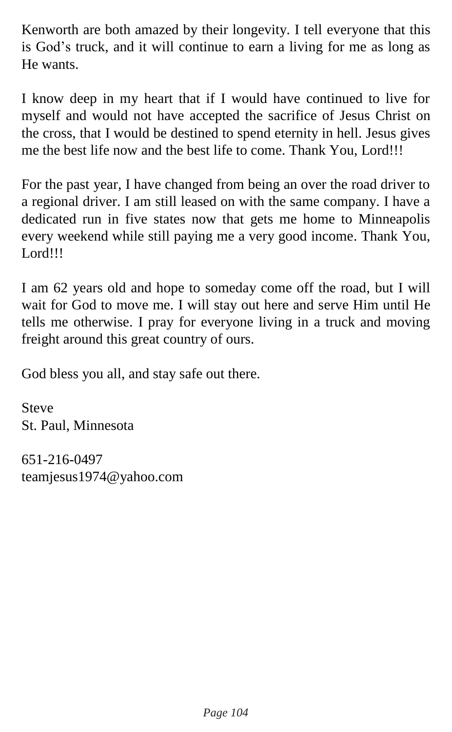Kenworth are both amazed by their longevity. I tell everyone that this is God's truck, and it will continue to earn a living for me as long as He wants.

I know deep in my heart that if I would have continued to live for myself and would not have accepted the sacrifice of Jesus Christ on the cross, that I would be destined to spend eternity in hell. Jesus gives me the best life now and the best life to come. Thank You, Lord!!!

For the past year, I have changed from being an over the road driver to a regional driver. I am still leased on with the same company. I have a dedicated run in five states now that gets me home to Minneapolis every weekend while still paying me a very good income. Thank You, Lord!!!

I am 62 years old and hope to someday come off the road, but I will wait for God to move me. I will stay out here and serve Him until He tells me otherwise. I pray for everyone living in a truck and moving freight around this great country of ours.

God bless you all, and stay safe out there.

Steve St. Paul, Minnesota

651-216-0497 [teamjesus1974@yahoo.com](https://mail.yahoo.com/neo/b/compose?to=teamjesus1974@yahoo.com)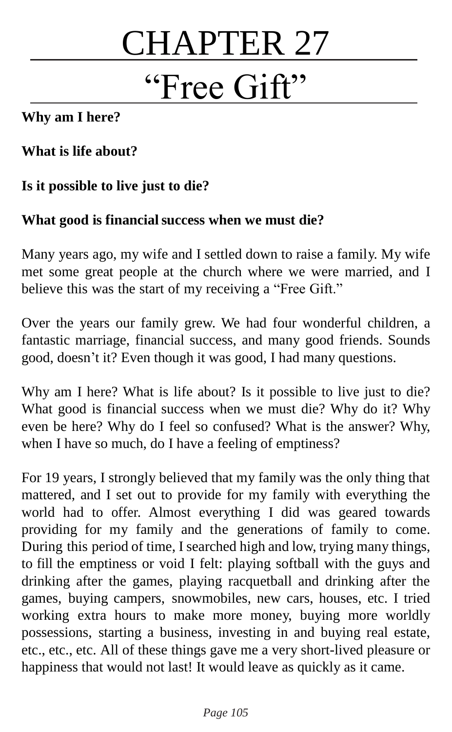### CHAPTER 27 "Free Gift"

#### **Why am I here?**

#### **What is life about?**

#### **Is it possible to live just to die?**

#### **What good is financialsuccess when we must die?**

Many years ago, my wife and I settled down to raise a family. My wife met some great people at the church where we were married, and I believe this was the start of my receiving a "Free Gift."

Over the years our family grew. We had four wonderful children, a fantastic marriage, financial success, and many good friends. Sounds good, doesn't it? Even though it was good, I had many questions.

Why am I here? What is life about? Is it possible to live just to die? What good is financial success when we must die? Why do it? Why even be here? Why do I feel so confused? What is the answer? Why, when I have so much, do I have a feeling of emptiness?

For 19 years, I strongly believed that my family was the only thing that mattered, and I set out to provide for my family with everything the world had to offer. Almost everything I did was geared towards providing for my family and the generations of family to come. During this period of time, I searched high and low, trying many things, to fill the emptiness or void I felt: playing softball with the guys and drinking after the games, playing racquetball and drinking after the games, buying campers, snowmobiles, new cars, houses, etc. I tried working extra hours to make more money, buying more worldly possessions, starting a business, investing in and buying real estate, etc., etc., etc. All of these things gave me a very short-lived pleasure or happiness that would not last! It would leave as quickly as it came.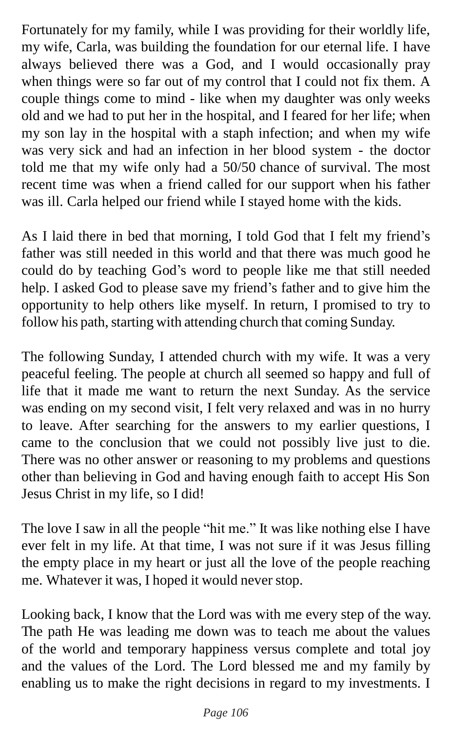Fortunately for my family, while I was providing for their worldly life, my wife, Carla, was building the foundation for our eternal life. I have always believed there was a God, and I would occasionally pray when things were so far out of my control that I could not fix them. A couple things come to mind - like when my daughter was only weeks old and we had to put her in the hospital, and I feared for her life; when my son lay in the hospital with a staph infection; and when my wife was very sick and had an infection in her blood system - the doctor told me that my wife only had a 50/50 chance of survival. The most recent time was when a friend called for our support when his father was ill. Carla helped our friend while I stayed home with the kids.

As I laid there in bed that morning, I told God that I felt my friend's father was still needed in this world and that there was much good he could do by teaching God's word to people like me that still needed help. I asked God to please save my friend's father and to give him the opportunity to help others like myself. In return, I promised to try to follow his path, starting with attending church that coming Sunday.

The following Sunday, I attended church with my wife. It was a very peaceful feeling. The people at church all seemed so happy and full of life that it made me want to return the next Sunday. As the service was ending on my second visit, I felt very relaxed and was in no hurry to leave. After searching for the answers to my earlier questions, I came to the conclusion that we could not possibly live just to die. There was no other answer or reasoning to my problems and questions other than believing in God and having enough faith to accept His Son Jesus Christ in my life, so I did!

The love I saw in all the people "hit me." It was like nothing else I have ever felt in my life. At that time, I was not sure if it was Jesus filling the empty place in my heart or just all the love of the people reaching me. Whatever it was, I hoped it would never stop.

Looking back, I know that the Lord was with me every step of the way. The path He was leading me down was to teach me about the values of the world and temporary happiness versus complete and total joy and the values of the Lord. The Lord blessed me and my family by enabling us to make the right decisions in regard to my investments. I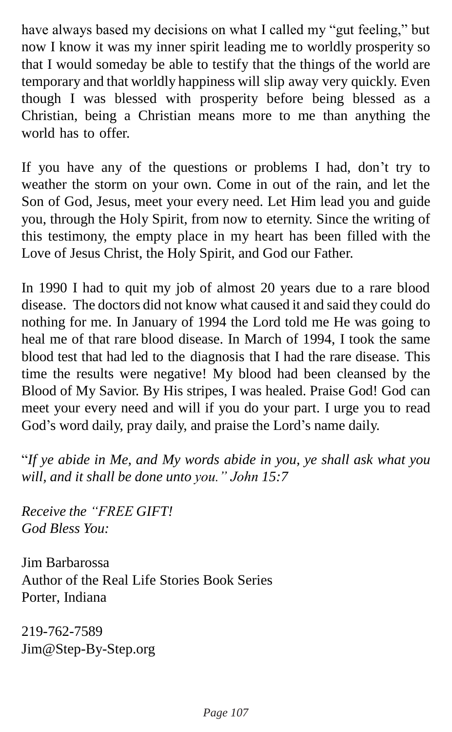have always based my decisions on what I called my "gut feeling," but now I know it was my inner spirit leading me to worldly prosperity so that I would someday be able to testify that the things of the world are temporary and that worldly happiness will slip away very quickly. Even though I was blessed with prosperity before being blessed as a Christian, being a Christian means more to me than anything the world has to offer.

If you have any of the questions or problems I had, don't try to weather the storm on your own. Come in out of the rain, and let the Son of God, Jesus, meet your every need. Let Him lead you and guide you, through the Holy Spirit, from now to eternity. Since the writing of this testimony, the empty place in my heart has been filled with the Love of Jesus Christ, the Holy Spirit, and God our Father.

In 1990 I had to quit my job of almost 20 years due to a rare blood disease. The doctors did not know what caused it and said they could do nothing for me. In January of 1994 the Lord told me He was going to heal me of that rare blood disease. In March of 1994, I took the same blood test that had led to the diagnosis that I had the rare disease. This time the results were negative! My blood had been cleansed by the Blood of My Savior. By His stripes, I was healed. Praise God! God can meet your every need and will if you do your part. I urge you to read God's word daily, pray daily, and praise the Lord's name daily.

"*If ye abide in Me, and My words abide in you, ye shall ask what you will, and it shall be done unto you." John 15:7*

*Receive the "FREE GIFT! God Bless You:*

Jim Barbarossa Author of the Real Life Stories Book Series Porter, Indiana

219-762-7589 [Jim@Step-By-Step.org](mailto:Jim@Step-By-Step.org)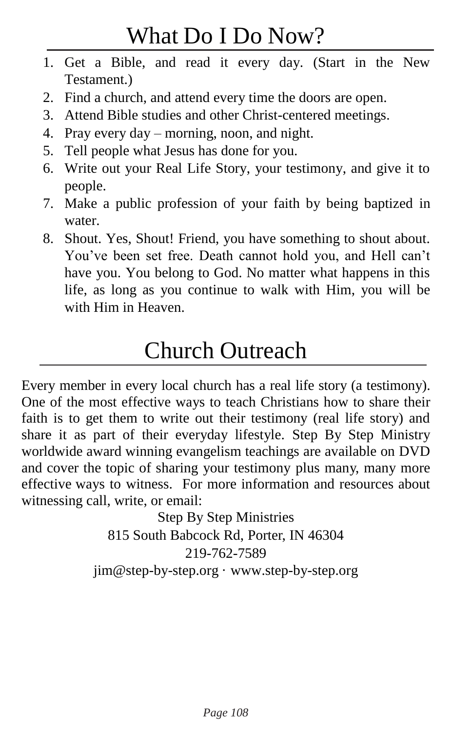### What Do I Do Now?

- 1. Get a Bible, and read it every day. (Start in the New Testament.)
- 2. Find a church, and attend every time the doors are open.
- 3. Attend Bible studies and other Christ-centered meetings.
- 4. Pray every day morning, noon, and night.
- 5. Tell people what Jesus has done for you.
- 6. Write out your Real Life Story, your testimony, and give it to people.
- 7. Make a public profession of your faith by being baptized in water.
- 8. Shout. Yes, Shout! Friend, you have something to shout about. You've been set free. Death cannot hold you, and Hell can't have you. You belong to God. No matter what happens in this life, as long as you continue to walk with Him, you will be with Him in Heaven.

### Church Outreach

Every member in every local church has a real life story (a testimony). One of the most effective ways to teach Christians how to share their faith is to get them to write out their testimony (real life story) and share it as part of their everyday lifestyle. Step By Step Ministry worldwide award winning evangelism teachings are available on DVD and cover the topic of sharing your testimony plus many, many more effective ways to witness. For more information and resources about witnessing call, write, or email:

> Step By Step Ministries 815 South Babcock Rd, Porter, IN 46304 219-762-7589 jim@step-by-step.org · www.step-by-step.org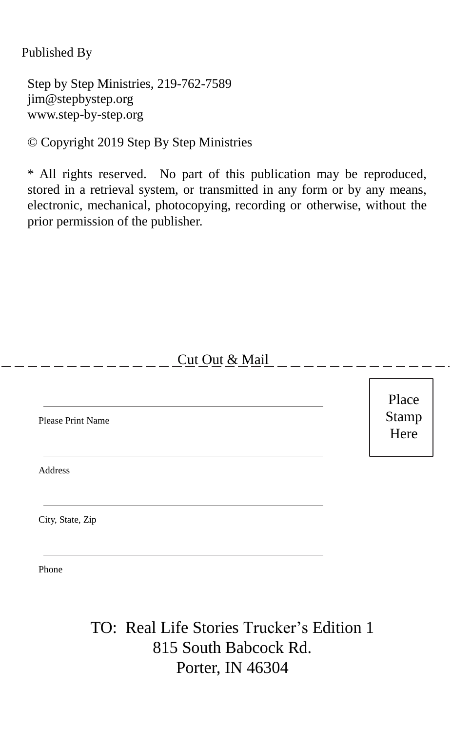Published By

Step by Step Ministries, 219-762-7589 [jim@stepbystep.org](mailto:jim@stepbystep.org) [www.step-by-step.org](http://www.step-by-step.org/)

© Copyright 2019 Step By Step Ministries

\* All rights reserved. No part of this publication may be reproduced, stored in a retrieval system, or transmitted in any form or by any means, electronic, mechanical, photocopying, recording or otherwise, without the prior permission of the publisher.

## Cut Out & Mail Please Print Name Address Place Stamp **Here** City, State, Zip

Phone

TO: Real Life Stories Trucker's Edition 1 815 South Babcock Rd. Porter, IN 46304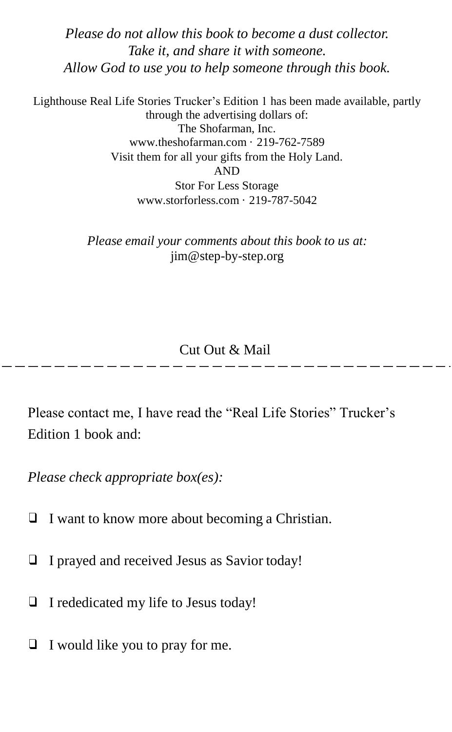*Please do not allow this book to become a dust collector. Take it, and share it with someone. Allow God to use you to help someone through this book.*

Lighthouse Real Life Stories Trucker's Edition 1 has been made available, partly through the advertising dollars of:

> The Shofarman, Inc. www.theshofarman.com · 219-762-7589 Visit them for all your gifts from the Holy Land. AND Stor For Less Storage www.storforless.com · 219-787-5042

*Please email your comments about this book to us at:* [jim@step-by-step.org](mailto:jim@step-by-step.org)

Cut Out & Mail

Please contact me, I have read the "Real Life Stories" Trucker's Edition 1 book and:

*Please check appropriate box(es):*

- ❑ I want to know more about becoming a Christian.
- ❑ I prayed and received Jesus as Savior today!
- ❑ I rededicated my life to Jesus today!
- ❑ I would like you to pray for me.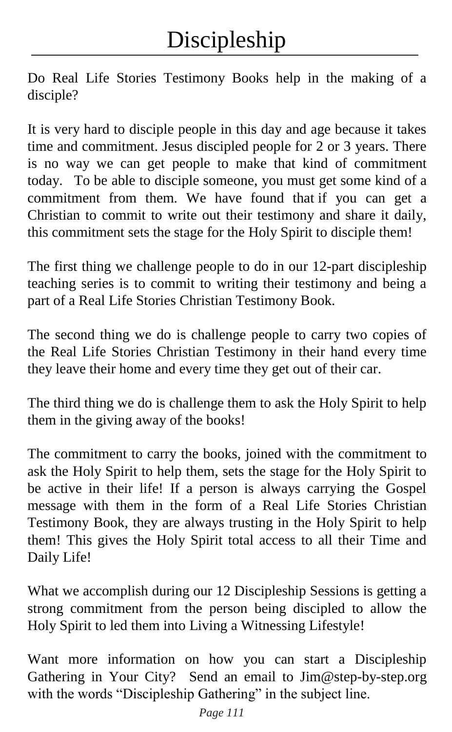Do Real Life Stories Testimony Books help in the making of a disciple?

It is very hard to disciple people in this day and age because it takes time and commitment. Jesus discipled people for 2 or 3 years. There is no way we can get people to make that kind of commitment today. To be able to disciple someone, you must get some kind of a commitment from them. We have found that if you can get a Christian to commit to write out their testimony and share it daily, this commitment sets the stage for the Holy Spirit to disciple them!

The first thing we challenge people to do in our 12-part discipleship teaching series is to commit to writing their testimony and being a part of a Real Life Stories Christian Testimony Book.

The second thing we do is challenge people to carry two copies of the Real Life Stories Christian Testimony in their hand every time they leave their home and every time they get out of their car.

The third thing we do is challenge them to ask the Holy Spirit to help them in the giving away of the books!

The commitment to carry the books, joined with the commitment to ask the Holy Spirit to help them, sets the stage for the Holy Spirit to be active in their life! If a person is always carrying the Gospel message with them in the form of a Real Life Stories Christian Testimony Book, they are always trusting in the Holy Spirit to help them! This gives the Holy Spirit total access to all their Time and Daily Life!

What we accomplish during our 12 Discipleship Sessions is getting a strong commitment from the person being discipled to allow the Holy Spirit to led them into Living a Witnessing Lifestyle!

Want more information on how you can start a Discipleship Gathering in Your City? Send an email to [Jim@step-by-step.org](https://mg.mail.yahoo.com/neo/b/compose?to=Jim@step-by-step.org) with the words "Discipleship Gathering" in the subject line.